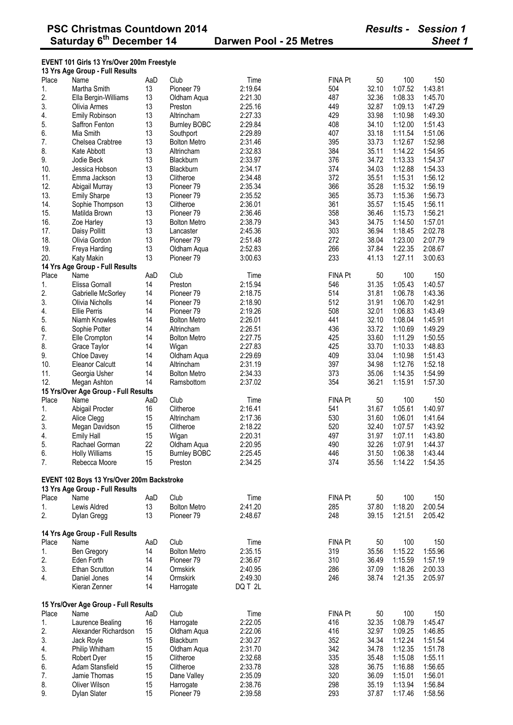#### **EVENT 101 Girls 13 Yrs/Over 200m Freestyle**

|       | 13 Yrs Age Group - Full Results            |     |                       |         |                |       |         |         |
|-------|--------------------------------------------|-----|-----------------------|---------|----------------|-------|---------|---------|
| Place | Name                                       | AaD | Club                  | Time    | <b>FINA Pt</b> | 50    | 100     | 150     |
| 1.    | Martha Smith                               | 13  | Pioneer <sub>79</sub> | 2:19.64 | 504            | 32.10 | 1:07.52 | 1:43.81 |
| 2.    | Ella Bergin-Williams                       | 13  | Oldham Aqua           | 2:21.30 | 487            | 32.36 | 1:08.33 | 1:45.70 |
| 3.    | Olivia Armes                               | 13  | Preston               | 2:25.16 | 449            | 32.87 | 1:09.13 | 1:47.29 |
| 4.    | Emily Robinson                             | 13  | Altrincham            | 2:27.33 | 429            | 33.98 | 1:10.98 | 1:49.30 |
| 5.    | Saffron Fenton                             | 13  | <b>Burnley BOBC</b>   | 2:29.84 | 408            | 34.10 | 1:12.00 | 1:51.43 |
| 6.    | Mia Smith                                  | 13  | Southport             | 2:29.89 | 407            | 33.18 | 1:11.54 | 1:51.06 |
| 7.    | Chelsea Crabtree                           | 13  | <b>Bolton Metro</b>   | 2:31.46 | 395            | 33.73 | 1:12.67 | 1:52.98 |
| 8.    | Kate Abbott                                | 13  | Altrincham            | 2:32.83 | 384            | 35.11 | 1:14.22 | 1:54.95 |
| 9.    | Jodie Beck                                 | 13  | Blackburn             | 2:33.97 | 376            | 34.72 | 1:13.33 | 1:54.37 |
| 10.   | Jessica Hobson                             | 13  | Blackburn             | 2:34.17 | 374            | 34.03 | 1:12.88 | 1:54.33 |
| 11.   | Emma Jackson                               | 13  | Clitheroe             | 2:34.48 | 372            | 35.51 | 1:15.31 | 1:56.12 |
| 12.   | Abigail Murray                             | 13  | Pioneer <sub>79</sub> | 2:35.34 | 366            | 35.28 | 1:15.32 | 1:56.19 |
| 13.   | <b>Emily Sharpe</b>                        | 13  | Pioneer <sub>79</sub> | 2:35.52 | 365            | 35.73 | 1:15.36 | 1:56.73 |
| 14.   | Sophie Thompson                            | 13  | Clitheroe             | 2:36.01 | 361            | 35.57 | 1:15.45 | 1:56.11 |
| 15.   | Matilda Brown                              | 13  | Pioneer <sub>79</sub> | 2:36.46 | 358            | 36.46 | 1:15.73 | 1:56.21 |
| 16.   | Zoe Harley                                 | 13  | <b>Bolton Metro</b>   | 2:38.79 | 343            | 34.75 | 1:14.50 | 1:57.01 |
| 17.   | Daisy Pollitt                              | 13  | Lancaster             | 2:45.36 | 303            | 36.94 | 1:18.45 | 2:02.78 |
| 18.   | Olivia Gordon                              | 13  | Pioneer <sub>79</sub> | 2:51.48 | 272            | 38.04 | 1:23.00 | 2:07.79 |
| 19.   | Freya Harding                              | 13  | Oldham Aqua           | 2:52.83 | 266            | 37.84 | 1:22.35 | 2:08.67 |
| 20.   | Katy Makin                                 | 13  | Pioneer <sub>79</sub> | 3:00.63 | 233            | 41.13 | 1:27.11 | 3:00.63 |
|       | 14 Yrs Age Group - Full Results            |     |                       |         |                |       |         |         |
| Place | Name                                       | AaD | Club                  | Time    | <b>FINA Pt</b> | 50    | 100     | 150     |
| 1.    | Elissa Gornall                             | 14  | Preston               | 2:15.94 | 546            | 31.35 | 1:05.43 | 1:40.57 |
| 2.    | Gabrielle McSorley                         | 14  | Pioneer <sub>79</sub> | 2:18.75 | 514            | 31.81 | 1:06.78 | 1:43.36 |
| 3.    | Olivia Nicholls                            | 14  | Pioneer <sub>79</sub> | 2:18.90 | 512            | 31.91 | 1:06.70 | 1:42.91 |
| 4.    | <b>Ellie Perris</b>                        | 14  | Pioneer <sub>79</sub> | 2:19.26 | 508            | 32.01 | 1:06.83 | 1:43.49 |
| 5.    | Niamh Knowles                              | 14  | <b>Bolton Metro</b>   | 2:26.01 | 441            | 32.10 | 1:08.04 | 1:45.91 |
| 6.    | Sophie Potter                              | 14  | Altrincham            | 2:26.51 | 436            | 33.72 | 1:10.69 | 1:49.29 |
| 7.    |                                            | 14  | <b>Bolton Metro</b>   | 2:27.75 | 425            | 33.60 | 1:11.29 | 1:50.55 |
| 8.    | Elle Crompton                              |     |                       |         |                |       |         |         |
|       | Grace Taylor                               | 14  | Wigan                 | 2:27.83 | 425            | 33.70 | 1:10.33 | 1:48.83 |
| 9.    | Chloe Davey                                | 14  | Oldham Aqua           | 2:29.69 | 409            | 33.04 | 1:10.98 | 1:51.43 |
| 10.   | <b>Eleanor Calcutt</b>                     | 14  | Altrincham            | 2:31.19 | 397            | 34.98 | 1:12.76 | 1:52.18 |
| 11.   | Georgia Usher                              | 14  | <b>Bolton Metro</b>   | 2:34.33 | 373            | 35.06 | 1:14.35 | 1:54.99 |
| 12.   | Megan Ashton                               | 14  | Ramsbottom            | 2:37.02 | 354            | 36.21 | 1:15.91 | 1:57.30 |
|       | 15 Yrs/Over Age Group - Full Results       |     |                       |         |                |       |         |         |
| Place | Name                                       | AaD | Club                  | Time    | <b>FINA Pt</b> | 50    | 100     | 150     |
| 1.    | Abigail Procter                            | 16  | Clitheroe             | 2:16.41 | 541            | 31.67 | 1:05.61 | 1:40.97 |
| 2.    | Alice Clegg                                | 15  | Altrincham            | 2:17.36 | 530            | 31.60 | 1:06.01 | 1:41.64 |
| 3.    | Megan Davidson                             | 15  | Clitheroe             | 2:18.22 | 520            | 32.40 | 1:07.57 | 1:43.92 |
| 4.    | <b>Emily Hall</b>                          | 15  | Wigan                 | 2:20.31 | 497            | 31.97 | 1:07.11 | 1:43.80 |
| 5.    | Rachael Gorman                             | 22  | Oldham Aqua           | 2:20.95 | 490            | 32.26 | 1:07.91 | 1:44.37 |
| 6.    | <b>Holly Williams</b>                      | 15  | <b>Burnley BOBC</b>   | 2:25.45 | 446            | 31.50 | 1:06.38 | 1:43.44 |
| 7.    | Rebecca Moore                              | 15  | Preston               | 2:34.25 | 374            | 35.56 | 1:14.22 | 1:54.35 |
|       |                                            |     |                       |         |                |       |         |         |
|       | EVENT 102 Boys 13 Yrs/Over 200m Backstroke |     |                       |         |                |       |         |         |
|       | 13 Yrs Age Group - Full Results            |     |                       |         |                |       |         |         |
| Place | Name                                       | AaD | Club                  | Time    | <b>FINA Pt</b> | 50    | 100     | 150     |
| 1.    | Lewis Aldred                               | 13  | <b>Bolton Metro</b>   | 2:41.20 | 285            | 37.80 | 1:18.20 | 2:00.54 |
| 2.    | Dylan Gregg                                | 13  | Pioneer <sub>79</sub> | 2:48.67 | 248            | 39.15 | 1:21.51 | 2:05.42 |
|       | 14 Yrs Age Group - Full Results            |     |                       |         |                |       |         |         |
| Place | Name                                       | AaD | Club                  |         | <b>FINA Pt</b> | 50    | 100     |         |
|       |                                            |     |                       | Time    |                |       |         | 150     |
| 1.    | Ben Gregory                                | 14  | <b>Bolton Metro</b>   | 2:35.15 | 319            | 35.56 | 1:15.22 | 1:55.96 |
| 2.    | Eden Forth                                 | 14  | Pioneer <sub>79</sub> | 2:36.67 | 310            | 36.49 | 1:15.59 | 1:57.19 |
| 3.    | Ethan Scrutton                             | 14  | Ormskirk              | 2:40.95 | 286            | 37.09 | 1:18.26 | 2:00.33 |
| 4.    | Daniel Jones                               | 14  | Ormskirk              | 2:49.30 | 246            | 38.74 | 1:21.35 | 2:05.97 |
|       | Kieran Zenner                              | 14  | Harrogate             | DQ T 2L |                |       |         |         |
|       | 15 Yrs/Over Age Group - Full Results       |     |                       |         |                |       |         |         |
| Place | Name                                       |     | Club                  |         | <b>FINA Pt</b> |       | 100     |         |
|       |                                            | AaD |                       | Time    |                | 50    |         | 150     |
| 1.    | Laurence Bealing                           | 16  | Harrogate             | 2:22.05 | 416<br>416     | 32.35 | 1:08.79 | 1:45.47 |
| 2.    | Alexander Richardson                       | 15  | Oldham Aqua           | 2:22.06 |                | 32.97 | 1:09.25 | 1:46.85 |
| 3.    | Jack Royle                                 | 15  | Blackburn             | 2:30.27 | 352            | 34.34 | 1:12.24 | 1:51.54 |
| 4.    | Philip Whitham                             | 15  | Oldham Aqua           | 2:31.70 | 342            | 34.78 | 1:12.35 | 1:51.78 |
| 5.    | Robert Dyer                                | 15  | Clitheroe             | 2:32.68 | 335            | 35.48 | 1:15.08 | 1:55.11 |
| 6.    | Adam Stansfield                            | 15  | Clitheroe             | 2:33.78 | 328            | 36.75 | 1:16.88 | 1:56.65 |
| 7.    | Jamie Thomas                               | 15  | Dane Valley           | 2:35.09 | 320            | 36.09 | 1:15.01 | 1:56.01 |
| 8.    | Oliver Wilson                              | 15  | Harrogate             | 2:38.76 | 298            | 35.19 | 1:13.94 | 1:56.84 |
| 9.    | Dylan Slater                               | 15  | Pioneer 79            | 2:39.58 | 293            | 37.87 | 1:17.46 | 1:58.56 |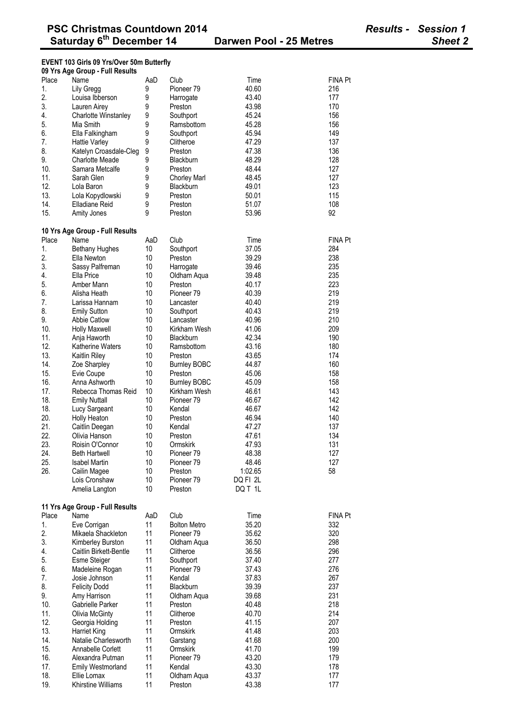## **EVENT 103 Girls 09 Yrs/Over 50m Butterfly**

|            | 09 Yrs Age Group - Full Results  |          |                        |                |                |
|------------|----------------------------------|----------|------------------------|----------------|----------------|
| Place      | Name                             | AaD      | Club                   | Time           | <b>FINA Pt</b> |
| 1.         | Lily Gregg                       | 9        | Pioneer 79             | 40.60          | 216            |
| 2.         | Louisa Ibberson                  | 9        | Harrogate              | 43.40          | 177            |
| 3.         | Lauren Airey                     | 9        | Preston                | 43.98          | 170            |
| 4.         | Charlotte Winstanley             | 9        | Southport              | 45.24          | 156            |
| 5.         | Mia Smith                        | 9        | Ramsbottom             | 45.28          | 156            |
| 6.         | Ella Falkingham                  | 9        | Southport              | 45.94          | 149            |
| 7.         | <b>Hattie Varley</b>             | 9        | Clitheroe              | 47.29          | 137            |
| 8.         | Katelyn Croasdale-Cleg           | 9        | Preston                | 47.38          | 136            |
| 9.         | Charlotte Meade                  | 9        | Blackburn              | 48.29          | 128            |
| 10.        | Samara Metcalfe                  | 9        | Preston                | 48.44          | 127            |
| 11.        | Sarah Glen                       | 9        | <b>Chorley Marl</b>    | 48.45          | 127            |
| 12.        | Lola Baron                       | 9        | Blackburn              | 49.01          | 123            |
| 13.        | Lola Kopydlowski                 | 9        | Preston                | 50.01          | 115            |
| 14.        | Elladiane Reid                   | 9        | Preston                | 51.07          | 108            |
| 15.        | Amity Jones                      | 9        | Preston                | 53.96          | 92             |
|            | 10 Yrs Age Group - Full Results  |          |                        |                |                |
| Place      | Name                             | AaD      | Club                   | Time           | <b>FINA Pt</b> |
| 1.         | <b>Bethany Hughes</b>            | 10       | Southport              | 37.05          | 284            |
| 2.         | Ella Newton                      | 10       | Preston                | 39.29          | 238            |
| 3.         | Sassy Palfreman                  | 10       | Harrogate              | 39.46          | 235            |
| 4.         | Ella Price                       | 10       | Oldham Aqua            | 39.48          | 235            |
| 5.         | Amber Mann                       | 10       | Preston                | 40.17          | 223            |
| 6.         | Alisha Heath                     | 10       | Pioneer 79             | 40.39          | 219            |
| 7.         | Larissa Hannam                   | 10       | Lancaster              | 40.40          | 219            |
| 8.         | <b>Emily Sutton</b>              | 10       | Southport              | 40.43          | 219            |
| 9.         | <b>Abbie Catlow</b>              | 10       | Lancaster              | 40.96          | 210            |
| 10.        | <b>Holly Maxwell</b>             | 10       | Kirkham Wesh           | 41.06          | 209            |
| 11.        | Anja Haworth                     | 10       | Blackburn              | 42.34          | 190            |
| 12.        | <b>Katherine Waters</b>          | 10       | Ramsbottom             | 43.16          | 180            |
| 13.        | Kaitlin Riley                    | 10       | Preston                | 43.65          | 174            |
| 14.        | Zoe Sharpley                     | 10       | <b>Burnley BOBC</b>    | 44.87          | 160            |
| 15.        | Evie Coupe                       | 10       | Preston                | 45.06          | 158            |
| 16.        | Anna Ashworth                    | 10       | <b>Burnley BOBC</b>    | 45.09          | 158            |
| 17.        | Rebecca Thomas Reid              | 10       | Kirkham Wesh           | 46.61          | 143            |
| 18.        | <b>Emily Nuttall</b>             | 10       | Pioneer 79             | 46.67          | 142            |
| 18.        | Lucy Sargeant                    | 10       | Kendal                 | 46.67          | 142            |
| 20.        | Holly Heaton                     | 10       | Preston                | 46.94          | 140            |
| 21.        | Caitlin Deegan                   | 10       | Kendal                 | 47.27          | 137            |
| 22.        | Olivia Hanson                    | 10       | Preston                | 47.61          | 134            |
| 23.        | Roisin O'Connor                  | 10       | Ormskirk               | 47.93          | 131            |
| 24.        | <b>Beth Hartwell</b>             | 10       | Pioneer 79             | 48.38          | 127            |
| 25.        | <b>Isabel Martin</b>             | 10       | Pioneer 79             | 48.46          | 127            |
| 26.        | Cailin Magee                     | 10       | Preston                | 1:02.65        | 58             |
|            | Lois Cronshaw                    | 10       | Pioneer <sub>79</sub>  | DQ FI 2L       |                |
|            | Amelia Langton                   | 10       | Preston                | DQ T 1L        |                |
|            | 11 Yrs Age Group - Full Results  |          |                        |                |                |
| Place      | Name                             | AaD      | Club                   | Time           | <b>FINA Pt</b> |
| 1.         | Eve Corrigan                     | 11       | <b>Bolton Metro</b>    | 35.20          | 332            |
| 2.         | Mikaela Shackleton               | 11       | Pioneer <sub>79</sub>  | 35.62          | 320            |
| 3.         | Kimberley Burston                | 11       | Oldham Aqua            | 36.50          | 298            |
| 4.         | Caitlin Birkett-Bentle           | 11       | Clitheroe              | 36.56          | 296            |
| 5.         | <b>Esme Steiger</b>              | 11       | Southport              | 37.40          | 277            |
| 6.         | Madeleine Rogan                  | 11       | Pioneer <sub>79</sub>  | 37.43          | 276            |
| 7.         | Josie Johnson                    | 11       | Kendal                 | 37.83          | 267            |
| 8.         |                                  | 11       | Blackburn              | 39.39          | 237            |
| 9.         | <b>Felicity Dodd</b>             | 11       |                        |                | 231            |
| 10.        | Amy Harrison<br>Gabrielle Parker | 11       | Oldham Aqua<br>Preston | 39.68<br>40.48 | 218            |
|            |                                  | 11       |                        |                | 214            |
| 11.<br>12. | Olivia McGinty                   |          | Clitheroe              | 40.70<br>41.15 |                |
| 13.        | Georgia Holding                  | 11<br>11 | Preston                |                | 207            |
|            | Harriet King                     |          | Ormskirk               | 41.48          | 203            |
| 14.        | Natalie Charlesworth             | 11       | Garstang               | 41.68          | 200            |
| 15.        | Annabelle Corlett                | 11       | Ormskirk               | 41.70          | 199            |
| 16.        | Alexandra Putman                 | 11       | Pioneer <sub>79</sub>  | 43.20          | 179            |
| 17.<br>18. | <b>Emily Westmorland</b>         | 11<br>11 | Kendal                 | 43.30          | 178<br>177     |
| 19.        | Ellie Lomax                      |          | Oldham Aqua            | 43.37<br>43.38 |                |
|            | Khirstine Williams               | 11       | Preston                |                | 177            |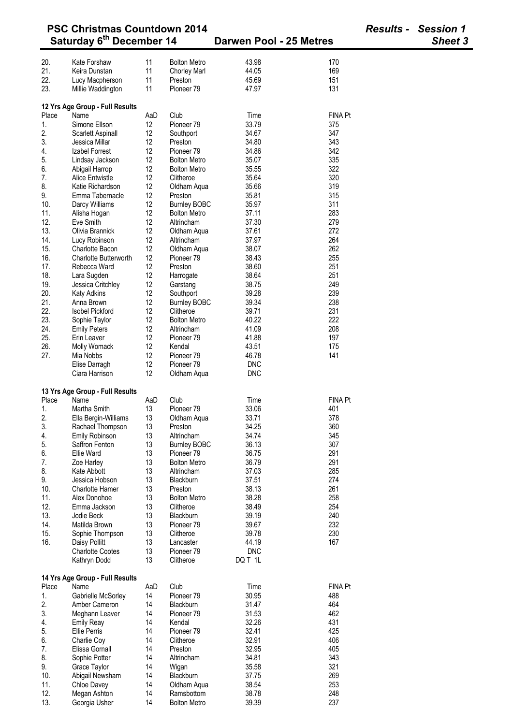| <b>PSC Christmas Countdown 2014</b> |                                         |          |                                   |                         |                | <b>Results - Session 1</b> |  |
|-------------------------------------|-----------------------------------------|----------|-----------------------------------|-------------------------|----------------|----------------------------|--|
|                                     | Saturday 6 <sup>th</sup> December 14    |          |                                   | Darwen Pool - 25 Metres |                | <b>Sheet 3</b>             |  |
| 20.                                 | Kate Forshaw                            | 11       | <b>Bolton Metro</b>               | 43.98                   | 170            |                            |  |
| 21.                                 | Keira Dunstan                           | 11       | <b>Chorley Marl</b>               | 44.05                   | 169            |                            |  |
| 22.                                 | Lucy Macpherson                         | 11       | Preston                           | 45.69                   | 151            |                            |  |
| 23.                                 | Millie Waddington                       | 11       | Pioneer <sub>79</sub>             | 47.97                   | 131            |                            |  |
|                                     |                                         |          |                                   |                         |                |                            |  |
| Place                               | 12 Yrs Age Group - Full Results<br>Name | AaD      | Club                              | Time                    | <b>FINA Pt</b> |                            |  |
| 1.                                  | Simone Ellson                           | 12       | Pioneer <sub>79</sub>             | 33.79                   | 375            |                            |  |
| 2.                                  | Scarlett Aspinall                       | 12       | Southport                         | 34.67                   | 347            |                            |  |
| 3.                                  | Jessica Millar                          | 12       | Preston                           | 34.80                   | 343            |                            |  |
| 4.                                  | Izabel Forrest                          | 12       | Pioneer 79                        | 34.86                   | 342            |                            |  |
| 5.                                  | Lindsay Jackson                         | 12       | <b>Bolton Metro</b>               | 35.07                   | 335            |                            |  |
| 6.                                  | Abigail Harrop                          | 12       | <b>Bolton Metro</b>               | 35.55                   | 322            |                            |  |
| 7.                                  | Alice Entwistle                         | 12       | Clitheroe                         | 35.64                   | 320            |                            |  |
| 8.                                  | Katie Richardson                        | 12       | Oldham Aqua                       | 35.66                   | 319            |                            |  |
| 9.                                  | Emma Tabernacle                         | 12       | Preston                           | 35.81                   | 315            |                            |  |
| 10.                                 | Darcy Williams                          | 12       | <b>Burnley BOBC</b>               | 35.97                   | 311            |                            |  |
| 11.<br>12.                          | Alisha Hogan<br>Eve Smith               | 12<br>12 | <b>Bolton Metro</b><br>Altrincham | 37.11<br>37.30          | 283<br>279     |                            |  |
| 13.                                 | Olivia Brannick                         | 12       | Oldham Aqua                       | 37.61                   | 272            |                            |  |
| 14.                                 | Lucy Robinson                           | 12       | Altrincham                        | 37.97                   | 264            |                            |  |
| 15.                                 | <b>Charlotte Bacon</b>                  | 12       | Oldham Aqua                       | 38.07                   | 262            |                            |  |
| 16.                                 | <b>Charlotte Butterworth</b>            | 12       | Pioneer <sub>79</sub>             | 38.43                   | 255            |                            |  |
| 17.                                 | Rebecca Ward                            | 12       | Preston                           | 38.60                   | 251            |                            |  |
| 18.                                 | Lara Sugden                             | 12       | Harrogate                         | 38.64                   | 251            |                            |  |
| 19.                                 | Jessica Critchley                       | 12       | Garstang                          | 38.75                   | 249            |                            |  |
| 20.                                 | <b>Katy Adkins</b>                      | 12       | Southport                         | 39.28                   | 239            |                            |  |
| 21.                                 | Anna Brown                              | 12       | <b>Burnley BOBC</b>               | 39.34                   | 238            |                            |  |
| 22.                                 | <b>Isobel Pickford</b>                  | 12       | Clitheroe                         | 39.71                   | 231            |                            |  |
| 23.                                 | Sophie Taylor                           | 12       | <b>Bolton Metro</b>               | 40.22                   | 222            |                            |  |
| 24.                                 | <b>Emily Peters</b>                     | 12       | Altrincham                        | 41.09                   | 208            |                            |  |
| 25.                                 | Erin Leaver                             | 12       | Pioneer <sub>79</sub>             | 41.88                   | 197            |                            |  |
| 26.                                 | Molly Womack                            | 12       | Kendal                            | 43.51                   | 175            |                            |  |
| 27.                                 | Mia Nobbs<br>Elise Darragh              | 12<br>12 | Pioneer 79<br>Pioneer 79          | 46.78<br><b>DNC</b>     | 141            |                            |  |
|                                     | Ciara Harrison                          | 12       | Oldham Aqua                       | <b>DNC</b>              |                |                            |  |
|                                     |                                         |          |                                   |                         |                |                            |  |
|                                     | 13 Yrs Age Group - Full Results         |          |                                   |                         |                |                            |  |
| Place                               | Name                                    | AaD      | Club                              | Time                    | <b>FINA Pt</b> |                            |  |
| 1.<br>2.                            | Martha Smith<br>Ella Bergin-Williams    | 13<br>13 | Pioneer 79<br>Oldham Aqua         | 33.06<br>33.71          | 401<br>378     |                            |  |
| 3.                                  | Rachael Thompson                        | 13       | Preston                           | 34.25                   | 360            |                            |  |
| 4.                                  | Emily Robinson                          | 13       | Altrincham                        | 34.74                   | 345            |                            |  |
| 5.                                  | Saffron Fenton                          | 13       | <b>Burnley BOBC</b>               | 36.13                   | 307            |                            |  |
| 6.                                  | Ellie Ward                              | 13       | Pioneer <sub>79</sub>             | 36.75                   | 291            |                            |  |
| 7.                                  | Zoe Harley                              | 13       | <b>Bolton Metro</b>               | 36.79                   | 291            |                            |  |
| 8.                                  | Kate Abbott                             | 13       | Altrincham                        | 37.03                   | 285            |                            |  |
| 9.                                  | Jessica Hobson                          | 13       | Blackburn                         | 37.51                   | 274            |                            |  |
| 10.                                 | <b>Charlotte Hamer</b>                  | 13       | Preston                           | 38.13                   | 261            |                            |  |
| 11.                                 | Alex Donohoe                            | 13       | <b>Bolton Metro</b>               | 38.28                   | 258            |                            |  |
| 12.                                 | Emma Jackson                            | 13       | Clitheroe                         | 38.49                   | 254            |                            |  |
| 13.                                 | Jodie Beck                              | 13       | Blackburn                         | 39.19                   | 240            |                            |  |
| 14.                                 | Matilda Brown                           | 13       | Pioneer 79                        | 39.67                   | 232            |                            |  |
| 15.                                 | Sophie Thompson                         | 13       | Clitheroe                         | 39.78                   | 230            |                            |  |
| 16.                                 | Daisy Pollitt                           | 13       | Lancaster                         | 44.19                   | 167            |                            |  |
|                                     | <b>Charlotte Cootes</b><br>Kathryn Dodd | 13<br>13 | Pioneer 79<br>Clitheroe           | <b>DNC</b><br>DQ T 1L   |                |                            |  |
|                                     |                                         |          |                                   |                         |                |                            |  |
| Place                               | 14 Yrs Age Group - Full Results<br>Name | AaD      | Club                              | Time                    | <b>FINA Pt</b> |                            |  |
| 1.                                  | Gabrielle McSorley                      | 14       | Pioneer 79                        | 30.95                   | 488            |                            |  |
| 2.                                  | Amber Cameron                           | 14       | Blackburn                         | 31.47                   | 464            |                            |  |
| 3.                                  | Meghann Leaver                          | 14       | Pioneer <sub>79</sub>             | 31.53                   | 462            |                            |  |
| 4.                                  | <b>Emily Reay</b>                       | 14       | Kendal                            | 32.26                   | 431            |                            |  |
| 5.                                  | <b>Ellie Perris</b>                     | 14       | Pioneer <sub>79</sub>             | 32.41                   | 425            |                            |  |
| 6.                                  | Charlie Coy                             | 14       | Clitheroe                         | 32.91                   | 406            |                            |  |
| 7.                                  | Elissa Gornall                          | 14       | Preston                           | 32.95                   | 405            |                            |  |
| 8.                                  | Sophie Potter                           | 14       | Altrincham                        | 34.81                   | 343            |                            |  |
| 9.                                  | Grace Taylor                            | 14       | Wigan                             | 35.58                   | 321            |                            |  |
| 10.                                 | Abigail Newsham                         | 14       | Blackburn                         | 37.75                   | 269            |                            |  |
| 11.                                 | Chloe Davey                             | 14       | Oldham Aqua                       | 38.54                   | 253            |                            |  |
| 12.                                 | Megan Ashton                            | 14       | Ramsbottom                        | 38.78                   | 248            |                            |  |
| 13.                                 | Georgia Usher                           | 14       | <b>Bolton Metro</b>               | 39.39                   | 237            |                            |  |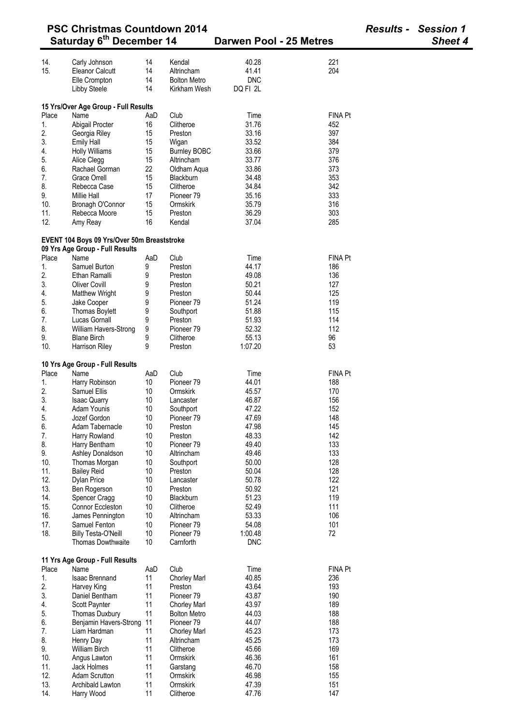|             | <b>PSC Christmas Countdown 2014</b>                                            |           |                         |                         |                       | <b>Results - Session 1</b> |
|-------------|--------------------------------------------------------------------------------|-----------|-------------------------|-------------------------|-----------------------|----------------------------|
|             | Saturday 6 <sup>th</sup> December 14                                           |           |                         | Darwen Pool - 25 Metres |                       | Sheet 4                    |
| 14.         | Carly Johnson                                                                  | 14        | Kendal                  | 40.28                   | 221                   |                            |
| 15.         | <b>Eleanor Calcutt</b>                                                         | 14        | Altrincham              | 41.41                   | 204                   |                            |
|             | Elle Crompton                                                                  | 14        | <b>Bolton Metro</b>     | <b>DNC</b>              |                       |                            |
|             | Libby Steele                                                                   | 14        | Kirkham Wesh            | DQ FI 2L                |                       |                            |
|             |                                                                                |           |                         |                         |                       |                            |
|             | 15 Yrs/Over Age Group - Full Results                                           |           |                         |                         |                       |                            |
| Place       | Name                                                                           | AaD       | Club                    | Time                    | <b>FINA Pt</b>        |                            |
| 1.          | Abigail Procter                                                                | 16        | Clitheroe               | 31.76                   | 452                   |                            |
| 2.          | Georgia Riley                                                                  | 15        | Preston                 | 33.16                   | 397                   |                            |
| 3.          | <b>Emily Hall</b>                                                              | 15        | Wigan                   | 33.52                   | 384                   |                            |
| 4.          | <b>Holly Williams</b>                                                          | 15        | <b>Burnley BOBC</b>     | 33.66                   | 379                   |                            |
| 5.          | Alice Clegg                                                                    | 15        | Altrincham              | 33.77                   | 376                   |                            |
| 6.          | Rachael Gorman                                                                 | 22        | Oldham Aqua             | 33.86                   | 373                   |                            |
| 7.          | <b>Grace Orrell</b>                                                            | 15        | Blackburn               | 34.48                   | 353                   |                            |
| 8.          | Rebecca Case                                                                   | 15        | Clitheroe               | 34.84                   | 342                   |                            |
| 9.          | <b>Millie Hall</b>                                                             | 17        | Pioneer <sub>79</sub>   | 35.16                   | 333                   |                            |
| 10.         | Bronagh O'Connor                                                               | 15        | Ormskirk                | 35.79                   | 316                   |                            |
| 11.         | Rebecca Moore                                                                  |           | Preston                 | 36.29                   | 303                   |                            |
| 12.         | Amy Reay                                                                       | 15<br>16  | Kendal                  | 37.04                   | 285                   |                            |
|             |                                                                                |           |                         |                         |                       |                            |
|             | EVENT 104 Boys 09 Yrs/Over 50m Breaststroke<br>09 Yrs Age Group - Full Results |           |                         |                         |                       |                            |
| Place       | Name                                                                           | AaD       | Club                    | Time                    | <b>FINA Pt</b>        |                            |
|             |                                                                                |           |                         |                         |                       |                            |
| 1.          | Samuel Burton                                                                  | 9         | Preston                 | 44.17                   | 186                   |                            |
| 2.          | Ethan Ramalli                                                                  | 9         | Preston                 | 49.08                   | 136                   |                            |
| 3.          | <b>Oliver Covill</b>                                                           | 9         | Preston                 | 50.21                   | 127                   |                            |
| 4.          | <b>Matthew Wright</b>                                                          | 9         | Preston                 | 50.44                   | 125                   |                            |
| 5.          | Jake Cooper                                                                    | 9         | Pioneer <sub>79</sub>   | 51.24                   | 119                   |                            |
| 6.          | Thomas Boylett                                                                 | 9         | Southport               | 51.88                   | 115                   |                            |
| 7.          | Lucas Gornall                                                                  | 9         | Preston                 | 51.93                   | 114                   |                            |
| 8.          | William Havers-Strong                                                          | 9         | Pioneer 79              | 52.32                   | 112                   |                            |
| 9.          | <b>Blane Birch</b>                                                             | 9         | Clitheroe               | 55.13                   | 96                    |                            |
| 10.         | Harrison Riley                                                                 | 9         | Preston                 | 1:07.20                 | 53                    |                            |
|             | 10 Yrs Age Group - Full Results                                                |           |                         |                         |                       |                            |
| Place       | Name                                                                           | AaD       | Club                    | Time                    | <b>FINA Pt</b>        |                            |
| 1.          | Harry Robinson                                                                 | 10        | Pioneer 79              | 44.01                   | 188                   |                            |
| 2.          | Samuel Ellis                                                                   | 10        | Ormskirk                | 45.57                   | 170                   |                            |
| 3.          | <b>Isaac Quarry</b>                                                            | 10        | Lancaster               | 46.87                   | 156                   |                            |
| 4.          | Adam Younis                                                                    | 10        | Southport               | 47.22                   | 152                   |                            |
| 5.          | Jozef Gordon                                                                   | 10        | Pioneer 79              | 47.69                   | 148                   |                            |
| 6.          | Adam Tabernacle                                                                | 10        | Preston                 | 47.98                   | 145                   |                            |
| 7.          | Harry Rowland                                                                  | 10        | Preston                 | 48.33                   | 142                   |                            |
| 8.          | Harry Bentham                                                                  | 10        | Pioneer <sub>79</sub>   | 49.40                   | 133                   |                            |
| 9.          | Ashley Donaldson                                                               | 10        | Altrincham              | 49.46                   | 133                   |                            |
| 10.         | Thomas Morgan                                                                  | 10        | Southport               | 50.00                   | 128                   |                            |
| 11.         | <b>Bailey Reid</b>                                                             | 10        | Preston                 | 50.04                   | 128                   |                            |
| 12.         | <b>Dylan Price</b>                                                             | 10        | Lancaster               | 50.78                   | 122                   |                            |
| 13.         | Ben Rogerson                                                                   | 10        | Preston                 | 50.92                   | 121                   |                            |
| 14.         | Spencer Cragg                                                                  | 10        | Blackburn               | 51.23                   | 119                   |                            |
| 15.         | Connor Eccleston                                                               | 10        | Clitheroe               | 52.49                   | 111                   |                            |
|             |                                                                                |           |                         |                         |                       |                            |
| 16.         | James Pennington                                                               | 10        | Altrincham              | 53.33                   | 106                   |                            |
| 17.         | Samuel Fenton                                                                  | 10        | Pioneer <sub>79</sub>   | 54.08                   | 101                   |                            |
| 18.         | <b>Billy Testa-O'Neill</b><br>Thomas Dowthwaite                                | 10<br>10  | Pioneer 79<br>Carnforth | 1:00.48<br><b>DNC</b>   | 72                    |                            |
|             |                                                                                |           |                         |                         |                       |                            |
|             | 11 Yrs Age Group - Full Results                                                |           |                         |                         |                       |                            |
| Place<br>1. | Name<br><b>Isaac Brennand</b>                                                  | AaD<br>11 | Club                    | Time<br>40.85           | <b>FINA Pt</b><br>236 |                            |
|             |                                                                                |           | Chorley Marl            |                         |                       |                            |
| 2.<br>3.    | Harvey King                                                                    | 11        | Preston                 | 43.64                   | 193                   |                            |
|             | Daniel Bentham                                                                 | 11        | Pioneer <sub>79</sub>   | 43.87                   | 190                   |                            |
| 4.          | Scott Paynter                                                                  | 11        | <b>Chorley Marl</b>     | 43.97                   | 189                   |                            |
| 5.          | <b>Thomas Duxbury</b>                                                          | 11        | <b>Bolton Metro</b>     | 44.03                   | 188                   |                            |
| 6.          | Benjamin Havers-Strong                                                         | 11        | Pioneer 79              | 44.07                   | 188                   |                            |
| 7.          | Liam Hardman                                                                   | 11        | Chorley Marl            | 45.23                   | 173                   |                            |
| 8.          | Henry Day                                                                      | 11        | Altrincham              | 45.25                   | 173                   |                            |
| 9.          | <b>William Birch</b>                                                           | 11        | Clitheroe               | 45.66                   | 169                   |                            |
| 10.         | Angus Lawton                                                                   | 11        | Ormskirk                | 46.36                   | 161                   |                            |
| 11.         | Jack Holmes                                                                    | 11        | Garstang                | 46.70                   | 158                   |                            |
| 12.         | Adam Scrutton                                                                  | 11        | Ormskirk                | 46.98                   | 155                   |                            |
| 13.         | Archibald Lawton                                                               | 11        | Ormskirk                | 47.39                   | 151                   |                            |
| 14.         | Harry Wood                                                                     | 11        | Clitheroe               | 47.76                   | 147                   |                            |

**PSC Christmas Countdown 2014** *Results - Session 1*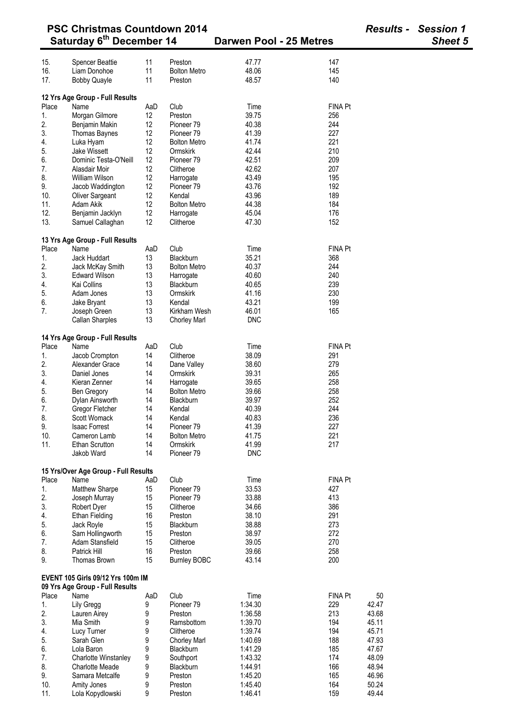| <b>PSC Christmas Countdown 2014</b><br>Saturday 6 <sup>th</sup> December 14 |                                              |          |                                |                         |                | <b>Results - Session 1</b> |                |
|-----------------------------------------------------------------------------|----------------------------------------------|----------|--------------------------------|-------------------------|----------------|----------------------------|----------------|
|                                                                             |                                              |          |                                | Darwen Pool - 25 Metres |                |                            | <b>Sheet 5</b> |
| 15.                                                                         | <b>Spencer Beattie</b>                       | 11       | Preston                        | 47.77                   | 147            |                            |                |
| 16.                                                                         | Liam Donohoe                                 | 11       | <b>Bolton Metro</b>            | 48.06                   | 145            |                            |                |
| 17.                                                                         | <b>Bobby Quayle</b>                          | 11       | Preston                        | 48.57                   | 140            |                            |                |
|                                                                             | 12 Yrs Age Group - Full Results              |          |                                |                         |                |                            |                |
| Place                                                                       | Name                                         | AaD      | Club                           | Time                    | <b>FINA Pt</b> |                            |                |
| 1.                                                                          | Morgan Gilmore                               | 12       | Preston                        | 39.75                   | 256            |                            |                |
| 2.                                                                          | Benjamin Makin                               | 12       | Pioneer <sub>79</sub>          | 40.38                   | 244            |                            |                |
| 3.                                                                          | Thomas Baynes                                | 12       | Pioneer <sub>79</sub>          | 41.39                   | 227            |                            |                |
| 4.                                                                          | Luka Hyam                                    | 12       | <b>Bolton Metro</b>            | 41.74                   | 221            |                            |                |
| 5.                                                                          | Jake Wissett                                 | 12       | Ormskirk                       | 42.44                   | 210            |                            |                |
| 6.                                                                          | Dominic Testa-O'Neill                        | 12       | Pioneer 79                     | 42.51                   | 209            |                            |                |
| 7.                                                                          | Alasdair Moir                                | 12       | Clitheroe                      | 42.62                   | 207            |                            |                |
| 8.                                                                          | <b>William Wilson</b>                        | 12       | Harrogate                      | 43.49                   | 195            |                            |                |
| 9.                                                                          | Jacob Waddington                             | 12       | Pioneer <sub>79</sub>          | 43.76                   | 192            |                            |                |
| 10.                                                                         | Oliver Sargeant                              | 12       | Kendal                         | 43.96                   | 189            |                            |                |
| 11.                                                                         | Adam Akik                                    | 12       | <b>Bolton Metro</b>            | 44.38                   | 184            |                            |                |
| 12.                                                                         |                                              | 12       |                                | 45.04                   | 176            |                            |                |
| 13.                                                                         | Benjamin Jacklyn<br>Samuel Callaghan         | 12       | Harrogate<br>Clitheroe         | 47.30                   | 152            |                            |                |
|                                                                             |                                              |          |                                |                         |                |                            |                |
|                                                                             | 13 Yrs Age Group - Full Results              |          |                                |                         |                |                            |                |
| Place                                                                       | Name                                         | AaD      | Club                           | Time                    | FINA Pt        |                            |                |
| 1.                                                                          | Jack Huddart                                 | 13       | Blackburn                      | 35.21                   | 368            |                            |                |
| 2.                                                                          | Jack McKay Smith                             | 13       | <b>Bolton Metro</b>            | 40.37                   | 244            |                            |                |
| 3.                                                                          | <b>Edward Wilson</b>                         | 13       | Harrogate                      | 40.60                   | 240            |                            |                |
| 4.                                                                          | Kai Collins                                  | 13       | Blackburn                      | 40.65                   | 239            |                            |                |
| 5.                                                                          | Adam Jones                                   | 13       | Ormskirk                       | 41.16                   | 230            |                            |                |
| 6.                                                                          | Jake Bryant                                  | 13       | Kendal                         | 43.21                   | 199            |                            |                |
| 7.                                                                          | Joseph Green                                 | 13       | Kirkham Wesh                   | 46.01                   | 165            |                            |                |
|                                                                             | Callan Sharples                              | 13       | <b>Chorley Marl</b>            | <b>DNC</b>              |                |                            |                |
|                                                                             | 14 Yrs Age Group - Full Results              |          |                                |                         |                |                            |                |
| Place                                                                       | Name                                         | AaD      | Club                           | Time                    | FINA Pt        |                            |                |
| 1.                                                                          | Jacob Crompton                               | 14       | Clitheroe                      | 38.09                   | 291            |                            |                |
| 2.                                                                          | Alexander Grace                              | 14       | Dane Valley                    | 38.60                   | 279            |                            |                |
| 3.                                                                          | Daniel Jones                                 | 14       | Ormskirk                       | 39.31                   | 265            |                            |                |
| 4.                                                                          | Kieran Zenner                                | 14       | Harrogate                      | 39.65                   | 258            |                            |                |
| 5.                                                                          | <b>Ben Gregory</b>                           | 14       | <b>Bolton Metro</b>            | 39.66                   | 258            |                            |                |
| 6.                                                                          | Dylan Ainsworth                              | 14       | <b>Blackburn</b>               | 39.97                   | 252            |                            |                |
| 7.                                                                          | Gregor Fletcher                              | 14       | Kendal                         | 40.39                   | 244            |                            |                |
| 8.                                                                          | Scott Womack                                 | 14       | Kendal                         | 40.83                   | 236            |                            |                |
| 9.                                                                          | <b>Isaac Forrest</b>                         | 14       | Pioneer <sub>79</sub>          | 41.39                   | 227            |                            |                |
| 10.                                                                         | Cameron Lamb                                 | 14       | <b>Bolton Metro</b>            | 41.75                   | 221            |                            |                |
| 11.                                                                         | Ethan Scrutton                               | 14       | Ormskirk                       | 41.99                   | 217            |                            |                |
|                                                                             | Jakob Ward                                   | 14       | Pioneer <sub>79</sub>          | <b>DNC</b>              |                |                            |                |
|                                                                             |                                              |          |                                |                         |                |                            |                |
| Place                                                                       | 15 Yrs/Over Age Group - Full Results<br>Name | AaD      | Club                           | Time                    | FINA Pt        |                            |                |
| 1.                                                                          | Matthew Sharpe                               | 15       | Pioneer <sub>79</sub>          | 33.53                   | 427            |                            |                |
| 2.                                                                          | Joseph Murray                                | 15       | Pioneer <sub>79</sub>          | 33.88                   | 413            |                            |                |
| 3.                                                                          | Robert Dyer                                  | 15       | Clitheroe                      | 34.66                   | 386            |                            |                |
| 4.                                                                          | <b>Ethan Fielding</b>                        | 16       | Preston                        | 38.10                   | 291            |                            |                |
|                                                                             |                                              | 15       | <b>Blackburn</b>               | 38.88                   | 273            |                            |                |
| 5.<br>6.                                                                    | Jack Royle<br>Sam Hollingworth               | 15       | Preston                        | 38.97                   | 272            |                            |                |
| 7.                                                                          |                                              |          |                                |                         |                |                            |                |
|                                                                             | Adam Stansfield<br>Patrick Hill              | 15       | Clitheroe                      | 39.05                   | 270<br>258     |                            |                |
| 8.<br>9.                                                                    | Thomas Brown                                 | 16<br>15 | Preston<br><b>Burnley BOBC</b> | 39.66<br>43.14          | 200            |                            |                |
|                                                                             |                                              |          |                                |                         |                |                            |                |
|                                                                             | EVENT 105 Girls 09/12 Yrs 100m IM            |          |                                |                         |                |                            |                |
| Place                                                                       | 09 Yrs Age Group - Full Results<br>Name      | AaD      | Club                           | Time                    | FINA Pt        | 50                         |                |
|                                                                             |                                              |          | Pioneer <sub>79</sub>          |                         |                |                            |                |
| 1.                                                                          | Lily Gregg                                   | 9        |                                | 1:34.30                 | 229            | 42.47                      |                |
| 2.                                                                          | Lauren Airey                                 | 9        | Preston                        | 1:36.58                 | 213            | 43.68                      |                |
| 3.                                                                          | Mia Smith                                    | 9        | Ramsbottom                     | 1:39.70                 | 194            | 45.11                      |                |
| 4.                                                                          | Lucy Turner                                  | 9        | Clitheroe                      | 1:39.74                 | 194            | 45.71                      |                |
| 5.                                                                          | Sarah Glen                                   | 9        | <b>Chorley Marl</b>            | 1:40.69                 | 188            | 47.93                      |                |
| 6.                                                                          | Lola Baron                                   | 9        | Blackburn                      | 1:41.29                 | 185            | 47.67                      |                |
| 7.                                                                          | <b>Charlotte Winstanley</b>                  | 9        | Southport                      | 1:43.32                 | 174            | 48.09                      |                |
| 8.                                                                          | <b>Charlotte Meade</b>                       | 9        | Blackburn                      | 1:44.91                 | 166            | 48.94                      |                |
| 9.                                                                          | Samara Metcalfe                              | 9        | Preston                        | 1:45.20                 | 165            | 46.96                      |                |
| 10.                                                                         | Amity Jones                                  | 9        | Preston                        | 1:45.40                 | 164            | 50.24                      |                |
| 11.                                                                         | Lola Kopydlowski                             | 9        | Preston                        | 1:46.41                 | 159            | 49.44                      |                |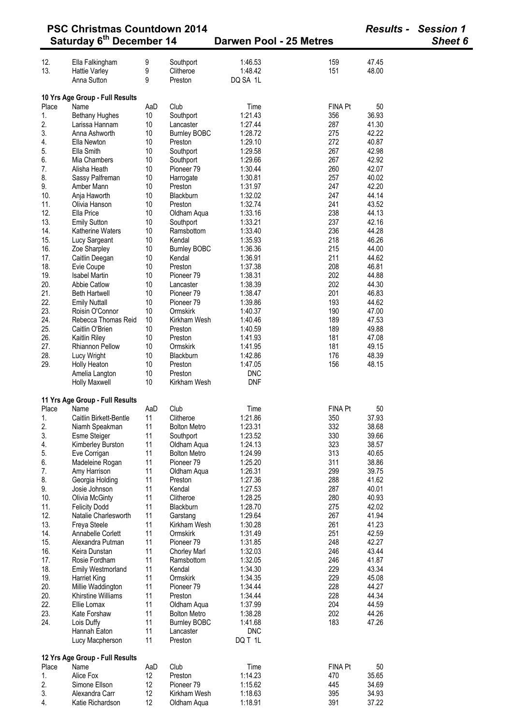|            | <b>PSC Christmas Countdown 2014</b>  |          |                                    |                                |                |                | <b>Results - Session 1</b> |  |
|------------|--------------------------------------|----------|------------------------------------|--------------------------------|----------------|----------------|----------------------------|--|
|            | Saturday 6 <sup>th</sup> December 14 |          |                                    | <b>Darwen Pool - 25 Metres</b> |                |                | Sheet 6                    |  |
| 12.        | Ella Falkingham                      | 9        | Southport                          | 1:46.53                        | 159            | 47.45          |                            |  |
| 13.        | <b>Hattie Varley</b>                 | 9        | Clitheroe                          | 1:48.42                        | 151            | 48.00          |                            |  |
|            | Anna Sutton                          | 9        | Preston                            | DQ SA 1L                       |                |                |                            |  |
|            | 10 Yrs Age Group - Full Results      |          |                                    |                                |                |                |                            |  |
| Place      | Name                                 | AaD      | Club                               | Time                           | <b>FINA Pt</b> | 50             |                            |  |
| 1.         | <b>Bethany Hughes</b>                | 10       | Southport                          | 1:21.43                        | 356            | 36.93          |                            |  |
| 2.         | Larissa Hannam                       | 10       | Lancaster                          | 1:27.44                        | 287            | 41.30          |                            |  |
| 3.         | Anna Ashworth                        | 10       | <b>Burnley BOBC</b>                | 1:28.72                        | 275            | 42.22          |                            |  |
| 4.         | Ella Newton                          | 10       | Preston                            | 1:29.10                        | 272            | 40.87          |                            |  |
| 5.         | Ella Smith                           | 10       | Southport                          | 1:29.58                        | 267            | 42.98          |                            |  |
| 6.         | Mia Chambers                         | 10       | Southport                          | 1:29.66                        | 267            | 42.92          |                            |  |
| 7.         | Alisha Heath                         | 10       | Pioneer 79                         | 1:30.44                        | 260            | 42.07          |                            |  |
| 8.         | Sassy Palfreman                      | 10       | Harrogate                          | 1:30.81                        | 257            | 40.02          |                            |  |
| 9.         | Amber Mann                           | 10       | Preston                            | 1:31.97                        | 247            | 42.20          |                            |  |
| 10.        | Anja Haworth                         | 10       | Blackburn                          | 1:32.02                        | 247            | 44.14          |                            |  |
| 11.        | Olivia Hanson                        | 10       | Preston                            | 1:32.74                        | 241            | 43.52<br>44.13 |                            |  |
| 12.<br>13. | Ella Price                           | 10       | Oldham Aqua                        | 1:33.16<br>1:33.21             | 238<br>237     | 42.16          |                            |  |
|            | <b>Emily Sutton</b>                  | 10       | Southport<br>Ramsbottom            | 1:33.40                        | 236            |                |                            |  |
| 14.<br>15. | Katherine Waters                     | 10<br>10 | Kendal                             | 1:35.93                        | 218            | 44.28<br>46.26 |                            |  |
| 16.        | Lucy Sargeant<br>Zoe Sharpley        | 10       | <b>Burnley BOBC</b>                | 1:36.36                        | 215            | 44.00          |                            |  |
| 17.        | Caitlin Deegan                       | 10       | Kendal                             | 1:36.91                        | 211            | 44.62          |                            |  |
| 18.        | Evie Coupe                           | 10       | Preston                            | 1:37.38                        | 208            | 46.81          |                            |  |
| 19.        | <b>Isabel Martin</b>                 | 10       | Pioneer <sub>79</sub>              | 1:38.31                        | 202            | 44.88          |                            |  |
| 20.        | <b>Abbie Catlow</b>                  | 10       | Lancaster                          | 1:38.39                        | 202            | 44.30          |                            |  |
| 21.        | <b>Beth Hartwell</b>                 | 10       | Pioneer 79                         | 1:38.47                        | 201            | 46.83          |                            |  |
| 22.        | <b>Emily Nuttall</b>                 | 10       | Pioneer 79                         | 1:39.86                        | 193            | 44.62          |                            |  |
| 23.        | Roisin O'Connor                      | 10       | Ormskirk                           | 1:40.37                        | 190            | 47.00          |                            |  |
| 24.        | Rebecca Thomas Reid                  | 10       | Kirkham Wesh                       | 1:40.46                        | 189            | 47.53          |                            |  |
| 25.        | Caitlin O'Brien                      | 10       | Preston                            | 1:40.59                        | 189            | 49.88          |                            |  |
| 26.        | <b>Kaitlin Riley</b>                 | 10       | Preston                            | 1:41.93                        | 181            | 47.08          |                            |  |
| 27.        | <b>Rhiannon Pellow</b>               | 10       | Ormskirk                           | 1:41.95                        | 181            | 49.15          |                            |  |
| 28.        | Lucy Wright                          | 10       | Blackburn                          | 1:42.86                        | 176            | 48.39          |                            |  |
| 29.        | Holly Heaton                         | 10       | Preston                            | 1:47.05                        | 156            | 48.15          |                            |  |
|            | Amelia Langton                       | 10       | Preston                            | <b>DNC</b>                     |                |                |                            |  |
|            | <b>Holly Maxwell</b>                 | 10       | Kirkham Wesh                       | <b>DNF</b>                     |                |                |                            |  |
|            | 11 Yrs Age Group - Full Results      |          |                                    |                                |                |                |                            |  |
|            | Place Name                           | AaD      | Club                               | Time                           | FINA Pt        | 50             |                            |  |
| 1.         | Caitlin Birkett-Bentle               | 11       | Clitheroe                          | 1:21.86                        | 350            | 37.93          |                            |  |
| 2.         | Niamh Speakman                       | 11       | <b>Bolton Metro</b>                | 1:23.31                        | 332            | 38.68          |                            |  |
| 3.         | Esme Steiger                         | 11       | Southport                          | 1:23.52                        | 330            | 39.66          |                            |  |
| 4.<br>5.   | Kimberley Burston                    | 11<br>11 | Oldham Aqua<br><b>Bolton Metro</b> | 1:24.13<br>1:24.99             | 323<br>313     | 38.57<br>40.65 |                            |  |
| 6.         | Eve Corrigan<br>Madeleine Rogan      | 11       | Pioneer 79                         | 1:25.20                        | 311            | 38.86          |                            |  |
| 7.         | Amy Harrison                         | 11       | Oldham Aqua                        | 1:26.31                        | 299            | 39.75          |                            |  |
| 8.         | Georgia Holding                      | 11       | Preston                            | 1:27.36                        | 288            | 41.62          |                            |  |
| 9.         | Josie Johnson                        | 11       | Kendal                             | 1:27.53                        | 287            | 40.01          |                            |  |
| 10.        | Olivia McGinty                       | 11       | Clitheroe                          | 1:28.25                        | 280            | 40.93          |                            |  |
| 11.        | <b>Felicity Dodd</b>                 | 11       | Blackburn                          | 1:28.70                        | 275            | 42.02          |                            |  |
| 12.        | Natalie Charlesworth                 | 11       | Garstang                           | 1:29.64                        | 267            | 41.94          |                            |  |
| 13.        | Freya Steele                         | 11       | Kirkham Wesh                       | 1:30.28                        | 261            | 41.23          |                            |  |
| 14.        | Annabelle Corlett                    | 11       | Ormskirk                           | 1:31.49                        | 251            | 42.59          |                            |  |
| 15.        | Alexandra Putman                     | 11       | Pioneer <sub>79</sub>              | 1:31.85                        | 248            | 42.27          |                            |  |
| 16.        | Keira Dunstan                        | 11       | <b>Chorley Marl</b>                | 1:32.03                        | 246            | 43.44          |                            |  |
| 17.        | Rosie Fordham                        | 11       | Ramsbottom                         | 1:32.05                        | 246            | 41.87          |                            |  |
| 18.        | <b>Emily Westmorland</b>             | 11       | Kendal                             | 1:34.30                        | 229            | 43.34          |                            |  |
| 19.        | <b>Harriet King</b>                  | 11       | Ormskirk                           | 1:34.35                        | 229            | 45.08          |                            |  |
| 20.        | Millie Waddington                    | 11       | Pioneer <sub>79</sub>              | 1:34.44                        | 228            | 44.27          |                            |  |
| 20.        | Khirstine Williams                   | 11       | Preston                            | 1:34.44                        | 228            | 44.34          |                            |  |
| 22.        | Ellie Lomax                          | 11       | Oldham Aqua                        | 1:37.99                        | 204            | 44.59          |                            |  |
| 23.        | Kate Forshaw                         | 11       | <b>Bolton Metro</b>                | 1:38.28                        | 202            | 44.26          |                            |  |
| 24.        | Lois Duffy                           | 11       | <b>Burnley BOBC</b>                | 1:41.68                        | 183            | 47.26          |                            |  |
|            | Hannah Eaton<br>Lucy Macpherson      | 11<br>11 | Lancaster<br>Preston               | <b>DNC</b><br>DQ T 1L          |                |                |                            |  |
|            | 12 Yrs Age Group - Full Results      |          |                                    |                                |                |                |                            |  |
| Place      | Name                                 | AaD      | Club                               | Time                           | <b>FINA Pt</b> | 50             |                            |  |
| 1.         | Alice Fox                            | 12       | Preston                            | 1:14.23                        | 470            | 35.65          |                            |  |
| 2.         | Simone Ellson                        | 12       | Pioneer <sub>79</sub>              | 1:15.62                        | 445            | 34.69          |                            |  |
| 3.         | Alexandra Carr                       | 12       | Kirkham Wesh                       | 1:18.63                        | 395            | 34.93          |                            |  |
| 4.         | Katie Richardson                     | 12       | Oldham Aqua                        | 1:18.91                        | 391            | 37.22          |                            |  |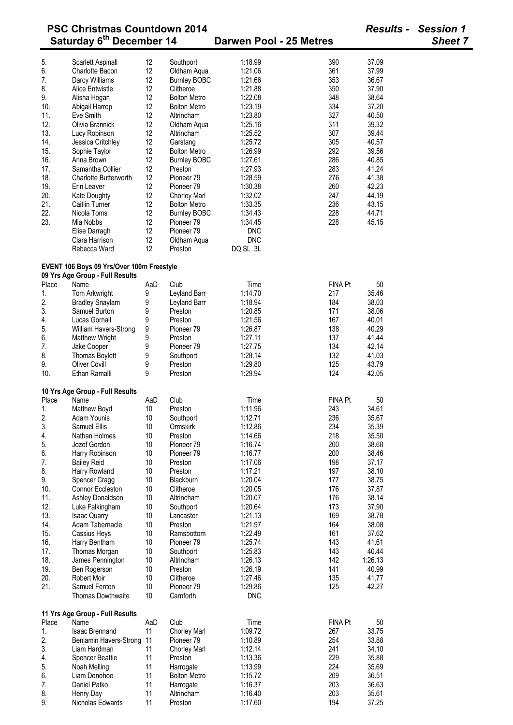|            | <b>PSC Christmas Countdown 2014</b><br>Saturday 6 <sup>th</sup> December 14  |          |                                              | Darwen Pool - 25 Metres |                | <b>Results - Session 1</b><br><b>Sheet 7</b> |  |
|------------|------------------------------------------------------------------------------|----------|----------------------------------------------|-------------------------|----------------|----------------------------------------------|--|
| 5.         | Scarlett Aspinall                                                            | 12       | Southport                                    | 1:18.99                 | 390            | 37.09                                        |  |
| 6.         | Charlotte Bacon                                                              | 12       | Oldham Aqua                                  | 1:21.06                 | 361            | 37.99                                        |  |
| 7.         | Darcy Williams                                                               | 12       | <b>Burnley BOBC</b>                          | 1:21.66                 | 353            | 36.67                                        |  |
| 8.         | Alice Entwistle                                                              | 12       | Clitheroe                                    | 1:21.88                 | 350            | 37.90                                        |  |
| 9.         | Alisha Hogan                                                                 | 12       | <b>Bolton Metro</b>                          | 1:22.08                 | 348            | 38.64                                        |  |
| 10.        | Abigail Harrop                                                               | 12       | <b>Bolton Metro</b>                          | 1:23.19                 | 334            | 37.20                                        |  |
| 11.        | Eve Smith                                                                    | 12       | Altrincham                                   | 1:23.80                 | 327            | 40.50                                        |  |
| 12.        | Olivia Brannick                                                              | 12       | Oldham Aqua                                  | 1:25.16                 | 311            | 39.32                                        |  |
| 13.        | Lucy Robinson                                                                | 12       | Altrincham                                   | 1:25.52                 | 307            | 39.44                                        |  |
| 14.        | Jessica Critchley                                                            | 12       | Garstang                                     | 1:25.72                 | 305            | 40.57                                        |  |
| 15.        | Sophie Taylor                                                                | 12       | <b>Bolton Metro</b>                          | 1:26.99                 | 292            | 39.56                                        |  |
| 16.        | Anna Brown                                                                   | 12       | <b>Burnley BOBC</b>                          | 1:27.61                 | 286            | 40.85                                        |  |
| 17.        | Samantha Collier                                                             | 12       | Preston                                      | 1:27.93                 | 283            | 41.24                                        |  |
| 18.        | <b>Charlotte Butterworth</b>                                                 | 12       | Pioneer 79                                   | 1:28.59                 | 276            | 41.38<br>42.23                               |  |
| 19.<br>20. | Erin Leaver<br>Kate Doughty                                                  | 12<br>12 | Pioneer <sub>79</sub><br><b>Chorley Marl</b> | 1:30.38<br>1:32.02      | 260<br>247     | 44.19                                        |  |
| 21.        | <b>Caitlin Turner</b>                                                        | 12       | <b>Bolton Metro</b>                          | 1:33.35                 | 236            | 43.15                                        |  |
| 22.        | Nicola Toms                                                                  | 12       | <b>Burnley BOBC</b>                          | 1:34.43                 | 228            | 44.71                                        |  |
| 23.        | Mia Nobbs                                                                    | 12       | Pioneer 79                                   | 1:34.45                 | 228            | 45.15                                        |  |
|            | Elise Darragh                                                                | 12       | Pioneer <sub>79</sub>                        | <b>DNC</b>              |                |                                              |  |
|            | Ciara Harrison                                                               | 12       | Oldham Aqua                                  | <b>DNC</b>              |                |                                              |  |
|            | Rebecca Ward                                                                 | 12       | Preston                                      | DQ SL 3L                |                |                                              |  |
|            | EVENT 106 Boys 09 Yrs/Over 100m Freestyle<br>09 Yrs Age Group - Full Results |          |                                              |                         |                |                                              |  |
| Place      | Name                                                                         | AaD      | Club                                         | Time                    | FINA Pt        | 50                                           |  |
| 1.         | Tom Arkwright                                                                | 9        | Leyland Barr                                 | 1:14.70                 | 217            | 35.46                                        |  |
| 2.         | <b>Bradley Snaylam</b>                                                       | 9        | Leyland Barr                                 | 1:18.94                 | 184            | 38.03                                        |  |
| 3.         | Samuel Burton                                                                | 9        | Preston                                      | 1:20.85                 | 171            | 38.06                                        |  |
| 4.         | Lucas Gornall                                                                | 9        | Preston                                      | 1:21.56                 | 167            | 40.01                                        |  |
| 5.         | William Havers-Strong                                                        | 9        | Pioneer <sub>79</sub>                        | 1:26.87                 | 138            | 40.29                                        |  |
| 6.         | <b>Matthew Wright</b>                                                        | 9        | Preston                                      | 1:27.11                 | 137            | 41.44                                        |  |
| 7.         | Jake Cooper                                                                  | 9        | Pioneer 79                                   | 1:27.75                 | 134            | 42.14                                        |  |
| 8.         | Thomas Boylett                                                               | 9        | Southport                                    | 1:28.14                 | 132            | 41.03                                        |  |
| 9.<br>10.  | <b>Oliver Covill</b><br>Ethan Ramalli                                        | 9<br>9   | Preston<br>Preston                           | 1:29.80<br>1:29.94      | 125<br>124     | 43.79<br>42.05                               |  |
|            | 10 Yrs Age Group - Full Results                                              |          |                                              |                         |                |                                              |  |
| Place      | Name                                                                         | AaD      | Club                                         | Time                    | <b>FINA Pt</b> | 50                                           |  |
| 1.         | Matthew Boyd                                                                 | 10       | Preston                                      | 1:11.96                 | 243            | 34.61                                        |  |
| 2.         | Adam Younis                                                                  | 10       | Southport                                    | 1:12.71                 | 236            | 35.67                                        |  |
| 3.         | Samuel Ellis                                                                 | 10       | Ormskirk                                     | 1:12.86                 | 234            | 35.39                                        |  |
| 4.         | Nathan Holmes                                                                | 10       | Preston<br>Pioneer <sub>79</sub>             | 1:14.66                 | 218            | 35.50                                        |  |
| 5.<br>6.   | Jozef Gordon<br>Harry Robinson                                               | 10<br>10 | Pioneer 79                                   | 1:16.74<br>1:16.77      | 200<br>200     | 38.68<br>38.46                               |  |
| 7.         | <b>Bailey Reid</b>                                                           | 10       | Preston                                      | 1:17.06                 | 198            | 37.17                                        |  |
| 8.         | Harry Rowland                                                                | 10       | Preston                                      | 1:17.21                 | 197            | 38.10                                        |  |
| 9.         | Spencer Cragg                                                                | 10       | Blackburn                                    | 1:20.04                 | 177            | 38.75                                        |  |
| 10.        | Connor Eccleston                                                             | 10       | Clitheroe                                    | 1:20.05                 | 176            | 37.87                                        |  |
| 11.        | Ashley Donaldson                                                             | 10       | Altrincham                                   | 1:20.07                 | 176            | 38.14                                        |  |
| 12.        | Luke Falkingham                                                              | 10       | Southport                                    | 1:20.64                 | 173            | 37.90                                        |  |
| 13.        | <b>Isaac Quarry</b>                                                          | 10       | Lancaster                                    | 1:21.13                 | 169            | 38.78                                        |  |
| 14.        | Adam Tabernacle                                                              | 10       | Preston                                      | 1:21.97                 | 164            | 38.08                                        |  |
| 15.        | Cassius Heys                                                                 | 10       | Ramsbottom                                   | 1:22.49                 | 161            | 37.62                                        |  |
| 16.        | Harry Bentham                                                                | 10       | Pioneer <sub>79</sub>                        | 1:25.74                 | 143            | 41.61                                        |  |
| 17.        | Thomas Morgan                                                                | 10       | Southport                                    | 1:25.83                 | 143            | 40.44                                        |  |
| 18.        | James Pennington                                                             | 10       | Altrincham                                   | 1:26.13                 | 142            | 1:26.13                                      |  |
| 19.        | Ben Rogerson                                                                 | 10       | Preston                                      | 1:26.19                 | 141            | 40.99                                        |  |
| 20.        | Robert Moir                                                                  | 10       | Clitheroe                                    | 1:27.46                 | 135            | 41.77                                        |  |
| 21.        | Samuel Fenton<br>Thomas Dowthwaite                                           | 10<br>10 | Pioneer 79<br>Carnforth                      | 1:29.86<br><b>DNC</b>   | 125            | 42.27                                        |  |
|            |                                                                              |          |                                              |                         |                |                                              |  |
|            | 11 Yrs Age Group - Full Results                                              |          |                                              |                         |                |                                              |  |
| Place      | Name                                                                         | AaD      | Club                                         | Time                    | <b>FINA Pt</b> | 50                                           |  |
| 1.         | <b>Isaac Brennand</b>                                                        | 11       | Chorley Marl                                 | 1:09.72                 | 267            | 33.75                                        |  |
| 2.         | Benjamin Havers-Strong                                                       | 11       | Pioneer <sub>79</sub>                        | 1:10.89                 | 254            | 33.88                                        |  |
| 3.         | Liam Hardman                                                                 | 11       | <b>Chorley Marl</b>                          | 1:12.14                 | 241            | 34.10                                        |  |
| 4.         | <b>Spencer Beattie</b>                                                       | 11       | Preston                                      | 1:13.36                 | 229<br>224     | 35.88                                        |  |
| 5.<br>6.   | Noah Melling<br>Liam Donohoe                                                 | 11<br>11 | Harrogate<br><b>Bolton Metro</b>             | 1:13.99<br>1:15.72      | 209            | 35.69<br>36.51                               |  |
| 7.         | Daniel Patko                                                                 | 11       | Harrogate                                    | 1:16.37                 | 203            | 36.63                                        |  |
| 8.         | Henry Day                                                                    | 11       | Altrincham                                   | 1:16.40                 | 203            | 35.61                                        |  |

9. Nicholas Edwards 11 Preston 1:17.60 194 37.25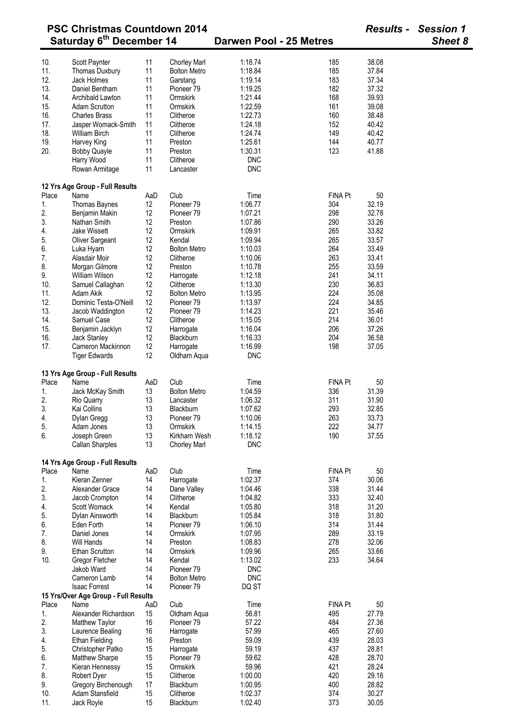|                                      | <b>PSC Christmas Countdown 2014</b>  |     |                       |                         |                |       | <b>Results - Session 1</b> |  |
|--------------------------------------|--------------------------------------|-----|-----------------------|-------------------------|----------------|-------|----------------------------|--|
| Saturday 6 <sup>th</sup> December 14 |                                      |     |                       | Darwen Pool - 25 Metres |                |       | Sheet 8                    |  |
|                                      |                                      |     |                       |                         |                |       |                            |  |
| 10.                                  | Scott Paynter                        | 11  | <b>Chorley Marl</b>   | 1:18.74                 | 185            | 38.08 |                            |  |
| 11.                                  | Thomas Duxbury                       | 11  | <b>Bolton Metro</b>   | 1:18.84                 | 185            | 37.84 |                            |  |
| 12.                                  | Jack Holmes                          | 11  | Garstang              | 1:19.14                 | 183            | 37.34 |                            |  |
| 13.                                  | Daniel Bentham                       | 11  | Pioneer <sub>79</sub> | 1:19.25                 | 182            | 37.32 |                            |  |
| 14.                                  | Archibald Lawton                     | 11  | Ormskirk              | 1:21.44                 | 168            | 39.93 |                            |  |
| 15.                                  | <b>Adam Scrutton</b>                 | 11  | Ormskirk              | 1:22.59                 | 161            | 39.08 |                            |  |
| 16.                                  | <b>Charles Brass</b>                 | 11  | Clitheroe             | 1:22.73                 | 160            | 38.48 |                            |  |
| 17.                                  | Jasper Womack-Smith                  | 11  | Clitheroe             | 1:24.18                 | 152            | 40.42 |                            |  |
| 18.                                  | <b>William Birch</b>                 | 11  | Clitheroe             | 1:24.74                 | 149            | 40.42 |                            |  |
| 19.                                  | Harvey King                          | 11  | Preston               | 1:25.61                 | 144            | 40.77 |                            |  |
| 20.                                  | <b>Bobby Quayle</b>                  | 11  | Preston               | 1:30.31                 | 123            | 41.88 |                            |  |
|                                      | Harry Wood                           | 11  | Clitheroe             | <b>DNC</b>              |                |       |                            |  |
|                                      | Rowan Armitage                       | 11  | Lancaster             | <b>DNC</b>              |                |       |                            |  |
|                                      | 12 Yrs Age Group - Full Results      |     |                       |                         |                |       |                            |  |
| Place                                | Name                                 | AaD | Club                  | Time                    | <b>FINA Pt</b> | 50    |                            |  |
| 1.                                   | Thomas Baynes                        | 12  | Pioneer 79            | 1:06.77                 | 304            | 32.19 |                            |  |
| 2.                                   | Benjamin Makin                       | 12  | Pioneer <sub>79</sub> | 1:07.21                 | 298            | 32.78 |                            |  |
|                                      |                                      |     |                       |                         |                | 33.26 |                            |  |
| 3.                                   | Nathan Smith                         | 12  | Preston               | 1:07.86                 | 290            |       |                            |  |
| 4.                                   | Jake Wissett                         | 12  | Ormskirk              | 1:09.91                 | 265            | 33.82 |                            |  |
| 5.                                   | Oliver Sargeant                      | 12  | Kendal                | 1:09.94                 | 265            | 33.57 |                            |  |
| 6.                                   | Luka Hyam                            | 12  | <b>Bolton Metro</b>   | 1:10.03                 | 264            | 33.49 |                            |  |
| 7.                                   | Alasdair Moir                        | 12  | Clitheroe             | 1:10.06                 | 263            | 33.41 |                            |  |
| 8.                                   | Morgan Gilmore                       | 12  | Preston               | 1:10.78                 | 255            | 33.59 |                            |  |
| 9.                                   | William Wilson                       | 12  | Harrogate             | 1:12.18                 | 241            | 34.11 |                            |  |
| 10.                                  | Samuel Callaghan                     | 12  | Clitheroe             | 1:13.30                 | 230            | 36.83 |                            |  |
| 11.                                  | Adam Akik                            | 12  | <b>Bolton Metro</b>   | 1:13.95                 | 224            | 35.08 |                            |  |
| 12.                                  | Dominic Testa-O'Neill                | 12  | Pioneer 79            | 1:13.97                 | 224            | 34.85 |                            |  |
| 13.                                  | Jacob Waddington                     | 12  | Pioneer <sub>79</sub> | 1:14.23                 | 221            | 35.46 |                            |  |
| 14.                                  | Samuel Case                          | 12  | Clitheroe             | 1:15.05                 | 214            | 36.01 |                            |  |
|                                      |                                      |     |                       |                         |                |       |                            |  |
| 15.                                  | Benjamin Jacklyn                     | 12  | Harrogate             | 1:16.04                 | 206            | 37.26 |                            |  |
| 16.                                  | <b>Jack Stanley</b>                  | 12  | Blackburn             | 1:16.33                 | 204            | 36.58 |                            |  |
| 17.                                  | Cameron Mackinnon                    | 12  | Harrogate             | 1:16.99                 | 198            | 37.05 |                            |  |
|                                      | <b>Tiger Edwards</b>                 | 12  | Oldham Aqua           | <b>DNC</b>              |                |       |                            |  |
|                                      | 13 Yrs Age Group - Full Results      |     |                       |                         |                |       |                            |  |
| Place                                | Name                                 | AaD | Club                  | Time                    | <b>FINA Pt</b> | 50    |                            |  |
| 1.                                   | Jack McKay Smith                     | 13  | <b>Bolton Metro</b>   | 1:04.59                 | 336            | 31.39 |                            |  |
| 2.                                   | Rio Quarry                           | 13  | Lancaster             | 1:06.32                 | 311            | 31.90 |                            |  |
| 3.                                   | Kai Collins                          | 13  | Blackburn             | 1:07.62                 | 293            | 32.85 |                            |  |
| 4.                                   | Dylan Gregg                          | 13  | Pioneer 79            | 1:10.06                 | 263            | 33.73 |                            |  |
| 5.                                   | Adam Jones                           | 13  | Ormskirk              | 1:14.15                 | 222            | 34.77 |                            |  |
| 6.                                   | Joseph Green                         | 13  | Kirkham Wesh          | 1:18.12                 | 190            | 37.55 |                            |  |
|                                      | Callan Sharples                      | 13  |                       | <b>DNC</b>              |                |       |                            |  |
|                                      |                                      |     | <b>Chorley Marl</b>   |                         |                |       |                            |  |
|                                      | 14 Yrs Age Group - Full Results      |     |                       |                         |                |       |                            |  |
| Place                                | Name                                 | AaD | Club                  | Time                    | FINA Pt        | 50    |                            |  |
| 1.                                   | Kieran Zenner                        | 14  | Harrogate             | 1:02.37                 | 374            | 30.06 |                            |  |
| 2.                                   | Alexander Grace                      | 14  | Dane Valley           | 1:04.46                 | 338            | 31.44 |                            |  |
| 3.                                   | Jacob Crompton                       | 14  | Clitheroe             | 1:04.82                 | 333            | 32.40 |                            |  |
| 4.                                   | Scott Womack                         | 14  | Kendal                | 1:05.80                 | 318            | 31.20 |                            |  |
| 5.                                   | Dylan Ainsworth                      | 14  | <b>Blackburn</b>      | 1:05.84                 | 318            | 31.80 |                            |  |
| 6.                                   | Eden Forth                           | 14  | Pioneer 79            | 1:06.10                 | 314            | 31.44 |                            |  |
| 7.                                   | Daniel Jones                         | 14  | Ormskirk              | 1:07.95                 | 289            | 33.19 |                            |  |
| 8.                                   | Will Hands                           | 14  | Preston               | 1:08.83                 | 278            | 32.06 |                            |  |
| 9.                                   | <b>Ethan Scrutton</b>                | 14  | Ormskirk              | 1:09.96                 | 265            | 33.66 |                            |  |
| 10.                                  | Gregor Fletcher                      | 14  | Kendal                | 1:13.02                 | 233            | 34.64 |                            |  |
|                                      | Jakob Ward                           | 14  | Pioneer <sub>79</sub> | <b>DNC</b>              |                |       |                            |  |
|                                      | Cameron Lamb                         | 14  | <b>Bolton Metro</b>   | <b>DNC</b>              |                |       |                            |  |
|                                      |                                      |     |                       |                         |                |       |                            |  |
|                                      | <b>Isaac Forrest</b>                 | 14  | Pioneer <sub>79</sub> | DQ ST                   |                |       |                            |  |
|                                      | 15 Yrs/Over Age Group - Full Results |     |                       |                         |                |       |                            |  |
| Place                                | Name                                 | AaD | Club                  | Time                    | FINA Pt        | 50    |                            |  |
| 1.                                   | Alexander Richardson                 | 15  | Oldham Aqua           | 56.81                   | 495            | 27.79 |                            |  |
| 2.                                   | <b>Matthew Taylor</b>                | 16  | Pioneer 79            | 57.22                   | 484            | 27.36 |                            |  |
| 3.                                   | Laurence Bealing                     | 16  | Harrogate             | 57.99                   | 465            | 27.60 |                            |  |
| 4.                                   | <b>Ethan Fielding</b>                | 16  | Preston               | 59.09                   | 439            | 28.03 |                            |  |
| 5.                                   | Christopher Patko                    | 15  | Harrogate             | 59.19                   | 437            | 28.81 |                            |  |
| 6.                                   | Matthew Sharpe                       | 15  | Pioneer <sub>79</sub> | 59.62                   | 428            | 28.70 |                            |  |
| 7.                                   | Kieran Hennessy                      | 15  | Ormskirk              | 59.96                   | 421            | 28.24 |                            |  |
| 8.                                   | Robert Dyer                          | 15  | Clitheroe             | 1:00.00                 | 420            | 29.16 |                            |  |
| 9.                                   | Gregory Birchenough                  | 17  | Blackburn             | 1:00.95                 | 400            | 28.82 |                            |  |
|                                      |                                      |     |                       |                         |                |       |                            |  |
| 10.                                  | Adam Stansfield                      | 15  | Clitheroe             | 1:02.37                 | 374            | 30.27 |                            |  |
| 11.                                  | Jack Royle                           | 15  | Blackburn             | 1:02.40                 | 373            | 30.05 |                            |  |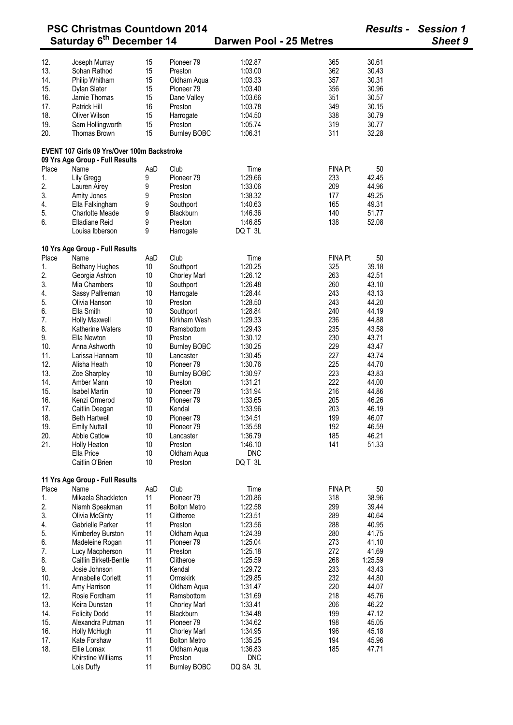|            | <b>PSC Christmas Countdown 2014</b>                                            |          |                                |                         |                |                | <b>Results - Session 1</b> |  |
|------------|--------------------------------------------------------------------------------|----------|--------------------------------|-------------------------|----------------|----------------|----------------------------|--|
|            | Saturday 6 <sup>th</sup> December 14                                           |          |                                | Darwen Pool - 25 Metres |                |                | <b>Sheet 9</b>             |  |
| 12.        |                                                                                |          | Pioneer <sub>79</sub>          | 1:02.87                 | 365            | 30.61          |                            |  |
|            | Joseph Murray                                                                  | 15       |                                |                         |                |                |                            |  |
| 13.        | Sohan Rathod                                                                   | 15       | Preston                        | 1:03.00                 | 362            | 30.43          |                            |  |
| 14.        | Philip Whitham                                                                 | 15       | Oldham Aqua                    | 1:03.33                 | 357            | 30.31          |                            |  |
| 15.        | Dylan Slater                                                                   | 15       | Pioneer <sub>79</sub>          | 1:03.40                 | 356            | 30.96          |                            |  |
| 16.        | Jamie Thomas                                                                   | 15       | Dane Valley                    | 1:03.66                 | 351            | 30.57          |                            |  |
| 17.        | Patrick Hill                                                                   | 16       | Preston                        | 1:03.78                 | 349            | 30.15          |                            |  |
| 18.        | Oliver Wilson                                                                  | 15       | Harrogate                      | 1:04.50                 | 338            | 30.79          |                            |  |
| 19.<br>20. | Sam Hollingworth<br><b>Thomas Brown</b>                                        | 15<br>15 | Preston<br><b>Burnley BOBC</b> | 1:05.74<br>1:06.31      | 319<br>311     | 30.77<br>32.28 |                            |  |
|            | EVENT 107 Girls 09 Yrs/Over 100m Backstroke<br>09 Yrs Age Group - Full Results |          |                                |                         |                |                |                            |  |
| Place      | Name                                                                           | AaD      | Club                           | Time                    | <b>FINA Pt</b> | 50             |                            |  |
| 1.         | Lily Gregg                                                                     | 9        | Pioneer <sub>79</sub>          | 1:29.66                 | 233            | 42.45          |                            |  |
| 2.         | Lauren Airey                                                                   | 9        | Preston                        | 1:33.06                 | 209            | 44.96          |                            |  |
| 3.         | Amity Jones                                                                    | 9        | Preston                        | 1:38.32                 | 177            | 49.25          |                            |  |
| 4.         | Ella Falkingham                                                                | 9        | Southport                      | 1:40.63                 | 165            | 49.31          |                            |  |
| 5.         | <b>Charlotte Meade</b>                                                         | 9        | Blackburn                      | 1:46.36                 | 140            | 51.77          |                            |  |
| 6.         | <b>Elladiane Reid</b>                                                          | 9        | Preston                        | 1:46.85                 | 138            | 52.08          |                            |  |
|            | Louisa Ibberson                                                                | 9        | Harrogate                      | DQ T 3L                 |                |                |                            |  |
|            | 10 Yrs Age Group - Full Results                                                |          |                                |                         |                |                |                            |  |
| Place      | Name                                                                           | AaD      | Club                           | Time                    | <b>FINA Pt</b> | 50             |                            |  |
| 1.         | <b>Bethany Hughes</b>                                                          | 10       | Southport                      | 1:20.25                 | 325            | 39.18          |                            |  |
| 2.         | Georgia Ashton                                                                 | 10       | Chorley Marl                   | 1:26.12                 | 263            | 42.51          |                            |  |
| 3.         | Mia Chambers                                                                   | 10       | Southport                      | 1:26.48                 | 260            | 43.10          |                            |  |
| 4.         | Sassy Palfreman                                                                | 10       | Harrogate                      | 1:28.44                 | 243            | 43.13          |                            |  |
| 5.         | Olivia Hanson                                                                  | 10       | Preston                        | 1:28.50                 | 243            | 44.20          |                            |  |
| 6.         | Ella Smith                                                                     | 10       | Southport                      | 1:28.84                 | 240            | 44.19          |                            |  |
| 7.         | <b>Holly Maxwell</b>                                                           | 10       | Kirkham Wesh                   | 1:29.33                 | 236            | 44.88          |                            |  |
| 8.         | <b>Katherine Waters</b>                                                        | 10       | Ramsbottom                     | 1:29.43                 | 235            | 43.58          |                            |  |
| 9.         | Ella Newton                                                                    | 10       | Preston                        | 1:30.12                 | 230            | 43.71          |                            |  |
| 10.        | Anna Ashworth                                                                  | 10       | <b>Burnley BOBC</b>            | 1:30.25                 | 229            | 43.47          |                            |  |
| 11.        | Larissa Hannam                                                                 | 10       | Lancaster                      | 1:30.45                 | 227            | 43.74          |                            |  |
| 12.        | Alisha Heath                                                                   | 10       | Pioneer <sub>79</sub>          | 1:30.76                 | 225            | 44.70          |                            |  |
| 13.        | Zoe Sharpley                                                                   | 10       | <b>Burnley BOBC</b>            | 1:30.97                 | 223            | 43.83          |                            |  |
| 14.        | Amber Mann                                                                     | 10       | Preston                        | 1:31.21                 | 222            | 44.00          |                            |  |
| 15.        | <b>Isabel Martin</b>                                                           | 10       | Pioneer 79                     | 1:31.94                 | 216            | 44.86          |                            |  |
| 16.        | Kenzi Ormerod                                                                  | 10       | Pioneer <sub>79</sub>          | 1:33.65                 | 205            | 46.26          |                            |  |
| 17.        | Caitlin Deegan                                                                 | 10       | Kendal                         | 1:33.96                 | 203            | 46.19          |                            |  |
| 18.        | <b>Beth Hartwell</b>                                                           | 10       | Pioneer 79                     | 1:34.51                 | 199            | 46.07          |                            |  |
| 19.        | <b>Emily Nuttall</b>                                                           | 10       | Pioneer <sub>79</sub>          | 1:35.58                 | 192            | 46.59          |                            |  |
| 20.        | <b>Abbie Catlow</b>                                                            | 10       | Lancaster                      | 1:36.79                 | 185            | 46.21          |                            |  |
| 21.        | Holly Heaton                                                                   | 10       | Preston                        | 1:46.10                 | 141            | 51.33          |                            |  |
|            | Ella Price                                                                     | 10       | Oldham Aqua                    | <b>DNC</b>              |                |                |                            |  |
|            | Caitlin O'Brien                                                                | 10       | Preston                        | DQ T 3L                 |                |                |                            |  |
|            |                                                                                |          |                                |                         |                |                |                            |  |
|            | 11 Yrs Age Group - Full Results                                                |          |                                |                         |                |                |                            |  |
| Place      | Name                                                                           | AaD      | Club                           | Time                    | <b>FINA Pt</b> | 50             |                            |  |
| 1.         | Mikaela Shackleton                                                             | 11       | Pioneer 79                     | 1:20.86                 | 318            | 38.96          |                            |  |
| 2.         | Niamh Speakman                                                                 | 11       | <b>Bolton Metro</b>            | 1:22.58                 | 299            | 39.44          |                            |  |
| 3.         | Olivia McGinty                                                                 | 11       | Clitheroe                      | 1:23.51                 | 289            | 40.64          |                            |  |
| 4.         | Gabrielle Parker                                                               | 11       | Preston                        | 1:23.56                 | 288            | 40.95          |                            |  |
| 5.         | Kimberley Burston                                                              | 11       | Oldham Aqua                    | 1:24.39                 | 280            | 41.75          |                            |  |
| 6.         | Madeleine Rogan                                                                | 11       | Pioneer <sub>79</sub>          | 1:25.04                 | 273            | 41.10          |                            |  |
| 7.         | Lucy Macpherson                                                                | 11       | Preston                        | 1:25.18                 | 272            | 41.69          |                            |  |
| 8.         | Caitlin Birkett-Bentle                                                         | 11       | Clitheroe                      | 1:25.59                 | 268            | 1:25.59        |                            |  |
| 9.         | Josie Johnson                                                                  | 11       | Kendal                         | 1:29.72                 | 233            | 43.43          |                            |  |
| 10.        | Annabelle Corlett                                                              | 11       | Ormskirk                       | 1:29.85                 | 232            | 44.80          |                            |  |
| 11.        | Amy Harrison                                                                   | 11       | Oldham Aqua                    | 1:31.47                 | 220            | 44.07          |                            |  |
| 12.        | Rosie Fordham                                                                  | 11       | Ramsbottom                     | 1:31.69                 | 218            | 45.76          |                            |  |
| 13.        | Keira Dunstan                                                                  | 11       | <b>Chorley Marl</b>            | 1:33.41                 | 206            | 46.22          |                            |  |
| 14.        | <b>Felicity Dodd</b>                                                           | 11       | Blackburn                      | 1:34.48                 | 199            | 47.12          |                            |  |
| 15.        | Alexandra Putman                                                               | 11       | Pioneer 79                     | 1:34.62                 | 198            | 45.05          |                            |  |
| 16.        | Holly McHugh                                                                   | 11       | <b>Chorley Marl</b>            | 1:34.95                 | 196            | 45.18          |                            |  |
| 17.        | Kate Forshaw                                                                   | 11       | <b>Bolton Metro</b>            | 1:35.25                 | 194            | 45.96          |                            |  |
| 18.        | Ellie Lomax                                                                    | 11       | Oldham Aqua                    | 1:36.83                 | 185            | 47.71          |                            |  |
|            | Khirstine Williams                                                             | 11       | Preston                        | <b>DNC</b>              |                |                |                            |  |
|            | Lois Duffy                                                                     | 11       | <b>Burnley BOBC</b>            | DQ SA 3L                |                |                |                            |  |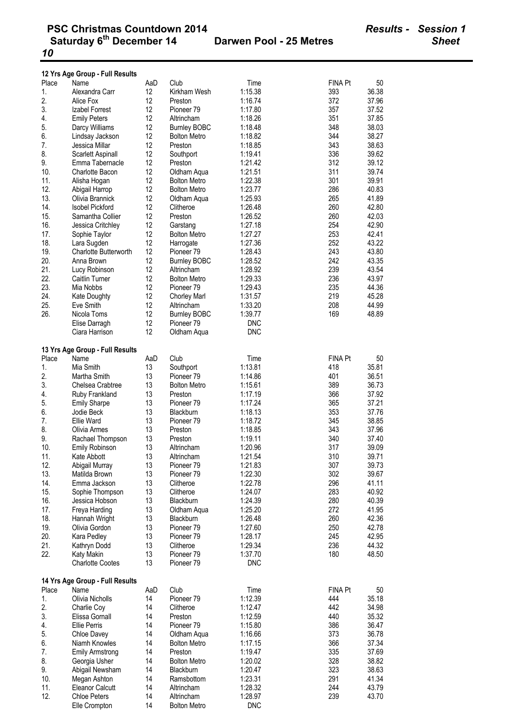|            | 12 Yrs Age Group - Full Results |          |                                    |                    |                |                |
|------------|---------------------------------|----------|------------------------------------|--------------------|----------------|----------------|
| Place      | Name                            | AaD      | Club                               | Time               | FINA Pt        | 50             |
| 1.         | Alexandra Carr                  | 12       | Kirkham Wesh                       | 1:15.38            | 393            | 36.38          |
| 2.         | Alice Fox                       | 12       | Preston                            | 1:16.74            | 372            | 37.96          |
| 3.         | Izabel Forrest                  | 12       | Pioneer <sub>79</sub>              | 1:17.80            | 357            | 37.52          |
| 4.         | <b>Emily Peters</b>             | 12       | Altrincham                         | 1:18.26            | 351            | 37.85          |
| 5.         | Darcy Williams                  | 12       | <b>Burnley BOBC</b>                | 1:18.48            | 348            | 38.03          |
| 6.         | Lindsay Jackson                 | 12       | <b>Bolton Metro</b>                | 1:18.82            | 344            | 38.27          |
| 7.         | Jessica Millar                  | 12       | Preston                            | 1:18.85            | 343            | 38.63          |
| 8.         | Scarlett Aspinall               | 12       | Southport                          | 1:19.41            | 336            | 39.62          |
| 9.         | Emma Tabernacle                 | 12       | Preston                            | 1:21.42            | 312            | 39.12          |
| 10.        | <b>Charlotte Bacon</b>          | 12       | Oldham Aqua                        | 1:21.51            | 311            | 39.74          |
| 11.        | Alisha Hogan                    | 12       | <b>Bolton Metro</b>                | 1:22.38            | 301            | 39.91          |
| 12.        | Abigail Harrop                  | 12       | <b>Bolton Metro</b>                | 1:23.77            | 286            | 40.83          |
| 13.        | Olivia Brannick                 | 12       | Oldham Aqua                        | 1:25.93            | 265            | 41.89          |
| 14.        | <b>Isobel Pickford</b>          | 12       | Clitheroe                          | 1:26.48            | 260            | 42.80          |
| 15.        | Samantha Collier                | 12       | Preston                            | 1:26.52            | 260            | 42.03          |
| 16.        | Jessica Critchley               | 12       | Garstang                           | 1:27.18            | 254            | 42.90          |
| 17.<br>18. | Sophie Taylor<br>Lara Sugden    | 12<br>12 | <b>Bolton Metro</b>                | 1:27.27<br>1:27.36 | 253<br>252     | 42.41<br>43.22 |
| 19.        | <b>Charlotte Butterworth</b>    | 12       | Harrogate<br>Pioneer <sub>79</sub> | 1:28.43            | 243            | 43.80          |
| 20.        | Anna Brown                      | 12       | <b>Burnley BOBC</b>                | 1:28.52            | 242            | 43.35          |
| 21.        | Lucy Robinson                   | 12       | Altrincham                         | 1:28.92            | 239            | 43.54          |
| 22.        | Caitlin Turner                  | 12       | <b>Bolton Metro</b>                | 1:29.33            | 236            | 43.97          |
| 23.        | Mia Nobbs                       | 12       | Pioneer <sub>79</sub>              | 1:29.43            | 235            | 44.36          |
| 24.        | <b>Kate Doughty</b>             | 12       | <b>Chorley Marl</b>                | 1:31.57            | 219            | 45.28          |
| 25.        | Eve Smith                       | 12       | Altrincham                         | 1:33.20            | 208            | 44.99          |
| 26.        | Nicola Toms                     | 12       | <b>Burnley BOBC</b>                | 1:39.77            | 169            | 48.89          |
|            | Elise Darragh                   | 12       | Pioneer <sub>79</sub>              | <b>DNC</b>         |                |                |
|            | Ciara Harrison                  | 12       | Oldham Aqua                        | <b>DNC</b>         |                |                |
|            |                                 |          |                                    |                    |                |                |
|            | 13 Yrs Age Group - Full Results |          |                                    |                    |                |                |
| Place      | Name                            | AaD      | Club                               | Time               | <b>FINA Pt</b> | 50             |
| 1.         | Mia Smith                       | 13       | Southport                          | 1:13.81            | 418            | 35.81          |
| 2.         | Martha Smith                    | 13       | Pioneer 79                         | 1:14.86            | 401            | 36.51          |
| 3.         | Chelsea Crabtree                | 13       | <b>Bolton Metro</b>                | 1:15.61            | 389            | 36.73          |
| 4.         | Ruby Frankland                  | 13       | Preston                            | 1:17.19            | 366            | 37.92          |
| 5.         | <b>Emily Sharpe</b>             | 13       | Pioneer 79                         | 1:17.24            | 365            | 37.21          |
| 6.         | Jodie Beck                      | 13       | Blackburn                          | 1:18.13            | 353            | 37.76          |
| 7.<br>8.   | Ellie Ward<br>Olivia Armes      | 13<br>13 | Pioneer 79<br>Preston              | 1:18.72<br>1:18.85 | 345<br>343     | 38.85<br>37.96 |
| 9.         | Rachael Thompson                | 13       | Preston                            | 1:19.11            | 340            | 37.40          |
| 10.        | Emily Robinson                  | 13       | Altrincham                         | 1:20.96            | 317            | 39.09          |
| 11.        | Kate Abbott                     | 13       | Altrincham                         | 1:21.54            | 310            | 39.71          |
| 12.        | Abigail Murray                  | 13       | Pioneer <sub>79</sub>              | 1:21.83            | 307            | 39.73          |
| 13.        | Matilda Brown                   | 13       | Pioneer <sub>79</sub>              | 1:22.30            | 302            | 39.67          |
| 14.        | Emma Jackson                    | 13       | Clitheroe                          | 1:22.78            | 296            | 41.11          |
| 15.        | Sophie Thompson                 | 13       | Clitheroe                          | 1:24.07            | 283            | 40.92          |
| 16.        | Jessica Hobson                  | 13       | Blackburn                          | 1:24.39            | 280            | 40.39          |
| 17.        | Freya Harding                   | 13       | Oldham Aqua                        | 1:25.20            | 272            | 41.95          |
| 18.        | Hannah Wright                   | 13       | Blackburn                          | 1:26.48            | 260            | 42.36          |
| 19.        | Olivia Gordon                   | 13       | Pioneer <sub>79</sub>              | 1:27.60            | 250            | 42.78          |
| 20.        | Kara Pedley                     | 13       | Pioneer <sub>79</sub>              | 1:28.17            | 245            | 42.95          |
| 21.        | Kathryn Dodd                    | 13       | Clitheroe                          | 1:29.34            | 236            | 44.32          |
| 22.        | Katy Makin                      | 13       | Pioneer 79                         | 1:37.70            | 180            | 48.50          |
|            | <b>Charlotte Cootes</b>         | 13       | Pioneer 79                         | <b>DNC</b>         |                |                |
|            | 14 Yrs Age Group - Full Results |          |                                    |                    |                |                |
| Place      | Name                            | AaD      | Club                               | Time               | FINA Pt        | 50             |
| 1.         | Olivia Nicholls                 | 14       | Pioneer 79                         | 1:12.39            | 444            | 35.18          |
| 2.         | Charlie Coy                     | 14       | Clitheroe                          | 1:12.47            | 442            | 34.98          |
| 3.         | Elissa Gornall                  | 14       | Preston                            | 1:12.59            | 440            | 35.32          |
| 4.         | <b>Ellie Perris</b>             | 14       | Pioneer 79                         | 1:15.80            | 386            | 36.47          |
| 5.         | Chloe Davey                     | 14       | Oldham Aqua                        | 1:16.66            | 373            | 36.78          |
| 6.         | Niamh Knowles                   | 14       | <b>Bolton Metro</b>                | 1:17.15            | 366            | 37.34          |
| 7.         | <b>Emily Armstrong</b>          | 14       | Preston                            | 1:19.47            | 335            | 37.69          |
| 8.         | Georgia Usher                   | 14       | <b>Bolton Metro</b>                | 1:20.02            | 328            | 38.82          |
| 9.         | Abigail Newsham                 | 14       | Blackburn                          | 1:20.47            | 323            | 38.63          |
| 10.        | Megan Ashton                    | 14       | Ramsbottom                         | 1:23.31            | 291            | 41.34          |
| 11.        | <b>Eleanor Calcutt</b>          | 14       | Altrincham                         | 1:28.32            | 244            | 43.79          |
| 12.        | <b>Chloe Peters</b>             | 14       | Altrincham                         | 1:28.97            | 239            | 43.70          |
|            | Elle Crompton                   | 14       | <b>Bolton Metro</b>                | <b>DNC</b>         |                |                |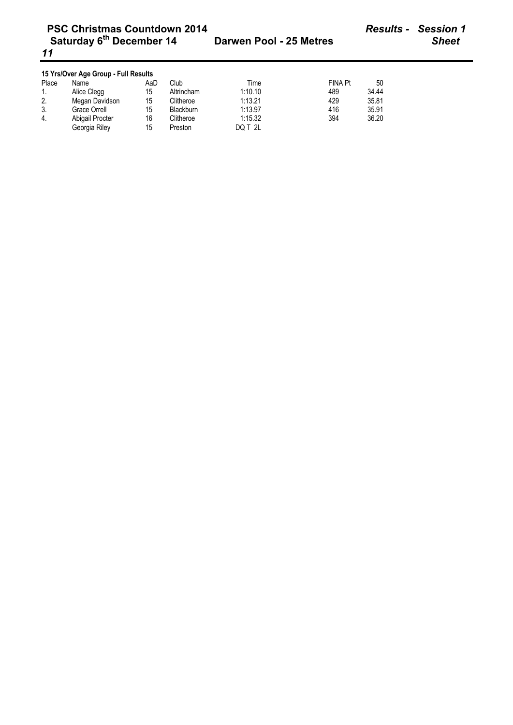| <b>PSC Christmas Countdown 2014</b><br>Saturday 6 <sup>th</sup> December 14<br>11 |                 |     |                  | Darwen Pool - 25 Metres |         | <b>Results -</b> | <b>Session 1</b><br><b>Sheet</b> |
|-----------------------------------------------------------------------------------|-----------------|-----|------------------|-------------------------|---------|------------------|----------------------------------|
| 15 Yrs/Over Age Group - Full Results                                              |                 |     |                  |                         |         |                  |                                  |
| Place                                                                             | Name            | AaD | Club             | Time                    | FINA Pt | 50               |                                  |
| 1.                                                                                | Alice Clegg     | 15  | Altrincham       | 1:10.10                 | 489     | 34.44            |                                  |
| 2.                                                                                | Megan Davidson  | 15  | Clitheroe        | 1:13.21                 | 429     | 35.81            |                                  |
| 3.                                                                                | Grace Orrell    | 15  | <b>Blackburn</b> | 1:13.97                 | 416     | 35.91            |                                  |
| 4.                                                                                | Abigail Procter | 16  | Clitheroe        | 1:15.32                 | 394     | 36.20            |                                  |

Georgia Riley 15 Preston DQ T 2L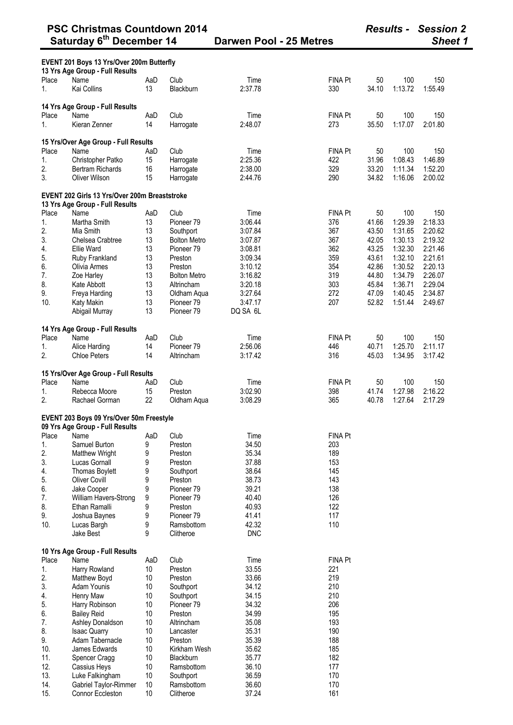|       | Saturday 6 <sup>th</sup> December 14                                             |     | Darwen Pool - 25 Metres |            |                |       | <b>Sheet 1</b> |         |
|-------|----------------------------------------------------------------------------------|-----|-------------------------|------------|----------------|-------|----------------|---------|
|       | EVENT 201 Boys 13 Yrs/Over 200m Butterfly<br>13 Yrs Age Group - Full Results     |     |                         |            |                |       |                |         |
| Place | Name                                                                             | AaD | Club                    | Time       | <b>FINA Pt</b> | 50    | 100            | 150     |
| 1.    | Kai Collins                                                                      | 13  | Blackburn               | 2:37.78    | 330            | 34.10 | 1:13.72        | 1:55.49 |
|       | 14 Yrs Age Group - Full Results                                                  |     |                         |            |                |       |                |         |
| Place | Name                                                                             | AaD | Club                    | Time       | <b>FINA Pt</b> | 50    | 100            | 150     |
| 1.    | Kieran Zenner                                                                    | 14  | Harrogate               | 2:48.07    | 273            | 35.50 | 1:17.07        | 2:01.80 |
|       |                                                                                  |     |                         |            |                |       |                |         |
|       | 15 Yrs/Over Age Group - Full Results                                             |     |                         |            |                |       |                |         |
| Place | Name                                                                             | AaD | Club                    | Time       | FINA Pt        | 50    | 100            | 150     |
| 1.    | Christopher Patko                                                                | 15  | Harrogate               | 2:25.36    | 422            | 31.96 | 1:08.43        | 1:46.89 |
| 2.    | <b>Bertram Richards</b>                                                          | 16  | Harrogate               | 2:38.00    | 329            | 33.20 | 1:11.34        | 1:52.20 |
| 3.    | Oliver Wilson                                                                    | 15  | Harrogate               | 2:44.76    | 290            | 34.82 | 1:16.06        | 2:00.02 |
|       | EVENT 202 Girls 13 Yrs/Over 200m Breaststroke<br>13 Yrs Age Group - Full Results |     |                         |            |                |       |                |         |
| Place | Name                                                                             | AaD | Club                    | Time       | <b>FINA Pt</b> | 50    | 100            | 150     |
| 1.    | Martha Smith                                                                     | 13  | Pioneer <sub>79</sub>   | 3:06.44    | 376            | 41.66 | 1:29.39        | 2:18.33 |
| 2.    | Mia Smith                                                                        | 13  | Southport               | 3:07.84    | 367            | 43.50 | 1:31.65        | 2:20.62 |
| 3.    | Chelsea Crabtree                                                                 | 13  | <b>Bolton Metro</b>     | 3:07.87    | 367            | 42.05 | 1:30.13        | 2:19.32 |
| 4.    | <b>Ellie Ward</b>                                                                | 13  | Pioneer 79              | 3:08.81    | 362            | 43.25 | 1:32.30        | 2:21.46 |
| 5.    | Ruby Frankland                                                                   | 13  | Preston                 | 3:09.34    | 359            | 43.61 | 1:32.10        | 2:21.61 |
| 6.    | Olivia Armes                                                                     | 13  | Preston                 | 3:10.12    | 354            | 42.86 | 1:30.52        | 2:20.13 |
| 7.    | Zoe Harley                                                                       | 13  | <b>Bolton Metro</b>     | 3:16.82    | 319            | 44.80 | 1:34.79        | 2:26.07 |
| 8.    | Kate Abbott                                                                      | 13  | Altrincham              | 3:20.18    | 303            | 45.84 | 1:36.71        | 2:29.04 |
| 9.    | Freya Harding                                                                    | 13  | Oldham Aqua             | 3:27.64    | 272            | 47.09 | 1:40.45        | 2:34.87 |
| 10.   | Katy Makin                                                                       | 13  | Pioneer 79              | 3:47.17    | 207            | 52.82 | 1:51.44        | 2:49.67 |
|       | Abigail Murray                                                                   | 13  | Pioneer 79              | DQ SA 6L   |                |       |                |         |
|       |                                                                                  |     |                         |            |                |       |                |         |
| Place | 14 Yrs Age Group - Full Results<br>Name                                          | AaD | Club                    | Time       | <b>FINA Pt</b> | 50    | 100            | 150     |
| 1.    | Alice Harding                                                                    | 14  | Pioneer <sub>79</sub>   | 2:56.06    | 446            | 40.71 | 1:25.70        | 2:11.17 |
| 2.    | <b>Chloe Peters</b>                                                              | 14  | Altrincham              | 3:17.42    | 316            | 45.03 | 1:34.95        | 3:17.42 |
|       |                                                                                  |     |                         |            |                |       |                |         |
|       | 15 Yrs/Over Age Group - Full Results                                             |     |                         |            |                |       |                |         |
| Place | Name                                                                             | AaD | Club                    | Time       | <b>FINA Pt</b> | 50    | 100            | 150     |
| 1.    | Rebecca Moore                                                                    | 15  | Preston                 | 3:02.90    | 398            | 41.74 | 1:27.98        | 2:16.22 |
| 2.    | Rachael Gorman                                                                   | 22  | Oldham Aqua             | 3:08.29    | 365            | 40.78 | 1:27.64        | 2:17.29 |
|       | EVENT 203 Boys 09 Yrs/Over 50m Freestyle                                         |     |                         |            |                |       |                |         |
|       | 09 Yrs Age Group - Full Results                                                  |     |                         |            |                |       |                |         |
| Place | Name                                                                             | AaD | Club                    | Time       | <b>FINA Pt</b> |       |                |         |
| 1.    | Samuel Burton                                                                    | 9   | Preston                 | 34.50      | 203            |       |                |         |
| 2.    | <b>Matthew Wright</b>                                                            | 9   | Preston                 | 35.34      | 189            |       |                |         |
| 3.    | Lucas Gornall                                                                    | 9   | Preston                 | 37.88      | 153            |       |                |         |
| 4.    | Thomas Boylett                                                                   | 9   | Southport               | 38.64      | 145            |       |                |         |
| 5.    | <b>Oliver Covill</b>                                                             | 9   | Preston                 | 38.73      | 143            |       |                |         |
| 6.    | Jake Cooper                                                                      | 9   | Pioneer <sub>79</sub>   | 39.21      | 138            |       |                |         |
| 7.    | William Havers-Strong                                                            | 9   | Pioneer 79              | 40.40      | 126            |       |                |         |
| 8.    | Ethan Ramalli                                                                    | 9   | Preston                 | 40.93      | 122            |       |                |         |
| 9.    | Joshua Baynes                                                                    | 9   | Pioneer <sub>79</sub>   | 41.41      | 117            |       |                |         |
| 10.   | Lucas Bargh                                                                      | 9   | Ramsbottom              | 42.32      | 110            |       |                |         |
|       | Jake Best                                                                        | 9   | Clitheroe               | <b>DNC</b> |                |       |                |         |
|       | 10 Yrs Age Group - Full Results                                                  |     |                         |            |                |       |                |         |
| Place | Name                                                                             | AaD | Club                    | Time       | <b>FINA Pt</b> |       |                |         |
| 1.    | Harry Rowland                                                                    |     | Preston                 | 33.55      |                |       |                |         |
|       |                                                                                  | 10  |                         | 33.66      | 221            |       |                |         |
| 2.    | Matthew Boyd                                                                     | 10  | Preston                 |            | 219            |       |                |         |
| 3.    | Adam Younis                                                                      | 10  | Southport               | 34.12      | 210            |       |                |         |
| 4.    | Henry Maw                                                                        | 10  | Southport               | 34.15      | 210            |       |                |         |
| 5.    | Harry Robinson                                                                   | 10  | Pioneer <sub>79</sub>   | 34.32      | 206            |       |                |         |
| 6.    | <b>Bailey Reid</b>                                                               | 10  | Preston                 | 34.99      | 195            |       |                |         |
| 7.    | Ashley Donaldson                                                                 | 10  | Altrincham              | 35.08      | 193            |       |                |         |
| 8.    | <b>Isaac Quarry</b>                                                              | 10  | Lancaster               | 35.31      | 190            |       |                |         |
| 9.    | Adam Tabernacle                                                                  | 10  | Preston                 | 35.39      | 188            |       |                |         |
| 10.   | James Edwards                                                                    | 10  | Kirkham Wesh            | 35.62      | 185            |       |                |         |
| 11.   | Spencer Cragg                                                                    | 10  | Blackburn               | 35.77      | 182            |       |                |         |
| 12.   | Cassius Heys                                                                     | 10  | Ramsbottom              | 36.10      | 177            |       |                |         |
| 13.   | Luke Falkingham                                                                  | 10  | Southport               | 36.59      | 170            |       |                |         |
| 14.   | Gabriel Taylor-Rimmer                                                            | 10  | Ramsbottom              | 36.60      | 170            |       |                |         |
| 15.   | Connor Eccleston                                                                 | 10  | Clitheroe               | 37.24      | 161            |       |                |         |

**PSC Christmas Countdown 2014** *Results - Session 2*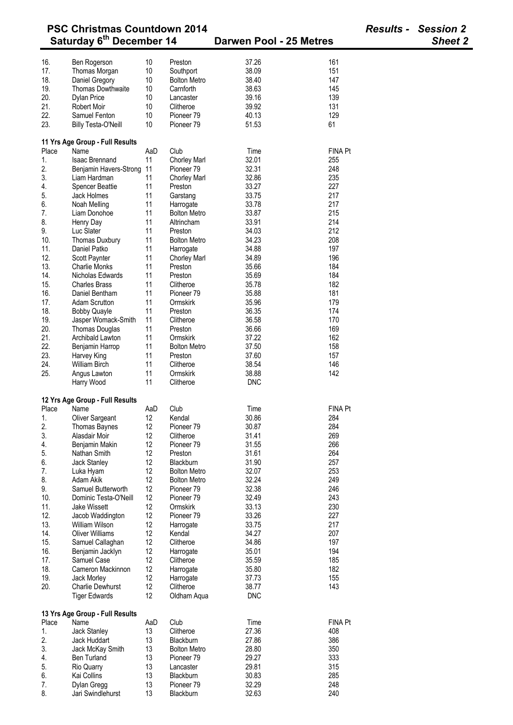|       | <b>PSC Christmas Countdown 2014</b>  |     |                       |                         |                | <b>Results - Session 2</b> |
|-------|--------------------------------------|-----|-----------------------|-------------------------|----------------|----------------------------|
|       | Saturday 6 <sup>th</sup> December 14 |     |                       | Darwen Pool - 25 Metres |                | <b>Sheet 2</b>             |
| 16.   | Ben Rogerson                         | 10  | Preston               | 37.26                   | 161            |                            |
| 17.   | Thomas Morgan                        | 10  | Southport             | 38.09                   | 151            |                            |
| 18.   | Daniel Gregory                       | 10  | <b>Bolton Metro</b>   | 38.40                   | 147            |                            |
|       | Thomas Dowthwaite                    |     |                       |                         | 145            |                            |
| 19.   |                                      | 10  | Carnforth             | 38.63                   |                |                            |
| 20.   | <b>Dylan Price</b>                   | 10  | Lancaster             | 39.16                   | 139            |                            |
| 21.   | <b>Robert Moir</b>                   | 10  | Clitheroe             | 39.92                   | 131            |                            |
| 22.   | Samuel Fenton                        | 10  | Pioneer 79            | 40.13                   | 129            |                            |
| 23.   | <b>Billy Testa-O'Neill</b>           | 10  | Pioneer 79            | 51.53                   | 61             |                            |
|       | 11 Yrs Age Group - Full Results      |     |                       |                         |                |                            |
| Place | Name                                 | AaD | Club                  | Time                    | <b>FINA Pt</b> |                            |
| 1.    | <b>Isaac Brennand</b>                | 11  | Chorley Marl          | 32.01                   | 255            |                            |
| 2.    | Benjamin Havers-Strong               | 11  | Pioneer <sub>79</sub> | 32.31                   | 248            |                            |
| 3.    | Liam Hardman                         | 11  | <b>Chorley Marl</b>   | 32.86                   | 235            |                            |
| 4.    | <b>Spencer Beattie</b>               | 11  | Preston               | 33.27                   | 227            |                            |
| 5.    | Jack Holmes                          | 11  | Garstang              | 33.75                   | 217            |                            |
| 6.    | Noah Melling                         | 11  | Harrogate             | 33.78                   | 217            |                            |
| 7.    | Liam Donohoe                         | 11  | <b>Bolton Metro</b>   | 33.87                   | 215            |                            |
| 8.    | Henry Day                            | 11  | Altrincham            | 33.91                   | 214            |                            |
| 9.    | Luc Slater                           | 11  | Preston               | 34.03                   | 212            |                            |
| 10.   | Thomas Duxbury                       | 11  | <b>Bolton Metro</b>   | 34.23                   | 208            |                            |
|       |                                      |     |                       |                         |                |                            |
| 11.   | Daniel Patko                         | 11  | Harrogate             | 34.88                   | 197            |                            |
| 12.   | Scott Paynter                        | 11  | Chorley Marl          | 34.89                   | 196            |                            |
| 13.   | <b>Charlie Monks</b>                 | 11  | Preston               | 35.66                   | 184            |                            |
| 14.   | Nicholas Edwards                     | 11  | Preston               | 35.69                   | 184            |                            |
| 15.   | <b>Charles Brass</b>                 | 11  | Clitheroe             | 35.78                   | 182            |                            |
| 16.   | Daniel Bentham                       | 11  | Pioneer <sub>79</sub> | 35.88                   | 181            |                            |
| 17.   | <b>Adam Scrutton</b>                 | 11  | Ormskirk              | 35.96                   | 179            |                            |
| 18.   | <b>Bobby Quayle</b>                  | 11  | Preston               | 36.35                   | 174            |                            |
| 19.   | Jasper Womack-Smith                  | 11  | Clitheroe             | 36.58                   | 170            |                            |
| 20.   | Thomas Douglas                       | 11  | Preston               | 36.66                   | 169            |                            |
| 21.   | Archibald Lawton                     | 11  | Ormskirk              | 37.22                   | 162            |                            |
| 22.   | Benjamin Harrop                      | 11  | <b>Bolton Metro</b>   | 37.50                   | 158            |                            |
| 23.   | Harvey King                          | 11  | Preston               | 37.60                   | 157            |                            |
| 24.   | <b>William Birch</b>                 | 11  | Clitheroe             | 38.54                   | 146            |                            |
| 25.   |                                      | 11  | Ormskirk              | 38.88                   | 142            |                            |
|       | Angus Lawton                         | 11  | Clitheroe             | <b>DNC</b>              |                |                            |
|       | Harry Wood                           |     |                       |                         |                |                            |
|       | 12 Yrs Age Group - Full Results      |     |                       |                         |                |                            |
|       | Place Name                           | AaD | Club                  | Time                    | FINA Pt        |                            |
| 1.    | Oliver Sargeant                      | 12  | Kendal                | 30.86                   | 284            |                            |
| 2.    | Thomas Baynes                        | 12  | Pioneer 79            | 30.87                   | 284            |                            |
| 3.    | Alasdair Moir                        | 12  | Clitheroe             | 31.41                   | 269            |                            |
| 4.    | Benjamin Makin                       | 12  | Pioneer <sub>79</sub> | 31.55                   | 266            |                            |
| 5.    | Nathan Smith                         | 12  | Preston               | 31.61                   | 264            |                            |
| 6.    | Jack Stanley                         | 12  | Blackburn             | 31.90                   | 257            |                            |
| 7.    | Luka Hyam                            | 12  | <b>Bolton Metro</b>   | 32.07                   | 253            |                            |
| 8.    | Adam Akik                            | 12  | <b>Bolton Metro</b>   | 32.24                   | 249            |                            |
| 9.    | Samuel Butterworth                   | 12  | Pioneer <sub>79</sub> | 32.38                   | 246            |                            |
| 10.   | Dominic Testa-O'Neill                | 12  | Pioneer <sub>79</sub> | 32.49                   | 243            |                            |
| 11.   | Jake Wissett                         | 12  | Ormskirk              | 33.13                   | 230            |                            |
|       |                                      |     | Pioneer 79            |                         |                |                            |
| 12.   | Jacob Waddington                     | 12  |                       | 33.26                   | 227            |                            |
| 13.   | William Wilson                       | 12  | Harrogate             | 33.75                   | 217            |                            |
| 14.   | <b>Oliver Williams</b>               | 12  | Kendal                | 34.27                   | 207            |                            |
| 15.   | Samuel Callaghan                     | 12  | Clitheroe             | 34.86                   | 197            |                            |
| 16.   | Benjamin Jacklyn                     | 12  | Harrogate             | 35.01                   | 194            |                            |
| 17.   | Samuel Case                          | 12  | Clitheroe             | 35.59                   | 185            |                            |
| 18.   | Cameron Mackinnon                    | 12  | Harrogate             | 35.80                   | 182            |                            |
| 19.   | Jack Morley                          | 12  | Harrogate             | 37.73                   | 155            |                            |
| 20.   | <b>Charlie Dewhurst</b>              | 12  | Clitheroe             | 38.77                   | 143            |                            |
|       | <b>Tiger Edwards</b>                 | 12  | Oldham Aqua           | <b>DNC</b>              |                |                            |
|       | 13 Yrs Age Group - Full Results      |     |                       |                         |                |                            |
| Place | Name                                 | AaD | Club                  | Time                    | <b>FINA Pt</b> |                            |
| 1.    | Jack Stanley                         | 13  | Clitheroe             | 27.36                   | 408            |                            |
| 2.    |                                      |     |                       |                         |                |                            |
|       | Jack Huddart                         | 13  | Blackburn             | 27.86                   | 386            |                            |
| 3.    | Jack McKay Smith                     | 13  | <b>Bolton Metro</b>   | 28.80                   | 350            |                            |
| 4.    | <b>Ben Turland</b>                   | 13  | Pioneer 79            | 29.27                   | 333            |                            |
| 5.    | Rio Quarry                           | 13  | Lancaster             | 29.81                   | 315            |                            |
| 6.    | Kai Collins                          | 13  | Blackburn             | 30.83                   | 285            |                            |
| 7.    | Dylan Gregg                          | 13  | Pioneer <sub>79</sub> | 32.29                   | 248            |                            |
| 8.    | Jari Swindlehurst                    | 13  | Blackburn             | 32.63                   | 240            |                            |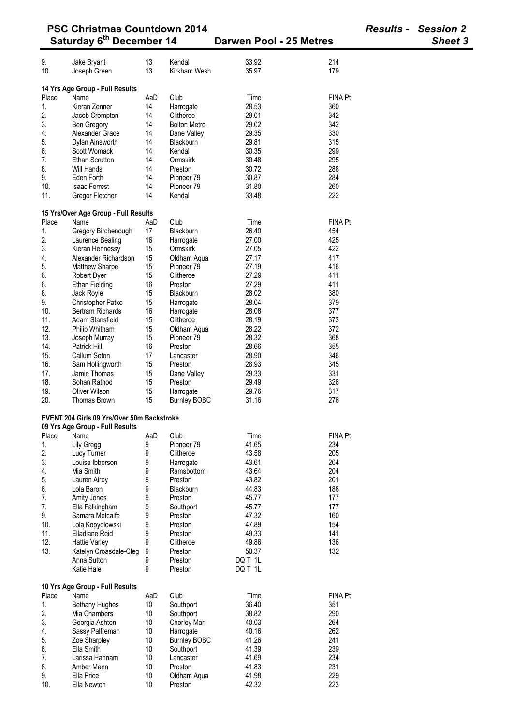| <b>PSC Christmas Countdown 2014</b> |                                              |          |                          |                                |                | <b>Results - Session 2</b> |  |
|-------------------------------------|----------------------------------------------|----------|--------------------------|--------------------------------|----------------|----------------------------|--|
|                                     | Saturday 6 <sup>th</sup> December 14         |          |                          | <b>Darwen Pool - 25 Metres</b> |                | Sheet 3                    |  |
| 9.                                  | Jake Bryant                                  | 13       | Kendal                   | 33.92                          | 214            |                            |  |
| 10.                                 | Joseph Green                                 | 13       | Kirkham Wesh             | 35.97                          | 179            |                            |  |
|                                     |                                              |          |                          |                                |                |                            |  |
|                                     | 14 Yrs Age Group - Full Results              |          |                          |                                |                |                            |  |
| Place                               | Name                                         | AaD      | Club                     | Time                           | <b>FINA Pt</b> |                            |  |
| 1.                                  | Kieran Zenner                                | 14       | Harrogate                | 28.53                          | 360            |                            |  |
| 2.                                  | Jacob Crompton                               | 14       | Clitheroe                | 29.01                          | 342            |                            |  |
| 3.                                  | Ben Gregory                                  | 14       | <b>Bolton Metro</b>      | 29.02                          | 342            |                            |  |
| 4.<br>5.                            | Alexander Grace                              | 14<br>14 | Dane Valley<br>Blackburn | 29.35<br>29.81                 | 330<br>315     |                            |  |
| 6.                                  | Dylan Ainsworth<br>Scott Womack              | 14       | Kendal                   | 30.35                          | 299            |                            |  |
| 7.                                  | <b>Ethan Scrutton</b>                        | 14       | Ormskirk                 | 30.48                          | 295            |                            |  |
| 8.                                  | Will Hands                                   | 14       | Preston                  | 30.72                          | 288            |                            |  |
| 9.                                  | Eden Forth                                   | 14       | Pioneer <sub>79</sub>    | 30.87                          | 284            |                            |  |
| 10.                                 | <b>Isaac Forrest</b>                         | 14       | Pioneer <sub>79</sub>    | 31.80                          | 260            |                            |  |
| 11.                                 | Gregor Fletcher                              | 14       | Kendal                   | 33.48                          | 222            |                            |  |
|                                     |                                              |          |                          |                                |                |                            |  |
| Place                               | 15 Yrs/Over Age Group - Full Results<br>Name | AaD      | Club                     | Time                           | <b>FINA Pt</b> |                            |  |
| 1.                                  | Gregory Birchenough                          | 17       | Blackburn                | 26.40                          | 454            |                            |  |
| 2.                                  | Laurence Bealing                             | 16       | Harrogate                | 27.00                          | 425            |                            |  |
| 3.                                  | Kieran Hennessy                              | 15       | Ormskirk                 | 27.05                          | 422            |                            |  |
| 4.                                  | Alexander Richardson                         | 15       | Oldham Aqua              | 27.17                          | 417            |                            |  |
| 5.                                  | <b>Matthew Sharpe</b>                        | 15       | Pioneer <sub>79</sub>    | 27.19                          | 416            |                            |  |
| 6.                                  | Robert Dyer                                  | 15       | Clitheroe                | 27.29                          | 411            |                            |  |
| 6.                                  | <b>Ethan Fielding</b>                        | 16       | Preston                  | 27.29                          | 411            |                            |  |
| 8.                                  | Jack Royle                                   | 15       | Blackburn                | 28.02                          | 380            |                            |  |
| 9.                                  | Christopher Patko                            | 15       | Harrogate                | 28.04                          | 379            |                            |  |
| 10.                                 | <b>Bertram Richards</b>                      | 16       | Harrogate                | 28.08                          | 377            |                            |  |
| 11.                                 | Adam Stansfield                              | 15       | Clitheroe                | 28.19                          | 373            |                            |  |
| 12.                                 | Philip Whitham                               | 15       | Oldham Aqua              | 28.22                          | 372            |                            |  |
| 13.                                 | Joseph Murray                                | 15       | Pioneer <sub>79</sub>    | 28.32                          | 368            |                            |  |
| 14.                                 | Patrick Hill                                 | 16       | Preston                  | 28.66                          | 355            |                            |  |
| 15.                                 | Callum Seton                                 | 17       | Lancaster                | 28.90                          | 346            |                            |  |
| 16.                                 | Sam Hollingworth                             | 15       | Preston                  | 28.93                          | 345            |                            |  |
| 17.                                 | Jamie Thomas                                 | 15       | Dane Valley              | 29.33                          | 331            |                            |  |
| 18.                                 | Sohan Rathod                                 | 15       | Preston                  | 29.49                          | 326            |                            |  |
| 19.                                 | Oliver Wilson                                | 15       | Harrogate                | 29.76                          | 317            |                            |  |
| 20.                                 | Thomas Brown                                 | 15       | <b>Burnley BOBC</b>      | 31.16                          | 276            |                            |  |
|                                     | EVENT 204 Girls 09 Yrs/Over 50m Backstroke   |          |                          |                                |                |                            |  |
| Place                               | 09 Yrs Age Group - Full Results<br>Name      | AaD      | Club                     | Time                           | <b>FINA Pt</b> |                            |  |
| 1.                                  | Lily Gregg                                   | 9        | Pioneer <sub>79</sub>    | 41.65                          | 234            |                            |  |
| 2.                                  | Lucy Turner                                  | 9        | Clitheroe                | 43.58                          | 205            |                            |  |
| 3.                                  | Louisa Ibberson                              | 9        | Harrogate                | 43.61                          | 204            |                            |  |
| 4.                                  | Mia Smith                                    | 9        | Ramsbottom               | 43.64                          | 204            |                            |  |
| 5.                                  | Lauren Airey                                 | 9        | Preston                  | 43.82                          | 201            |                            |  |
| 6.                                  | Lola Baron                                   | 9        | Blackburn                | 44.83                          | 188            |                            |  |
| 7.                                  | Amity Jones                                  | 9        | Preston                  | 45.77                          | 177            |                            |  |
| 7.                                  | Ella Falkingham                              | 9        | Southport                | 45.77                          | 177            |                            |  |
| 9.                                  | Samara Metcalfe                              | 9        | Preston                  | 47.32                          | 160            |                            |  |
| 10.                                 | Lola Kopydlowski                             | 9        | Preston                  | 47.89                          | 154            |                            |  |
| 11.                                 | Elladiane Reid                               | 9        | Preston                  | 49.33                          | 141            |                            |  |
| 12.                                 | <b>Hattie Varley</b>                         | 9        | Clitheroe                | 49.86                          | 136            |                            |  |
| 13.                                 | Katelyn Croasdale-Cleg                       | 9        | Preston                  | 50.37                          | 132            |                            |  |
|                                     | Anna Sutton                                  | 9        | Preston                  | DQ T 1L                        |                |                            |  |
|                                     | Katie Hale                                   | 9        | Preston                  | DQ T 1L                        |                |                            |  |
|                                     | 10 Yrs Age Group - Full Results              |          |                          |                                |                |                            |  |
| Place                               | Name                                         | AaD      | Club                     | Time                           | <b>FINA Pt</b> |                            |  |
| 1.                                  | <b>Bethany Hughes</b>                        | 10       | Southport                | 36.40                          | 351            |                            |  |
| 2.                                  | Mia Chambers                                 | 10       | Southport                | 38.82                          | 290            |                            |  |
| 3.                                  | Georgia Ashton                               | 10       | <b>Chorley Marl</b>      | 40.03                          | 264            |                            |  |
| 4.                                  | Sassy Palfreman                              | 10       | Harrogate                | 40.16                          | 262            |                            |  |
| 5.                                  | Zoe Sharpley                                 | 10       | <b>Burnley BOBC</b>      | 41.26                          | 241<br>239     |                            |  |
| 6.<br>7.                            | Ella Smith<br>Larissa Hannam                 | 10<br>10 | Southport<br>Lancaster   | 41.39<br>41.69                 | 234            |                            |  |
| 8.                                  | Amber Mann                                   | 10       | Preston                  | 41.83                          | 231            |                            |  |
| 9.                                  | Ella Price                                   | 10       | Oldham Aqua              | 41.98                          | 229            |                            |  |
| 10.                                 | Ella Newton                                  | 10       | Preston                  | 42.32                          | 223            |                            |  |
|                                     |                                              |          |                          |                                |                |                            |  |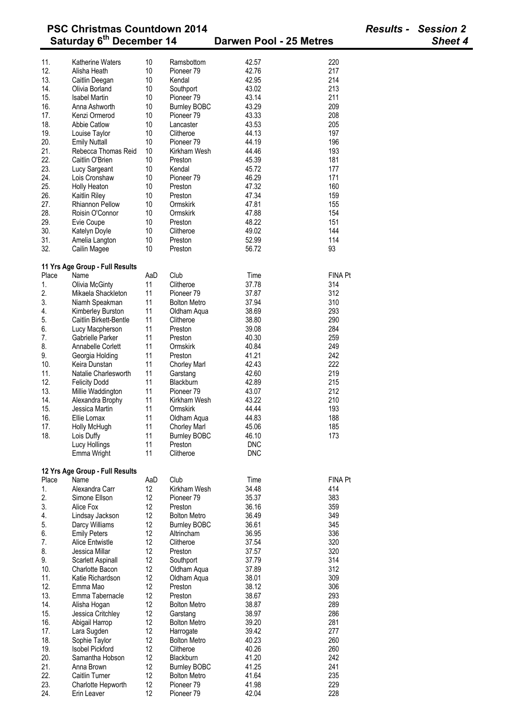| <b>PSC Christmas Countdown 2014</b><br>Saturday 6 <sup>th</sup> December 14 |                                 |     |                       |                         |                | <b>Results - Session 2</b> |
|-----------------------------------------------------------------------------|---------------------------------|-----|-----------------------|-------------------------|----------------|----------------------------|
|                                                                             |                                 |     |                       | Darwen Pool - 25 Metres |                | Sheet 4                    |
| 11.                                                                         | <b>Katherine Waters</b>         | 10  | Ramsbottom            | 42.57                   | 220            |                            |
| 12.                                                                         | Alisha Heath                    | 10  | Pioneer <sub>79</sub> | 42.76                   | 217            |                            |
| 13.                                                                         | Caitlin Deegan                  | 10  | Kendal                | 42.95                   | 214            |                            |
| 14.                                                                         | Olivia Borland                  | 10  | Southport             | 43.02                   | 213            |                            |
| 15.                                                                         | <b>Isabel Martin</b>            | 10  | Pioneer <sub>79</sub> | 43.14                   | 211            |                            |
| 16.                                                                         | Anna Ashworth                   | 10  | <b>Burnley BOBC</b>   | 43.29                   | 209            |                            |
| 17.                                                                         | Kenzi Ormerod                   | 10  | Pioneer <sub>79</sub> | 43.33                   | 208            |                            |
| 18.                                                                         | <b>Abbie Catlow</b>             | 10  | Lancaster             | 43.53                   | 205            |                            |
| 19.                                                                         | Louise Taylor                   | 10  | Clitheroe             | 44.13                   | 197            |                            |
| 20.                                                                         | <b>Emily Nuttall</b>            | 10  | Pioneer <sub>79</sub> | 44.19                   | 196            |                            |
| 21.                                                                         | Rebecca Thomas Reid             | 10  | Kirkham Wesh          | 44.46                   | 193            |                            |
| 22.                                                                         | Caitlin O'Brien                 | 10  | Preston               | 45.39                   | 181            |                            |
| 23.                                                                         | Lucy Sargeant                   | 10  | Kendal                | 45.72                   | 177            |                            |
| 24.                                                                         | Lois Cronshaw                   | 10  | Pioneer <sub>79</sub> | 46.29                   | 171            |                            |
| 25.                                                                         | Holly Heaton                    | 10  | Preston               | 47.32                   | 160            |                            |
| 26.                                                                         | Kaitlin Riley                   | 10  | Preston               | 47.34                   | 159            |                            |
| 27.                                                                         | <b>Rhiannon Pellow</b>          | 10  | Ormskirk              | 47.81                   | 155            |                            |
| 28.                                                                         | Roisin O'Connor                 | 10  | Ormskirk              | 47.88                   | 154            |                            |
| 29.                                                                         | Evie Coupe                      | 10  | Preston               | 48.22                   | 151            |                            |
| 30.                                                                         | Katelyn Doyle                   | 10  | Clitheroe             | 49.02                   | 144            |                            |
| 31.                                                                         | Amelia Langton                  | 10  | Preston               | 52.99                   | 114            |                            |
| 32.                                                                         | Cailin Magee                    | 10  | Preston               | 56.72                   | 93             |                            |
|                                                                             |                                 |     |                       |                         |                |                            |
|                                                                             | 11 Yrs Age Group - Full Results |     |                       |                         |                |                            |
| Place                                                                       | Name                            | AaD | Club                  | Time                    | <b>FINA Pt</b> |                            |
| 1.                                                                          | Olivia McGinty                  | 11  | Clitheroe             | 37.78                   | 314            |                            |
| 2.                                                                          | Mikaela Shackleton              | 11  | Pioneer <sub>79</sub> | 37.87                   | 312            |                            |
| 3.                                                                          | Niamh Speakman                  | 11  | <b>Bolton Metro</b>   | 37.94                   | 310            |                            |
| 4.                                                                          | Kimberley Burston               | 11  | Oldham Aqua           | 38.69                   | 293            |                            |
| 5.                                                                          | Caitlin Birkett-Bentle          | 11  | Clitheroe             | 38.80                   | 290            |                            |
| 6.                                                                          | Lucy Macpherson                 | 11  | Preston               | 39.08                   | 284            |                            |
| 7.                                                                          | Gabrielle Parker                | 11  | Preston               | 40.30                   | 259            |                            |
| 8.                                                                          | Annabelle Corlett               | 11  | Ormskirk              | 40.84                   | 249            |                            |
| 9.                                                                          | Georgia Holding                 | 11  | Preston               | 41.21                   | 242            |                            |
| 10.                                                                         | Keira Dunstan                   | 11  | <b>Chorley Marl</b>   | 42.43                   | 222            |                            |
| 11.                                                                         | Natalie Charlesworth            | 11  | Garstang              | 42.60                   | 219            |                            |
| 12.                                                                         | <b>Felicity Dodd</b>            | 11  | Blackburn             | 42.89                   | 215            |                            |
| 13.                                                                         | Millie Waddington               | 11  | Pioneer <sub>79</sub> | 43.07                   | 212            |                            |
| 14.                                                                         | Alexandra Brophy                | 11  | Kirkham Wesh          | 43.22                   | 210            |                            |
| 15.                                                                         | Jessica Martin                  | 11  | Ormskirk              | 44.44                   | 193            |                            |
| 16.                                                                         | Ellie Lomax                     | 11  | Oldham Aqua           | 44.83                   | 188            |                            |
| 17.                                                                         | Holly McHugh                    | 11  | Chorley Marl          | 45.06                   | 185            |                            |
| 18.                                                                         | Lois Duffy                      | 11  | <b>Burnley BOBC</b>   | 46.10                   | 173            |                            |
|                                                                             | Lucy Hollings                   | 11  | Preston               | <b>DNC</b>              |                |                            |
|                                                                             | Emma Wright                     | 11  | Clitheroe             | <b>DNC</b>              |                |                            |
|                                                                             |                                 |     |                       |                         |                |                            |
|                                                                             | 12 Yrs Age Group - Full Results |     |                       |                         |                |                            |
| Place                                                                       | Name                            | AaD | Club                  | Time                    | FINA Pt        |                            |
| 1.                                                                          | Alexandra Carr                  | 12  | Kirkham Wesh          | 34.48                   | 414            |                            |
| 2.                                                                          | Simone Ellson                   | 12  | Pioneer 79            | 35.37                   | 383            |                            |
| 3.                                                                          | Alice Fox                       | 12  | Preston               | 36.16                   | 359            |                            |
| 4.                                                                          | Lindsay Jackson                 | 12  | <b>Bolton Metro</b>   | 36.49                   | 349            |                            |
| 5.                                                                          | Darcy Williams                  | 12  | <b>Burnley BOBC</b>   | 36.61                   | 345            |                            |
| 6.                                                                          | <b>Emily Peters</b>             | 12  | Altrincham            | 36.95                   | 336            |                            |
| 7.                                                                          | <b>Alice Entwistle</b>          | 12  | Clitheroe             | 37.54                   | 320            |                            |
| 8.                                                                          | Jessica Millar                  | 12  | Preston               | 37.57                   | 320            |                            |
| 9.                                                                          | Scarlett Aspinall               | 12  | Southport             | 37.79                   | 314            |                            |
| 10.                                                                         | Charlotte Bacon                 | 12  | Oldham Aqua           | 37.89                   | 312            |                            |
| 11.                                                                         | Katie Richardson                | 12  | Oldham Aqua           | 38.01                   | 309            |                            |
| 12.                                                                         | Emma Mao                        | 12  | Preston               | 38.12                   | 306            |                            |
| 13.                                                                         | Emma Tabernacle                 | 12  | Preston               | 38.67                   | 293            |                            |
| 14.                                                                         | Alisha Hogan                    | 12  | <b>Bolton Metro</b>   | 38.87                   | 289            |                            |
| 15.                                                                         | Jessica Critchley               | 12  | Garstang              | 38.97                   | 286            |                            |
| 16.                                                                         | Abigail Harrop                  | 12  | <b>Bolton Metro</b>   | 39.20                   | 281            |                            |
| 17.                                                                         | Lara Sugden                     | 12  | Harrogate             | 39.42                   | 277            |                            |
| 18.                                                                         | Sophie Taylor                   | 12  | <b>Bolton Metro</b>   | 40.23                   | 260            |                            |
| 19.                                                                         | <b>Isobel Pickford</b>          | 12  | Clitheroe             | 40.26                   | 260            |                            |
| 20.                                                                         | Samantha Hobson                 | 12  | Blackburn             | 41.20                   | 242            |                            |
| 21.                                                                         | Anna Brown                      | 12  | <b>Burnley BOBC</b>   | 41.25                   | 241            |                            |
| 22.                                                                         | <b>Caitlin Turner</b>           | 12  | <b>Bolton Metro</b>   | 41.64                   | 235            |                            |
| 23.                                                                         | Charlotte Hepworth              | 12  | Pioneer <sub>79</sub> | 41.98                   | 229            |                            |
| 24.                                                                         | Erin Leaver                     | 12  | Pioneer 79            | 42.04                   | 228            |                            |
|                                                                             |                                 |     |                       |                         |                |                            |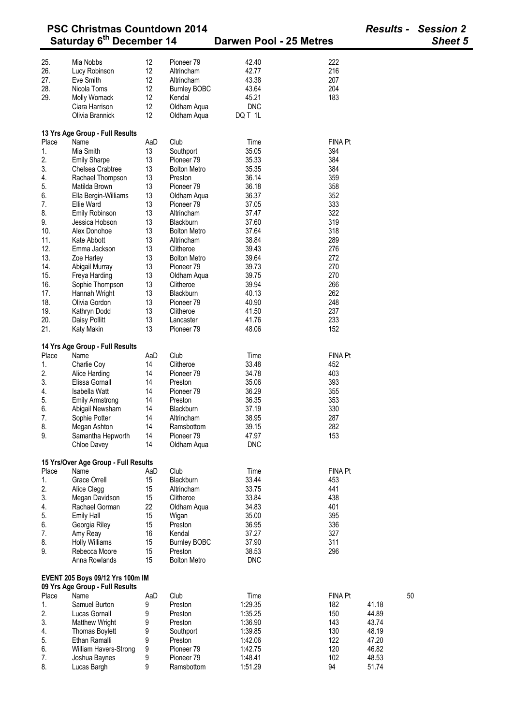|       | <b>PSC Christmas Countdown 2014</b>  |     |                       |                         |                |       | <b>Results - Session 2</b> |
|-------|--------------------------------------|-----|-----------------------|-------------------------|----------------|-------|----------------------------|
|       | Saturday 6 <sup>th</sup> December 14 |     |                       | Darwen Pool - 25 Metres |                |       | <b>Sheet 5</b>             |
|       |                                      |     |                       |                         |                |       |                            |
| 25.   | Mia Nobbs                            | 12  | Pioneer 79            | 42.40                   | 222            |       |                            |
| 26.   | Lucy Robinson                        | 12  | Altrincham            | 42.77                   | 216            |       |                            |
| 27.   | Eve Smith                            | 12  | Altrincham            | 43.38                   | 207            |       |                            |
| 28.   | Nicola Toms                          | 12  | <b>Burnley BOBC</b>   | 43.64                   | 204            |       |                            |
| 29.   | Molly Womack                         | 12  | Kendal                | 45.21                   | 183            |       |                            |
|       | Ciara Harrison                       | 12  | Oldham Aqua           | <b>DNC</b>              |                |       |                            |
|       | Olivia Brannick                      | 12  | Oldham Aqua           | DQ T 1L                 |                |       |                            |
|       | 13 Yrs Age Group - Full Results      |     |                       |                         |                |       |                            |
| Place | Name                                 | AaD | Club                  | Time                    | <b>FINA Pt</b> |       |                            |
| 1.    | Mia Smith                            | 13  | Southport             | 35.05                   | 394            |       |                            |
| 2.    | <b>Emily Sharpe</b>                  | 13  | Pioneer <sub>79</sub> | 35.33                   | 384            |       |                            |
| 3.    | Chelsea Crabtree                     | 13  | <b>Bolton Metro</b>   | 35.35                   | 384            |       |                            |
| 4.    | Rachael Thompson                     | 13  | Preston               | 36.14                   | 359            |       |                            |
|       |                                      |     |                       |                         |                |       |                            |
| 5.    | Matilda Brown                        | 13  | Pioneer 79            | 36.18                   | 358            |       |                            |
| 6.    | Ella Bergin-Williams                 | 13  | Oldham Aqua           | 36.37                   | 352            |       |                            |
| 7.    | Ellie Ward                           | 13  | Pioneer <sub>79</sub> | 37.05                   | 333            |       |                            |
| 8.    | Emily Robinson                       | 13  | Altrincham            | 37.47                   | 322            |       |                            |
| 9.    | Jessica Hobson                       | 13  | <b>Blackburn</b>      | 37.60                   | 319            |       |                            |
| 10.   | Alex Donohoe                         | 13  | <b>Bolton Metro</b>   | 37.64                   | 318            |       |                            |
| 11.   | Kate Abbott                          | 13  | Altrincham            | 38.84                   | 289            |       |                            |
| 12.   | Emma Jackson                         | 13  | Clitheroe             | 39.43                   | 276            |       |                            |
| 13.   | Zoe Harley                           | 13  | <b>Bolton Metro</b>   | 39.64                   | 272            |       |                            |
| 14.   | Abigail Murray                       | 13  | Pioneer <sub>79</sub> | 39.73                   | 270            |       |                            |
| 15.   | Freya Harding                        | 13  | Oldham Aqua           | 39.75                   | 270            |       |                            |
| 16.   | Sophie Thompson                      | 13  | Clitheroe             | 39.94                   | 266            |       |                            |
| 17.   |                                      | 13  | Blackburn             | 40.13                   | 262            |       |                            |
|       | Hannah Wright                        |     |                       |                         |                |       |                            |
| 18.   | Olivia Gordon                        | 13  | Pioneer 79            | 40.90                   | 248            |       |                            |
| 19.   | Kathryn Dodd                         | 13  | Clitheroe             | 41.50                   | 237            |       |                            |
| 20.   | Daisy Pollitt                        | 13  | Lancaster             | 41.76                   | 233            |       |                            |
| 21.   | Katy Makin                           | 13  | Pioneer 79            | 48.06                   | 152            |       |                            |
|       | 14 Yrs Age Group - Full Results      |     |                       |                         |                |       |                            |
| Place | Name                                 | AaD | Club                  | Time                    | <b>FINA Pt</b> |       |                            |
|       |                                      | 14  | Clitheroe             |                         | 452            |       |                            |
| 1.    | Charlie Coy                          |     |                       | 33.48                   |                |       |                            |
| 2.    | Alice Harding                        | 14  | Pioneer <sub>79</sub> | 34.78                   | 403            |       |                            |
| 3.    | Elissa Gornall                       | 14  | Preston               | 35.06                   | 393            |       |                            |
| 4.    | Isabella Watt                        | 14  | Pioneer <sub>79</sub> | 36.29                   | 355            |       |                            |
| 5.    | <b>Emily Armstrong</b>               | 14  | Preston               | 36.35                   | 353            |       |                            |
| 6.    | Abigail Newsham                      | 14  | Blackburn             | 37.19                   | 330            |       |                            |
| 7.    | Sophie Potter                        | 14  | Altrincham            | 38.95                   | 287            |       |                            |
| 8.    | Megan Ashton                         | 14  | Ramsbottom            | 39.15                   | 282            |       |                            |
| 9.    | Samantha Hepworth                    | 14  | Pioneer <sub>79</sub> | 47.97                   | 153            |       |                            |
|       | Chloe Davey                          | 14  | Oldham Aqua           | <b>DNC</b>              |                |       |                            |
|       |                                      |     |                       |                         |                |       |                            |
|       | 15 Yrs/Over Age Group - Full Results |     |                       |                         |                |       |                            |
| Place | Name                                 | AaD | Club                  | Time                    | <b>FINA Pt</b> |       |                            |
| 1.    | <b>Grace Orrell</b>                  | 15  | Blackburn             | 33.44                   | 453            |       |                            |
| 2.    | Alice Clegg                          | 15  | Altrincham            | 33.75                   | 441            |       |                            |
| 3.    | Megan Davidson                       | 15  | Clitheroe             | 33.84                   | 438            |       |                            |
| 4.    | Rachael Gorman                       | 22  | Oldham Aqua           | 34.83                   | 401            |       |                            |
| 5.    | <b>Emily Hall</b>                    | 15  | Wigan                 | 35.00                   | 395            |       |                            |
| 6.    | Georgia Riley                        | 15  | Preston               | 36.95                   | 336            |       |                            |
| 7.    | Amy Reay                             | 16  | Kendal                | 37.27                   | 327            |       |                            |
| 8.    | <b>Holly Williams</b>                | 15  | <b>Burnley BOBC</b>   | 37.90                   | 311            |       |                            |
| 9.    | Rebecca Moore                        | 15  | Preston               | 38.53                   | 296            |       |                            |
|       | Anna Rowlands                        | 15  | <b>Bolton Metro</b>   | <b>DNC</b>              |                |       |                            |
|       |                                      |     |                       |                         |                |       |                            |
|       | EVENT 205 Boys 09/12 Yrs 100m IM     |     |                       |                         |                |       |                            |
|       | 09 Yrs Age Group - Full Results      |     |                       |                         |                |       |                            |
| Place | Name                                 | AaD | Club                  | Time                    | <b>FINA Pt</b> | 50    |                            |
| 1.    | Samuel Burton                        | 9   | Preston               | 1:29.35                 | 182            | 41.18 |                            |
| 2.    | Lucas Gornall                        | 9   | Preston               | 1:35.25                 | 150            | 44.89 |                            |
| 3.    | <b>Matthew Wright</b>                | 9   | Preston               | 1:36.90                 | 143            | 43.74 |                            |
| 4.    | <b>Thomas Boylett</b>                | 9   | Southport             | 1:39.85                 | 130            | 48.19 |                            |
| 5.    | Ethan Ramalli                        | 9   | Preston               | 1:42.06                 | 122            | 47.20 |                            |
| 6.    | William Havers-Strong                | 9   | Pioneer 79            | 1:42.75                 | 120            | 46.82 |                            |
| 7.    | Joshua Baynes                        | 9   | Pioneer <sub>79</sub> | 1:48.41                 | 102            | 48.53 |                            |
| 8.    |                                      |     |                       | 1:51.29                 | 94             | 51.74 |                            |
|       | Lucas Bargh                          | 9   | Ramsbottom            |                         |                |       |                            |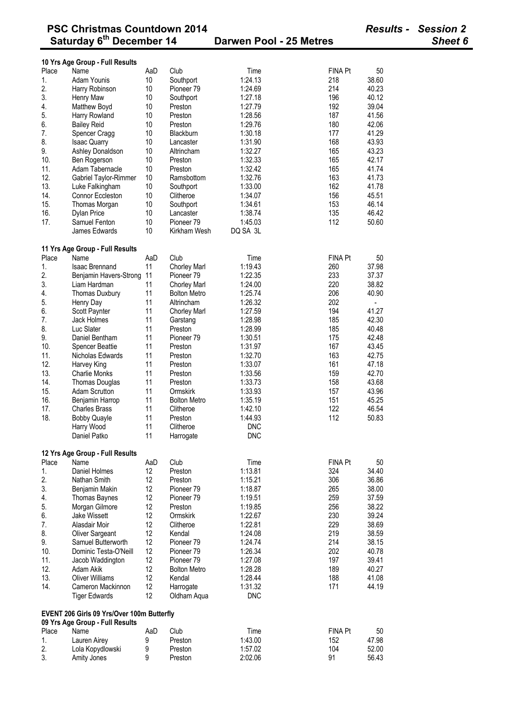|            | 10 Yrs Age Group - Full Results            |                 |                          |                       |                |       |
|------------|--------------------------------------------|-----------------|--------------------------|-----------------------|----------------|-------|
| Place      | Name                                       | AaD             | Club                     | Time                  | <b>FINA Pt</b> | 50    |
| 1.         | Adam Younis                                | 10              | Southport                | 1:24.13               | 218            | 38.60 |
| 2.         | Harry Robinson                             | 10              | Pioneer 79               | 1:24.69               | 214            | 40.23 |
| 3.         | Henry Maw                                  | 10              | Southport                | 1:27.18               | 196            | 40.12 |
| 4.         | Matthew Boyd                               | 10              | Preston                  | 1:27.79               | 192            | 39.04 |
| 5.         | Harry Rowland                              | 10              | Preston                  | 1:28.56               | 187            | 41.56 |
| 6.         | <b>Bailey Reid</b>                         | 10              | Preston                  | 1:29.76               | 180            | 42.06 |
| 7.         | Spencer Cragg                              | 10              | Blackburn                | 1:30.18               | 177            | 41.29 |
| 8.         | <b>Isaac Quarry</b>                        | 10              | Lancaster                | 1:31.90               | 168            | 43.93 |
| 9.         | Ashley Donaldson                           | 10              | Altrincham               | 1:32.27               | 165            | 43.23 |
| 10.        | Ben Rogerson                               | 10              | Preston                  | 1:32.33               | 165            | 42.17 |
|            |                                            |                 |                          |                       |                |       |
| 11.        | Adam Tabernacle                            | 10              | Preston                  | 1:32.42               | 165            | 41.74 |
| 12.        | Gabriel Taylor-Rimmer                      | 10              | Ramsbottom               | 1:32.76               | 163            | 41.73 |
| 13.        | Luke Falkingham                            | 10              | Southport                | 1:33.00               | 162            | 41.78 |
| 14.        | Connor Eccleston                           | 10              | Clitheroe                | 1:34.07               | 156            | 45.51 |
| 15.        | Thomas Morgan                              | 10              | Southport                | 1:34.61               | 153            | 46.14 |
| 16.        | <b>Dylan Price</b>                         | 10              | Lancaster                | 1:38.74               | 135            | 46.42 |
| 17.        | Samuel Fenton                              | 10              | Pioneer <sub>79</sub>    | 1:45.03               | 112            | 50.60 |
|            | James Edwards                              | 10              | Kirkham Wesh             | DQ SA 3L              |                |       |
|            | 11 Yrs Age Group - Full Results            |                 |                          |                       |                |       |
| Place      | Name                                       | AaD             | Club                     | Time                  | <b>FINA Pt</b> | 50    |
| 1.         | <b>Isaac Brennand</b>                      | 11              | Chorley Marl             | 1:19.43               | 260            | 37.98 |
| 2.         | Benjamin Havers-Strong                     | 11              | Pioneer <sub>79</sub>    | 1:22.35               | 233            | 37.37 |
| 3.         |                                            | 11              |                          |                       | 220            |       |
|            | Liam Hardman                               |                 | <b>Chorley Marl</b>      | 1:24.00               | 206            | 38.82 |
| 4.         | Thomas Duxbury                             | 11              | <b>Bolton Metro</b>      | 1:25.74               |                | 40.90 |
| 5.         | Henry Day                                  | 11              | Altrincham               | 1:26.32               | 202            |       |
| 6.         | Scott Paynter                              | 11              | Chorley Marl             | 1:27.59               | 194            | 41.27 |
| 7.         | Jack Holmes                                | 11              | Garstang                 | 1:28.98               | 185            | 42.30 |
| 8.         | Luc Slater                                 | 11              | Preston                  | 1:28.99               | 185            | 40.48 |
| 9.         | Daniel Bentham                             | 11              | Pioneer <sub>79</sub>    | 1:30.51               | 175            | 42.48 |
| 10.        | <b>Spencer Beattie</b>                     | 11              | Preston                  | 1:31.97               | 167            | 43.45 |
| 11.        | Nicholas Edwards                           | 11              | Preston                  | 1:32.70               | 163            | 42.75 |
| 12.        | Harvey King                                | 11              | Preston                  | 1:33.07               | 161            | 47.18 |
| 13.        | <b>Charlie Monks</b>                       | 11              | Preston                  | 1:33.56               | 159            | 42.70 |
| 14.        | Thomas Douglas                             | 11              | Preston                  | 1:33.73               | 158            | 43.68 |
| 15.        | <b>Adam Scrutton</b>                       | 11              | Ormskirk                 | 1:33.93               | 157            | 43.96 |
| 16.        | Benjamin Harrop                            | 11              | <b>Bolton Metro</b>      | 1:35.19               | 151            | 45.25 |
| 17.        | <b>Charles Brass</b>                       | 11              | Clitheroe                | 1:42.10               | 122            | 46.54 |
| 18.        | <b>Bobby Quayle</b>                        | 11              | Preston                  | 1:44.93               | 112            | 50.83 |
|            | Harry Wood                                 | 11              | Clitheroe                | <b>DNC</b>            |                |       |
|            | Daniel Patko                               | 11              |                          | <b>DNC</b>            |                |       |
|            |                                            |                 | Harrogate                |                       |                |       |
|            | 12 Yrs Age Group - Full Results            |                 |                          |                       |                |       |
| Place      | Name                                       | AaD             | Club                     | Time                  | FINA Pt        | 50    |
| 1.         | Daniel Holmes                              | 12              | Preston                  | 1:13.81               | 324            | 34.40 |
| 2.         | Nathan Smith                               | 12              | Preston                  | 1:15.21               | 306            | 36.86 |
| 3.         | Benjamin Makin                             | 12              | Pioneer <sub>79</sub>    | 1:18.87               | 265            | 38.00 |
| 4.         | <b>Thomas Baynes</b>                       | 12              | Pioneer <sub>79</sub>    | 1:19.51               | 259            | 37.59 |
| 5.         | Morgan Gilmore                             | 12              | Preston                  | 1:19.85               | 256            | 38.22 |
| 6.         | Jake Wissett                               | 12              | Ormskirk                 | 1:22.67               | 230            | 39.24 |
| 7.         | Alasdair Moir                              | 12              | Clitheroe                | 1:22.81               | 229            | 38.69 |
| 8.         | Oliver Sargeant                            | 12              | Kendal                   | 1:24.08               | 219            | 38.59 |
| 9.         | Samuel Butterworth                         | 12              | Pioneer <sub>79</sub>    | 1:24.74               | 214            | 38.15 |
| 10.        | Dominic Testa-O'Neill                      | 12              | Pioneer 79               | 1:26.34               | 202            | 40.78 |
| 11.        | Jacob Waddington                           | 12              | Pioneer <sub>79</sub>    | 1:27.08               | 197            | 39.41 |
|            |                                            | 12 <sup>°</sup> |                          |                       |                |       |
| 12.<br>13. | Adam Akik<br><b>Oliver Williams</b>        | 12              | <b>Bolton Metro</b>      | 1:28.28               | 189            | 40.27 |
|            |                                            |                 | Kendal                   | 1:28.44               | 188            | 41.08 |
| 14.        | Cameron Mackinnon<br><b>Tiger Edwards</b>  | 12<br>12        | Harrogate<br>Oldham Aqua | 1:31.32<br><b>DNC</b> | 171            | 44.19 |
|            |                                            |                 |                          |                       |                |       |
|            | EVENT 206 Girls 09 Yrs/Over 100m Butterfly |                 |                          |                       |                |       |
|            | 09 Yrs Age Group - Full Results            |                 |                          |                       |                |       |
| Place      | Name                                       | AaD             | Club                     | Time                  | FINA Pt        | 50    |
| 1.         | Lauren Airey                               | 9               | Preston                  | 1:43.00               | 152            | 47.98 |
| 2.         | Lola Kopydlowski                           | 9               | Preston                  | 1:57.02               | 104            | 52.00 |
| 3.         | Amity Jones                                | 9               | Preston                  | 2:02.06               | 91             | 56.43 |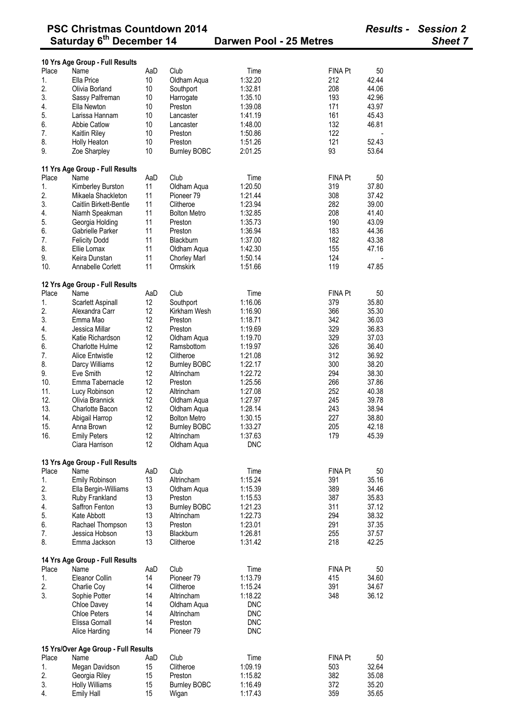|       | <b>PSC Christmas Countdown 2014</b>          |                 |                     |                         |                | <b>Results - Session 2</b> |  |
|-------|----------------------------------------------|-----------------|---------------------|-------------------------|----------------|----------------------------|--|
|       | Saturday 6 <sup>th</sup> December 14         |                 |                     | Darwen Pool - 25 Metres |                | <b>Sheet 7</b>             |  |
|       | 10 Yrs Age Group - Full Results              |                 |                     |                         |                |                            |  |
| Place | Name                                         | AaD             | Club                | Time                    | FINA Pt        | 50                         |  |
| 1.    | Ella Price                                   | 10              | Oldham Aqua         | 1:32.20                 | 212            | 42.44                      |  |
| 2.    | Olivia Borland                               | 10              | Southport           | 1:32.81                 | 208            | 44.06                      |  |
| 3.    |                                              |                 |                     | 1:35.10                 | 193            | 42.96                      |  |
|       | Sassy Palfreman                              | 10              | Harrogate           |                         |                |                            |  |
| 4.    | Ella Newton                                  | 10 <sup>°</sup> | Preston             | 1:39.08                 | 171            | 43.97                      |  |
| 5.    | Larissa Hannam                               | 10              | Lancaster           | 1:41.19                 | 161            | 45.43                      |  |
| 6.    | <b>Abbie Catlow</b>                          | 10              | Lancaster           | 1:48.00                 | 132            | 46.81                      |  |
| 7.    | Kaitlin Riley                                | 10              | Preston             | 1:50.86                 | 122            |                            |  |
| 8.    | Holly Heaton                                 | 10              | Preston             | 1:51.26                 | 121            | 52.43                      |  |
| 9.    | Zoe Sharpley                                 | 10              | <b>Burnley BOBC</b> | 2:01.25                 | 93             | 53.64                      |  |
|       | 11 Yrs Age Group - Full Results              |                 |                     |                         |                |                            |  |
| Place | Name                                         | AaD             | Club                | Time                    | <b>FINA Pt</b> | 50                         |  |
| 1.    | Kimberley Burston                            | 11              | Oldham Aqua         | 1:20.50                 | 319            | 37.80                      |  |
| 2.    | Mikaela Shackleton                           | 11              | Pioneer 79          | 1:21.44                 | 308            | 37.42                      |  |
| 3.    | Caitlin Birkett-Bentle                       | 11              | Clitheroe           | 1:23.94                 | 282            | 39.00                      |  |
| 4.    | Niamh Speakman                               | 11              | <b>Bolton Metro</b> | 1:32.85                 | 208            | 41.40                      |  |
| 5.    |                                              | 11              |                     | 1:35.73                 | 190            | 43.09                      |  |
|       | Georgia Holding                              |                 | Preston             |                         |                |                            |  |
| 6.    | Gabrielle Parker                             | 11              | Preston             | 1:36.94                 | 183            | 44.36                      |  |
| 7.    | <b>Felicity Dodd</b>                         | 11              | Blackburn           | 1:37.00                 | 182            | 43.38                      |  |
| 8.    | Ellie Lomax                                  | 11              | Oldham Aqua         | 1:42.30                 | 155            | 47.16                      |  |
| 9.    | Keira Dunstan                                | 11              | <b>Chorley Marl</b> | 1:50.14                 | 124            |                            |  |
| 10.   | Annabelle Corlett                            | 11              | Ormskirk            | 1:51.66                 | 119            | 47.85                      |  |
|       | 12 Yrs Age Group - Full Results              |                 |                     |                         |                |                            |  |
| Place | Name                                         | AaD             | Club                | Time                    | <b>FINA Pt</b> | 50                         |  |
| 1.    | Scarlett Aspinall                            | 12              | Southport           | 1:16.06                 | 379            | 35.80                      |  |
| 2.    | Alexandra Carr                               | 12              | Kirkham Wesh        | 1:16.90                 | 366            | 35.30                      |  |
| 3.    | Emma Mao                                     | 12              | Preston             | 1:18.71                 | 342            | 36.03                      |  |
| 4.    | Jessica Millar                               | 12              | Preston             |                         | 329            | 36.83                      |  |
|       |                                              |                 |                     | 1:19.69                 |                |                            |  |
| 5.    | Katie Richardson                             | 12              | Oldham Aqua         | 1:19.70                 | 329            | 37.03                      |  |
| 6.    | Charlotte Hulme                              | 12              | Ramsbottom          | 1:19.97                 | 326            | 36.40                      |  |
| 7.    | Alice Entwistle                              | 12              | Clitheroe           | 1:21.08                 | 312            | 36.92                      |  |
| 8.    | Darcy Williams                               | 12              | <b>Burnley BOBC</b> | 1:22.17                 | 300            | 38.20                      |  |
| 9.    | Eve Smith                                    | 12              | Altrincham          | 1:22.72                 | 294            | 38.30                      |  |
| 10.   | Emma Tabernacle                              | 12              | Preston             | 1:25.56                 | 266            | 37.86                      |  |
| 11.   | Lucy Robinson                                | 12              | Altrincham          | 1:27.08                 | 252            | 40.38                      |  |
| 12.   | Olivia Brannick                              | 12              | Oldham Aqua         | 1:27.97                 | 245            | 39.78                      |  |
|       | Charlotte Bacon                              |                 |                     |                         |                |                            |  |
| 13.   |                                              | 12              | Oldham Aqua         | 1:28.14                 | 243            | 38.94                      |  |
| 14.   | Abigail Harrop                               | 12              | <b>Bolton Metro</b> | 1:30.15                 | 227            | 38.80                      |  |
| 15.   | Anna Brown                                   | 12              | <b>Burnley BOBC</b> | 1:33.27                 | 205            | 42.18                      |  |
| 16.   | <b>Emily Peters</b>                          | 12              | Altrincham          | 1:37.63                 | 179            | 45.39                      |  |
|       | Ciara Harrison                               | 12              | Oldham Aqua         | <b>DNC</b>              |                |                            |  |
|       | 13 Yrs Age Group - Full Results              |                 |                     |                         |                |                            |  |
| Place | Name                                         | AaD             | Club                | Time                    | FINA Pt        | 50                         |  |
| 1.    | Emily Robinson                               | 13              | Altrincham          | 1:15.24                 | 391            | 35.16                      |  |
| 2.    | Ella Bergin-Williams                         | 13              | Oldham Aqua         | 1:15.39                 | 389            | 34.46                      |  |
| 3.    | Ruby Frankland                               | 13              | Preston             | 1:15.53                 | 387            | 35.83                      |  |
| 4.    | Saffron Fenton                               | 13              | <b>Burnley BOBC</b> | 1:21.23                 | 311            | 37.12                      |  |
| 5.    | Kate Abbott                                  | 13              | Altrincham          | 1:22.73                 | 294            | 38.32                      |  |
| 6.    |                                              | 13              |                     | 1:23.01                 | 291            | 37.35                      |  |
|       | Rachael Thompson                             |                 | Preston             |                         |                |                            |  |
| 7.    | Jessica Hobson                               | 13              | Blackburn           | 1:26.81                 | 255            | 37.57                      |  |
| 8.    | Emma Jackson                                 | 13              | Clitheroe           | 1:31.42                 | 218            | 42.25                      |  |
|       | 14 Yrs Age Group - Full Results              |                 |                     |                         |                |                            |  |
| Place | Name                                         | AaD             | Club                | Time                    | FINA Pt        | 50                         |  |
| 1.    | Eleanor Collin                               | 14              | Pioneer 79          | 1:13.79                 | 415            | 34.60                      |  |
| 2.    | Charlie Coy                                  | 14              | Clitheroe           | 1:15.24                 | 391            | 34.67                      |  |
| 3.    | Sophie Potter                                | 14              | Altrincham          | 1:18.22                 | 348            | 36.12                      |  |
|       | Chloe Davey                                  | 14              | Oldham Aqua         | <b>DNC</b>              |                |                            |  |
|       | <b>Chloe Peters</b>                          | 14              | Altrincham          | <b>DNC</b>              |                |                            |  |
|       | Elissa Gornall                               | 14              | Preston             | <b>DNC</b>              |                |                            |  |
|       | Alice Harding                                | 14              | Pioneer 79          | <b>DNC</b>              |                |                            |  |
|       |                                              |                 |                     |                         |                |                            |  |
|       | 15 Yrs/Over Age Group - Full Results<br>Name |                 |                     |                         |                |                            |  |
| Place |                                              | AaD             | Club                | Time                    | <b>FINA Pt</b> | 50                         |  |
| 1.    | Megan Davidson                               | 15              | Clitheroe           | 1:09.19                 | 503            | 32.64                      |  |
| 2.    | Georgia Riley                                | 15              | Preston             | 1:15.82                 | 382            | 35.08                      |  |
| 3.    | <b>Holly Williams</b>                        | 15              | <b>Burnley BOBC</b> | 1:16.49                 | 372            | 35.20                      |  |
| 4.    | <b>Emily Hall</b>                            | 15              | Wigan               | 1:17.43                 | 359            | 35.65                      |  |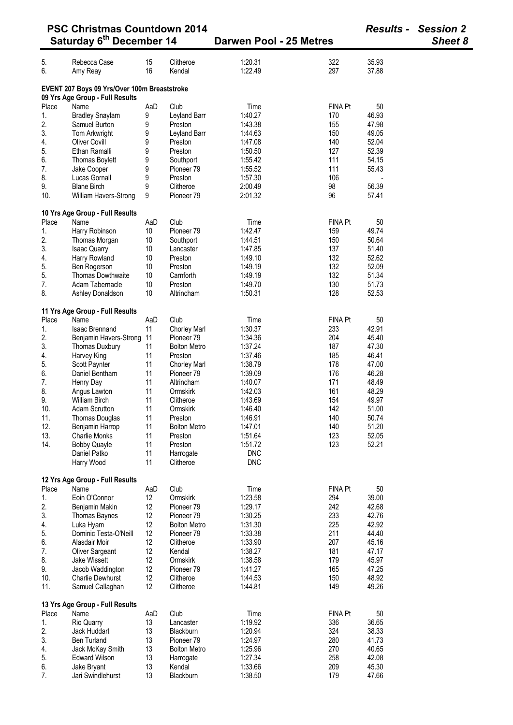|                                                                                 | <b>PSC Christmas Countdown 2014</b>     |     |                       |                         |                |       | <b>Results - Session 2</b> |
|---------------------------------------------------------------------------------|-----------------------------------------|-----|-----------------------|-------------------------|----------------|-------|----------------------------|
|                                                                                 | Saturday 6 <sup>th</sup> December 14    |     |                       | Darwen Pool - 25 Metres |                |       | Sheet 8                    |
| 5.                                                                              | Rebecca Case                            | 15  | Clitheroe             | 1:20.31                 | 322            | 35.93 |                            |
| 6.                                                                              | Amy Reay                                | 16  | Kendal                | 1:22.49                 | 297            | 37.88 |                            |
| EVENT 207 Boys 09 Yrs/Over 100m Breaststroke<br>09 Yrs Age Group - Full Results |                                         |     |                       |                         |                |       |                            |
| Place                                                                           | Name                                    | AaD | Club                  | Time                    | <b>FINA Pt</b> | 50    |                            |
| 1.                                                                              | <b>Bradley Snaylam</b>                  | 9   | Leyland Barr          | 1:40.27                 | 170            | 46.93 |                            |
| 2.                                                                              | Samuel Burton                           | 9   | Preston               | 1:43.38                 | 155            | 47.98 |                            |
| 3.                                                                              | Tom Arkwright                           | 9   | Leyland Barr          | 1:44.63                 | 150            | 49.05 |                            |
| 4.                                                                              | <b>Oliver Covill</b>                    | 9   | Preston               | 1:47.08                 | 140            | 52.04 |                            |
| 5.                                                                              | Ethan Ramalli                           | 9   | Preston               | 1:50.50                 | 127            | 52.39 |                            |
| 6.                                                                              | Thomas Boylett                          | 9   | Southport             | 1:55.42                 | 111            | 54.15 |                            |
| 7.                                                                              | Jake Cooper                             | 9   | Pioneer <sub>79</sub> | 1:55.52                 | 111            | 55.43 |                            |
| 8.                                                                              | Lucas Gornall                           | 9   | Preston               | 1:57.30                 | 106            |       |                            |
| 9.                                                                              | <b>Blane Birch</b>                      | 9   | Clitheroe             | 2:00.49                 | 98             | 56.39 |                            |
| 10.                                                                             | William Havers-Strong                   | 9   | Pioneer <sub>79</sub> | 2:01.32                 | 96             | 57.41 |                            |
|                                                                                 | 10 Yrs Age Group - Full Results         |     |                       |                         |                |       |                            |
| Place                                                                           | Name                                    | AaD | Club                  | Time                    | <b>FINA Pt</b> | 50    |                            |
| 1.                                                                              | Harry Robinson                          | 10  | Pioneer <sub>79</sub> | 1:42.47                 | 159            | 49.74 |                            |
| 2.                                                                              | Thomas Morgan                           | 10  | Southport             | 1:44.51                 | 150            | 50.64 |                            |
| 3.                                                                              | <b>Isaac Quarry</b>                     | 10  | Lancaster             | 1:47.85                 | 137            | 51.40 |                            |
| $\overline{4}$ .                                                                | Harry Rowland                           | 10  | Preston               | 1:49.10                 | 132            | 52.62 |                            |
| 5.                                                                              | Ben Rogerson                            | 10  | Preston               | 1:49.19                 | 132            | 52.09 |                            |
| 5.                                                                              | <b>Thomas Dowthwaite</b>                | 10  | Carnforth             | 1:49.19                 | 132            | 51.34 |                            |
| 7.<br>8.                                                                        | Adam Tabernacle                         | 10  | Preston               | 1:49.70                 | 130            | 51.73 |                            |
|                                                                                 | Ashley Donaldson                        | 10  | Altrincham            | 1:50.31                 | 128            | 52.53 |                            |
| Place                                                                           | 11 Yrs Age Group - Full Results<br>Name | AaD | Club                  | Time                    | FINA Pt        | 50    |                            |
| 1.                                                                              | <b>Isaac Brennand</b>                   | 11  | <b>Chorley Marl</b>   | 1:30.37                 | 233            | 42.91 |                            |
| 2.                                                                              | Benjamin Havers-Strong 11               |     | Pioneer 79            | 1:34.36                 | 204            | 45.40 |                            |
| 3.                                                                              | Thomas Duxbury                          | 11  | <b>Bolton Metro</b>   | 1:37.24                 | 187            | 47.30 |                            |
| 4.                                                                              | Harvey King                             | 11  | Preston               | 1:37.46                 | 185            | 46.41 |                            |
| 5.                                                                              | Scott Paynter                           | 11  | <b>Chorley Marl</b>   | 1:38.79                 | 178            | 47.00 |                            |
| 6.                                                                              | Daniel Bentham                          | 11  | Pioneer <sub>79</sub> | 1:39.09                 | 176            | 46.28 |                            |
| 7.                                                                              | Henry Day                               | 11  | Altrincham            | 1:40.07                 | 171            | 48.49 |                            |
| 8.                                                                              | Angus Lawton                            | 11  | Ormskirk              | 1:42.03                 | 161            | 48.29 |                            |
| 9.                                                                              | <b>William Birch</b>                    | 11  | Clitheroe             | 1:43.69                 | 154            | 49.97 |                            |
| 10.                                                                             | Adam Scrutton                           | 11  | Ormskirk              | 1:46.40                 | 142            | 51.00 |                            |
| 11.                                                                             | Thomas Douglas                          | 11  | Preston               | 1:46.91                 | 140            | 50.74 |                            |
| 12.                                                                             | Benjamin Harrop                         | 11  | <b>Bolton Metro</b>   | 1:47.01                 | 140            | 51.20 |                            |
| 13.                                                                             | Charlie Monks                           | 11  | Preston               | 1:51.64                 | 123            | 52.05 |                            |
| 14.                                                                             | <b>Bobby Quayle</b>                     | 11  | Preston               | 1:51.72                 | 123            | 52.21 |                            |
|                                                                                 | Daniel Patko                            | 11  | Harrogate             | <b>DNC</b>              |                |       |                            |
|                                                                                 | Harry Wood                              | 11  | Clitheroe             | <b>DNC</b>              |                |       |                            |
|                                                                                 | 12 Yrs Age Group - Full Results         |     |                       |                         |                |       |                            |
| Place                                                                           | Name                                    | AaD | Club                  | Time                    | <b>FINA Pt</b> | 50    |                            |
| 1.                                                                              | Eoin O'Connor                           | 12  | Ormskirk              | 1:23.58                 | 294            | 39.00 |                            |
| 2.                                                                              | Benjamin Makin                          | 12  | Pioneer <sub>79</sub> | 1:29.17                 | 242            | 42.68 |                            |
| 3.                                                                              | <b>Thomas Baynes</b>                    | 12  | Pioneer 79            | 1:30.25                 | 233            | 42.76 |                            |
| 4.                                                                              | Luka Hyam                               | 12  | <b>Bolton Metro</b>   | 1:31.30                 | 225            | 42.92 |                            |
| 5.                                                                              | Dominic Testa-O'Neill                   | 12  | Pioneer <sub>79</sub> | 1:33.38                 | 211            | 44.40 |                            |
| 6.                                                                              | Alasdair Moir                           | 12  | Clitheroe             | 1:33.90                 | 207            | 45.16 |                            |
| 7.                                                                              | Oliver Sargeant                         | 12  | Kendal                | 1:38.27                 | 181            | 47.17 |                            |
| 8.                                                                              | Jake Wissett                            | 12  | Ormskirk              | 1:38.58                 | 179            | 45.97 |                            |
| 9.                                                                              | Jacob Waddington                        | 12  | Pioneer <sub>79</sub> | 1:41.27                 | 165            | 47.25 |                            |
| 10.                                                                             | <b>Charlie Dewhurst</b>                 | 12  | Clitheroe             | 1:44.53                 | 150            | 48.92 |                            |
| 11.                                                                             | Samuel Callaghan                        | 12  | Clitheroe             | 1:44.81                 | 149            | 49.26 |                            |
|                                                                                 | 13 Yrs Age Group - Full Results         |     |                       |                         |                |       |                            |
| Place                                                                           | Name                                    | AaD | Club                  | Time                    | <b>FINA Pt</b> | 50    |                            |
| 1.                                                                              | Rio Quarry                              | 13  | Lancaster             | 1:19.92                 | 336            | 36.65 |                            |
| 2.                                                                              | Jack Huddart                            | 13  | Blackburn             | 1:20.94                 | 324            | 38.33 |                            |
| 3.                                                                              | <b>Ben Turland</b>                      | 13  | Pioneer <sub>79</sub> | 1:24.97                 | 280            | 41.73 |                            |
| 4.                                                                              | Jack McKay Smith                        | 13  | <b>Bolton Metro</b>   | 1:25.96                 | 270            | 40.65 |                            |
| 5.                                                                              | <b>Edward Wilson</b>                    | 13  | Harrogate             | 1:27.34                 | 258            | 42.08 |                            |
| 6.                                                                              | Jake Bryant                             | 13  | Kendal                | 1:33.66                 | 209            | 45.30 |                            |
| 7.                                                                              | Jari Swindlehurst                       | 13  | Blackburn             | 1:38.50                 | 179            | 47.66 |                            |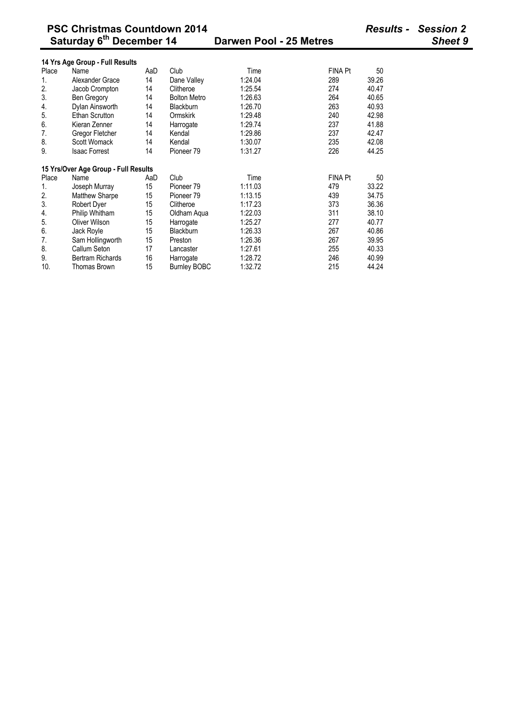|       | 14 Yrs Age Group - Full Results      |     |                       |         |                |       |
|-------|--------------------------------------|-----|-----------------------|---------|----------------|-------|
| Place | Name                                 | AaD | Club                  | Time    | FINA Pt        | 50    |
| 1.    | Alexander Grace                      | 14  | Dane Valley           | 1:24.04 | 289            | 39.26 |
| 2.    | Jacob Crompton                       | 14  | Clitheroe             | 1:25.54 | 274            | 40.47 |
| 3.    | Ben Gregory                          | 14  | <b>Bolton Metro</b>   | 1:26.63 | 264            | 40.65 |
| 4.    | Dylan Ainsworth                      | 14  | <b>Blackburn</b>      | 1:26.70 | 263            | 40.93 |
| 5.    | Ethan Scrutton                       | 14  | Ormskirk              | 1:29.48 | 240            | 42.98 |
| 6.    | Kieran Zenner                        | 14  | Harrogate             | 1:29.74 | 237            | 41.88 |
| 7.    | Gregor Fletcher                      | 14  | Kendal                | 1:29.86 | 237            | 42.47 |
| 8.    | Scott Womack                         | 14  | Kendal                | 1:30.07 | 235            | 42.08 |
| 9.    | <b>Isaac Forrest</b>                 | 14  | Pioneer 79            | 1:31.27 | 226            | 44.25 |
|       |                                      |     |                       |         |                |       |
|       |                                      |     |                       |         |                |       |
|       | 15 Yrs/Over Age Group - Full Results |     |                       |         |                |       |
| Place | Name                                 | AaD | Club                  | Time    | <b>FINA Pt</b> | 50    |
| 1.    | Joseph Murray                        | 15  | Pioneer <sub>79</sub> | 1:11.03 | 479            | 33.22 |
| 2.    | Matthew Sharpe                       | 15  | Pioneer 79            | 1:13.15 | 439            | 34.75 |
| 3.    | Robert Dyer                          | 15  | Clitheroe             | 1:17.23 | 373            | 36.36 |
| 4.    | Philip Whitham                       | 15  | Oldham Agua           | 1:22.03 | 311            | 38.10 |
| 5.    | Oliver Wilson                        | 15  | Harrogate             | 1:25.27 | 277            | 40.77 |
| 6.    | Jack Royle                           | 15  | <b>Blackburn</b>      | 1:26.33 | 267            | 40.86 |
| 7.    | Sam Hollingworth                     | 15  | Preston               | 1:26.36 | 267            | 39.95 |
| 8.    | Callum Seton                         | 17  | Lancaster             | 1:27.61 | 255            | 40.33 |
| 9.    | <b>Bertram Richards</b>              | 16  | Harrogate             | 1:28.72 | 246            | 40.99 |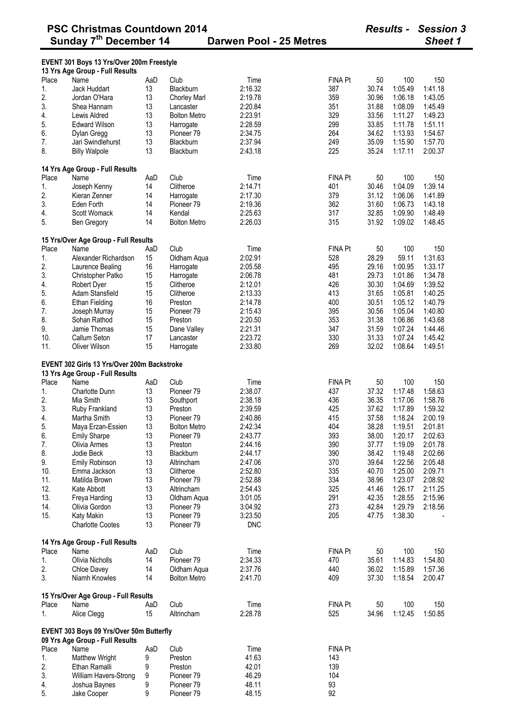**EVENT 301 Boys 13 Yrs/Over 200m Freestyle** 

### **13 Yrs Age Group - Full Results**  Place Name AaD Club Time FINA Pt 50 100 150 1. Jack Huddart 13 Blackburn 2:16.32 387 30.74 1:05.49 1:41.18 2. Jordan O'Hara 13 Chorley Marl 2:19.78 359 30.96 1:06.18 1:43.05 3. Shea Hannam 13 Lancaster 2:20.84 351 31.88 1:08.09 1:45.49 4. Lewis Aldred 13 Bolton Metro 2:23.91 329 33.56 1:11.27 1:49.23 5. Edward Wilson 13 Harrogate 2:28.59 299 33.85 1:11.78 1:51.11 6. Dylan Gregg 13 Pioneer 79 2:34.75 264 34.62 1:13.93 1:54.67 7. Jari Swindlehurst 13 Blackburn 2:37.94 249 35.09 1:15.90 1:57.70 8. Billy Walpole 13 Blackburn 2:43.18 225 35.24 1:17.11 2:00.37 **14 Yrs Age Group - Full Results**  Place Name AaD Club Time FINA Pt 50 100 150 1. Joseph Kenny 14 Clitheroe 2:14.71 401 30.46 1:04.09 1:39.14 2. Kieran Zenner 14 Harrogate 2:17.30 379 31.12 1:06.06 1:41.89 3. Eden Forth 14 Pioneer 79 2:19.36 362 31.60 1:06.73 1:43.18 4. Scott Womack 14 Kendal 2:25.63 317 32.85 1:09.90 1:48.49 5. Ben Gregory 14 Bolton Metro 2:26.03 315 31.92 1:09.02 1:48.45 **15 Yrs/Over Age Group - Full Results**  Place Name AaD Club Time FINA Pt 50 100 150 1. Alexander Richardson 15 Oldham Aqua 2:02.91 528 28.29 59.11 1:31.63 2. Laurence Bealing 16 Harrogate 2:05.58 495 29.16 1:00.95 1:33.17 3. Christopher Patko 15 Harrogate 2:06.78 481 29.73 1:01.86 1:34.78 4. Robert Dyer 15 Clitheroe 2:12.01 426 30.30 1:04.69 1:39.52 5. Adam Stansfield 15 Clitheroe 2:13.33 413 31.65 1:05.81 1:40.25 6. Ethan Fielding 16 Preston 2:14.78 400 30.51 1:05.12 1:40.79 7. Joseph Murray 15 Pioneer 79 2:15.43 395 30.56 1:05.04 1:40.80 8. Sohan Rathod 15 Preston 2:20.50 353 31.38 1:06.86 1:43.68 9. Jamie Thomas 15 Dane Valley 2:21.31 347 31.59 1:07.24 1:44.46 10. Callum Seton 17 Lancaster 2:23.72 330 31.33 1:07.24 1:45.42 11. Oliver Wilson 15 Harrogate 2:33.80 269 32.02 1:08.64 1:49.51 **EVENT 302 Girls 13 Yrs/Over 200m Backstroke 13 Yrs Age Group - Full Results**  Place Name AaD Club Time FINA Pt 50 100 150 1. Charlotte Dunn 13 Pioneer 79 2:38.07 437 37.32 1:17.48 1:58.63 2. Mia Smith 13 Southport 2:38.18 436 36.35 1:17.06 1:58.76 3. Ruby Frankland 13 Preston 2:39.59 425 37.62 1:17.89 1:59.32 4. Martha Smith 13 Pioneer 79 2:40.86 415 37.58 1:18.24 2:00.19 5. Maya Erzan-Essien 13 Bolton Metro 2:42.34 404 38.28 1:19.51 2:01.81 6. Emily Sharpe 13 Pioneer 79 2:43.77 393 38.00 1:20.17 2:02.63 7. Olivia Armes 13 Preston 2:44.16 390 37.77 1:19.09 2:01.78 8. Jodie Beck 13 Blackburn 2:44.17 390 38.42 1:19.48 2:02.66 9. Emily Robinson 13 Altrincham 2:47.06 370 39.64 1:22.56 2:05.48 10. Emma Jackson 13 Clitheroe 2:52.80 335 40.70 1:25.00 2:09.71 11. Matilda Brown 13 Pioneer 79 2:52.88 334 38.96 1:23.07 2:08.92 12. Kate Abbott 13 Altrincham 2:54.43 325 41.46 1:26.17 2:11.25 13. Freya Harding 13 Oldham Aqua 3:01.05 291 42.35 1:28.55 2:15.96 14. Olivia Gordon 13 Pioneer 79 3:04.92 273 42.84 1:29.79 2:18.56 15. Katy Makin 13 Pioneer 79 3:23.50 205 47.75 1:38.30 - Charlotte Cootes 13 Pioneer 79 DNC **14 Yrs Age Group - Full Results**  Place Name AaD Club Time FINA Pt 50 100 150 1. Olivia Nicholls 14 Pioneer 79 2:34.33 470 35.61 1:14.83 1:54.80 2. Chloe Davey 14 Oldham Aqua 2:37.76 440 36.02 1:15.89 1:57.36 3. Niamh Knowles 14 Bolton Metro 2:41.70 409 37.30 1:18.54 2:00.47 **15 Yrs/Over Age Group - Full Results**  Place Name AaD Club Time FINA Pt 50 100 150 1. Alice Clegg 15 Altrincham 2:28.78 525 34.96 1:12.45 1:50.85 **EVENT 303 Boys 09 Yrs/Over 50m Butterfly 09 Yrs Age Group - Full Results**  Place Name AaD Club Time FINA Pt 1. Matthew Wright 9 Preston 41.63 143<br>2. Fthan Ramalli 9 Preston 42.01 139 2. Ethan Ramalli 9 Preston 42.01 139 3. William Havers-Strong 9 Pioneer 79 46.29 104 4. Joshua Baynes 9<br>5. Jake Cooper 9

5. Jake Cooper 9 Pioneer 79 48.15 92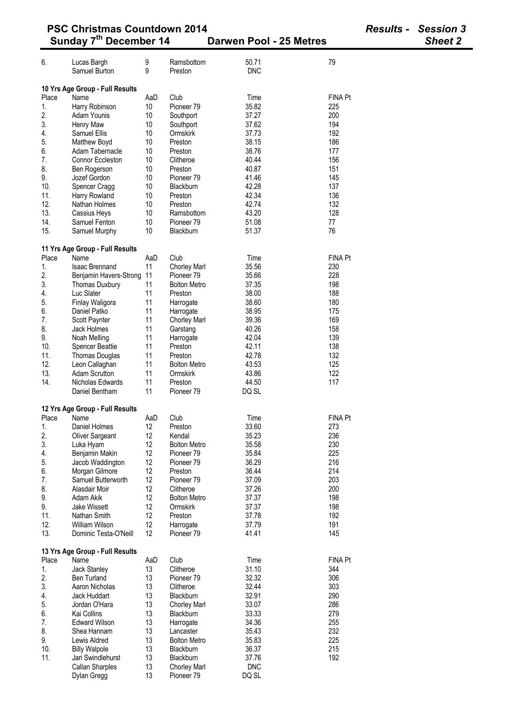| <b>PSC Christmas Countdown 2014</b><br>Sunday 7 <sup>th</sup> December 14 |                                         |          |                                     |                         | <b>Results - Session 3</b> |                |
|---------------------------------------------------------------------------|-----------------------------------------|----------|-------------------------------------|-------------------------|----------------------------|----------------|
|                                                                           |                                         |          |                                     | Darwen Pool - 25 Metres |                            | <b>Sheet 2</b> |
| 6.                                                                        | Lucas Bargh                             | 9        | Ramsbottom                          | 50.71                   | 79                         |                |
|                                                                           | Samuel Burton                           | 9        | Preston                             | <b>DNC</b>              |                            |                |
|                                                                           | 10 Yrs Age Group - Full Results         |          |                                     |                         |                            |                |
| Place                                                                     | Name                                    | AaD      | Club                                | Time                    | FINA Pt                    |                |
| 1.                                                                        | Harry Robinson                          | 10       | Pioneer <sub>79</sub>               | 35.82                   | 225                        |                |
| 2.                                                                        | Adam Younis                             | 10       | Southport                           | 37.27                   | 200                        |                |
| 3.                                                                        | Henry Maw                               | 10       | Southport                           | 37.62                   | 194                        |                |
| 4.<br>5.                                                                  | Samuel Ellis                            | 10<br>10 | Ormskirk<br>Preston                 | 37.73<br>38.15          | 192<br>186                 |                |
| 6.                                                                        | Matthew Boyd<br>Adam Tabernacle         | 10       | Preston                             | 38.76                   | 177                        |                |
| 7.                                                                        | Connor Eccleston                        | 10       | Clitheroe                           | 40.44                   | 156                        |                |
| 8.                                                                        | Ben Rogerson                            | 10       | Preston                             | 40.87                   | 151                        |                |
| 9.                                                                        | Jozef Gordon                            | 10       | Pioneer <sub>79</sub>               | 41.46                   | 145                        |                |
| 10.                                                                       | Spencer Cragg                           | 10       | Blackburn                           | 42.28                   | 137                        |                |
| 11.                                                                       | Harry Rowland                           | 10       | Preston                             | 42.34                   | 136                        |                |
| 12.                                                                       | Nathan Holmes                           | 10       | Preston                             | 42.74                   | 132                        |                |
| 13.<br>14.                                                                | Cassius Heys                            | 10<br>10 | Ramsbottom<br>Pioneer <sub>79</sub> | 43.20<br>51.08          | 128<br>77                  |                |
| 15.                                                                       | Samuel Fenton<br>Samuel Murphy          | 10       | Blackburn                           | 51.37                   | 76                         |                |
|                                                                           |                                         |          |                                     |                         |                            |                |
|                                                                           | 11 Yrs Age Group - Full Results         |          |                                     |                         |                            |                |
| Place                                                                     | Name                                    | AaD      | Club                                | Time                    | FINA Pt                    |                |
| 1.                                                                        | <b>Isaac Brennand</b>                   | 11       | <b>Chorley Marl</b>                 | 35.56                   | 230                        |                |
| 2.                                                                        | Benjamin Havers-Strong                  | 11       | Pioneer <sub>79</sub>               | 35.66                   | 228                        |                |
| 3.<br>4.                                                                  | Thomas Duxbury<br>Luc Slater            | 11<br>11 | <b>Bolton Metro</b><br>Preston      | 37.35<br>38.00          | 198<br>188                 |                |
| 5.                                                                        | Finlay Waligora                         | 11       | Harrogate                           | 38.60                   | 180                        |                |
| 6.                                                                        | Daniel Patko                            | 11       | Harrogate                           | 38.95                   | 175                        |                |
| 7.                                                                        | Scott Paynter                           | 11       | <b>Chorley Marl</b>                 | 39.36                   | 169                        |                |
| 8.                                                                        | Jack Holmes                             | 11       | Garstang                            | 40.26                   | 158                        |                |
| 9.                                                                        | Noah Melling                            | 11       | Harrogate                           | 42.04                   | 139                        |                |
| 10.                                                                       | <b>Spencer Beattie</b>                  | 11       | Preston                             | 42.11                   | 138                        |                |
| 11.                                                                       | Thomas Douglas                          | 11       | Preston                             | 42.78                   | 132                        |                |
| 12.<br>13.                                                                | Leon Callaghan<br><b>Adam Scrutton</b>  | 11<br>11 | <b>Bolton Metro</b><br>Ormskirk     | 43.53<br>43.86          | 125<br>122                 |                |
| 14.                                                                       | Nicholas Edwards                        | 11       | Preston                             | 44.50                   | 117                        |                |
|                                                                           | Daniel Bentham                          | 11       | Pioneer <sub>79</sub>               | DQ SL                   |                            |                |
|                                                                           |                                         |          |                                     |                         |                            |                |
| Place                                                                     | 12 Yrs Age Group - Full Results<br>Name | AaD      | Club                                | Time                    | <b>FINA Pt</b>             |                |
| 1.                                                                        | Daniel Holmes                           | 12       | Preston                             | 33.60                   | 273                        |                |
| 2.                                                                        | Oliver Sargeant                         | 12       | Kendal                              | 35.23                   | 236                        |                |
| 3.                                                                        | Luka Hyam                               | 12       | <b>Bolton Metro</b>                 | 35.58                   | 230                        |                |
| 4.                                                                        | Benjamin Makin                          | 12       | Pioneer <sub>79</sub>               | 35.84                   | 225                        |                |
| 5.                                                                        | Jacob Waddington                        | 12       | Pioneer <sub>79</sub>               | 36.29                   | 216                        |                |
| 6.                                                                        | Morgan Gilmore                          | 12       | Preston                             | 36.44                   | 214                        |                |
| 7.<br>8.                                                                  | Samuel Butterworth<br>Alasdair Moir     | 12<br>12 | Pioneer <sub>79</sub><br>Clitheroe  | 37.09<br>37.26          | 203<br>200                 |                |
| 9.                                                                        | Adam Akik                               | 12       | <b>Bolton Metro</b>                 | 37.37                   | 198                        |                |
| 9.                                                                        | Jake Wissett                            | 12       | Ormskirk                            | 37.37                   | 198                        |                |
| 11.                                                                       | Nathan Smith                            | 12       | Preston                             | 37.78                   | 192                        |                |
| 12.                                                                       | William Wilson                          | 12       | Harrogate                           | 37.79                   | 191                        |                |
| 13.                                                                       | Dominic Testa-O'Neill                   | 12       | Pioneer <sub>79</sub>               | 41.41                   | 145                        |                |
|                                                                           |                                         |          |                                     |                         |                            |                |
| Place                                                                     | 13 Yrs Age Group - Full Results<br>Name | AaD      | Club                                | Time                    | FINA Pt                    |                |
| 1.                                                                        | Jack Stanley                            | 13       | Clitheroe                           | 31.10                   | 344                        |                |
| 2.                                                                        | <b>Ben Turland</b>                      | 13       | Pioneer <sub>79</sub>               | 32.32                   | 306                        |                |
| 3.                                                                        | Aaron Nicholas                          | 13       | Clitheroe                           | 32.44                   | 303                        |                |
| 4.                                                                        | Jack Huddart                            | 13       | Blackburn                           | 32.91                   | 290                        |                |
| 5.                                                                        | Jordan O'Hara                           | 13       | <b>Chorley Marl</b>                 | 33.07                   | 286                        |                |
| 6.                                                                        | Kai Collins                             | 13       | Blackburn                           | 33.33                   | 279                        |                |
| 7.<br>8.                                                                  | <b>Edward Wilson</b><br>Shea Hannam     | 13<br>13 | Harrogate<br>Lancaster              | 34.36<br>35.43          | 255<br>232                 |                |
| 9.                                                                        | Lewis Aldred                            | 13       | <b>Bolton Metro</b>                 | 35.83                   | 225                        |                |
| 10.                                                                       | <b>Billy Walpole</b>                    | 13       | Blackburn                           | 36.37                   | 215                        |                |
| 11.                                                                       | Jari Swindlehurst                       | 13       | Blackburn                           | 37.76                   | 192                        |                |
|                                                                           | Callan Sharples                         | 13       | <b>Chorley Marl</b>                 | <b>DNC</b>              |                            |                |
|                                                                           | Dylan Gregg                             | 13       | Pioneer 79                          | DQ SL                   |                            |                |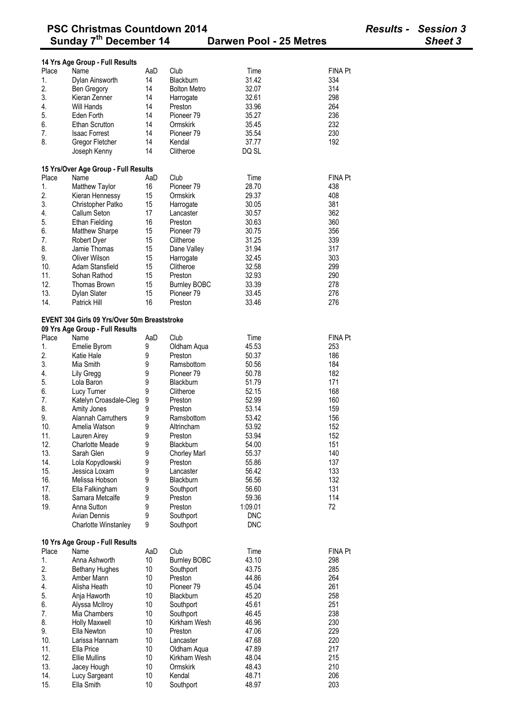|                | 14 Yrs Age Group - Full Results                     |          |                                              |                |                |
|----------------|-----------------------------------------------------|----------|----------------------------------------------|----------------|----------------|
| Place          | Name                                                | AaD      | Club                                         | Time           | FINA Pt        |
| 1.             | Dylan Ainsworth                                     | 14       | Blackburn                                    | 31.42          | 334            |
| 2.             | Ben Gregory                                         | 14       | <b>Bolton Metro</b>                          | 32.07          | 314            |
| 3.             | Kieran Zenner                                       | 14       | Harrogate                                    | 32.61          | 298            |
| 4.             | Will Hands                                          | 14       | Preston                                      | 33.96          | 264            |
| 5.             | Eden Forth                                          | 14       | Pioneer 79                                   | 35.27          | 236            |
| 6.             | <b>Ethan Scrutton</b>                               | 14       | Ormskirk                                     | 35.45          | 232            |
| 7.             | <b>Isaac Forrest</b>                                | 14       | Pioneer 79                                   | 35.54          | 230            |
| 8.             | Gregor Fletcher                                     | 14       | Kendal                                       | 37.77          | 192            |
|                | Joseph Kenny                                        | 14       | Clitheroe                                    | DQ SL          |                |
|                | 15 Yrs/Over Age Group - Full Results                |          |                                              |                |                |
| Place          | Name                                                | AaD      | Club                                         | Time           | <b>FINA Pt</b> |
| 1.             | Matthew Taylor                                      | 16       | Pioneer <sub>79</sub>                        | 28.70          | 438            |
| 2.             | Kieran Hennessy                                     | 15       | Ormskirk                                     | 29.37          | 408            |
| 3.             | Christopher Patko                                   | 15       | Harrogate                                    | 30.05          | 381            |
| 4.             | Callum Seton                                        | 17       | Lancaster                                    | 30.57          | 362            |
| 5.             | <b>Ethan Fielding</b>                               | 16       | Preston                                      | 30.63          | 360            |
| 6.             | Matthew Sharpe                                      | 15       | Pioneer 79                                   | 30.75          | 356            |
| 7.             | Robert Dyer                                         | 15       | Clitheroe                                    | 31.25          | 339            |
| 8.             | Jamie Thomas                                        | 15       | Dane Valley                                  | 31.94          | 317            |
| 9.             | <b>Oliver Wilson</b>                                | 15       | Harrogate                                    | 32.45          | 303            |
| 10.            | Adam Stansfield                                     | 15       | Clitheroe                                    | 32.58          | 299            |
| 11.<br>12.     | Sohan Rathod<br><b>Thomas Brown</b>                 | 15       | Preston                                      | 32.93          | 290            |
| 13.            |                                                     | 15<br>15 | <b>Burnley BOBC</b><br>Pioneer <sub>79</sub> | 33.39<br>33.45 | 278<br>276     |
| 14.            | Dylan Slater<br>Patrick Hill                        | 16       | Preston                                      | 33.46          | 276            |
|                |                                                     |          |                                              |                |                |
|                | <b>EVENT 304 Girls 09 Yrs/Over 50m Breaststroke</b> |          |                                              |                |                |
|                | 09 Yrs Age Group - Full Results                     |          |                                              |                |                |
| Place          | Name                                                | AaD      | Club                                         | Time           | <b>FINA Pt</b> |
| 1.             | Emelie Byrom                                        | 9        | Oldham Aqua                                  | 45.53          | 253            |
| 2.             | Katie Hale                                          | 9        | Preston                                      | 50.37          | 186            |
| 3.             | Mia Smith                                           | 9        | Ramsbottom                                   | 50.56          | 184            |
| 4.             | Lily Gregg                                          | 9        | Pioneer 79                                   | 50.78          | 182            |
| 5.             | Lola Baron                                          | 9        | Blackburn                                    | 51.79          | 171            |
| 6.             | Lucy Turner                                         | 9        | Clitheroe                                    | 52.15          | 168            |
| 7.<br>8.       | Katelyn Croasdale-Cleg                              | 9<br>9   | Preston<br>Preston                           | 52.99          | 160            |
| 9.             | Amity Jones<br><b>Alannah Carruthers</b>            | 9        | Ramsbottom                                   | 53.14<br>53.42 | 159<br>156     |
| 10.            | Amelia Watson                                       | 9        | Altrincham                                   | 53.92          | 152            |
| 11.            | Lauren Airey                                        | 9        | Preston                                      | 53.94          | 152            |
| 12.            | Charlotte Meade                                     | 9        | Blackburn                                    | 54.00          | 151            |
| 13.            | Sarah Glen                                          | 9        | <b>Chorley Marl</b>                          | 55.37          | 140            |
| 14.            | Lola Kopydlowski                                    | 9        | Preston                                      | 55.86          | 137            |
| 15.            | Jessica Loxam                                       | 9        | Lancaster                                    | 56.42          | 133            |
| 16.            | Melissa Hobson                                      | 9        | Blackburn                                    | 56.56          | 132            |
| 17.            | Ella Falkingham                                     | 9        | Southport                                    | 56.60          | 131            |
| 18.            | Samara Metcalfe                                     | 9        | Preston                                      | 59.36          | 114            |
| 19.            | Anna Sutton                                         | 9        | Preston                                      | 1:09.01        | 72             |
|                | <b>Avian Dennis</b>                                 | 9        | Southport                                    | <b>DNC</b>     |                |
|                | Charlotte Winstanley                                | 9        | Southport                                    | <b>DNC</b>     |                |
|                | 10 Yrs Age Group - Full Results                     |          |                                              |                |                |
| Place          | Name                                                | AaD      | Club                                         | Time           | <b>FINA Pt</b> |
| $\mathbf{1}$ . | Anna Ashworth                                       | 10       | <b>Burnley BOBC</b>                          | 43.10          | 298            |
| 2.             | <b>Bethany Hughes</b>                               | 10       | Southport                                    | 43.75          | 285            |
| 3.             | Amber Mann                                          | 10       | Preston                                      | 44.86          | 264            |
| 4.             | Alisha Heath                                        | 10       | Pioneer 79                                   | 45.04          | 261            |
| 5.             | Anja Haworth                                        | 10       | Blackburn                                    | 45.20          | 258            |
| 6.             | Alyssa McIlroy                                      | 10       | Southport                                    | 45.61          | 251            |
| 7.             | Mia Chambers                                        | 10       | Southport                                    | 46.45          | 238            |
| 8.             | <b>Holly Maxwell</b>                                | 10       | Kirkham Wesh                                 | 46.96          | 230            |
| 9.             | Ella Newton                                         | 10       | Preston                                      | 47.06          | 229            |
| 10.            | Larissa Hannam                                      | 10       | Lancaster                                    | 47.68          | 220            |
| 11.            | Ella Price                                          | 10       | Oldham Aqua                                  | 47.89          | 217            |
| 12.            | <b>Ellie Mullins</b>                                | 10       | Kirkham Wesh                                 | 48.04          | 215            |
| 13.            | Jacey Hough                                         | 10       | Ormskirk                                     | 48.43          | 210            |
| 14.            | Lucy Sargeant                                       | 10       | Kendal                                       | 48.71          | 206            |
| 15.            | Ella Smith                                          | 10       | Southport                                    | 48.97          | 203            |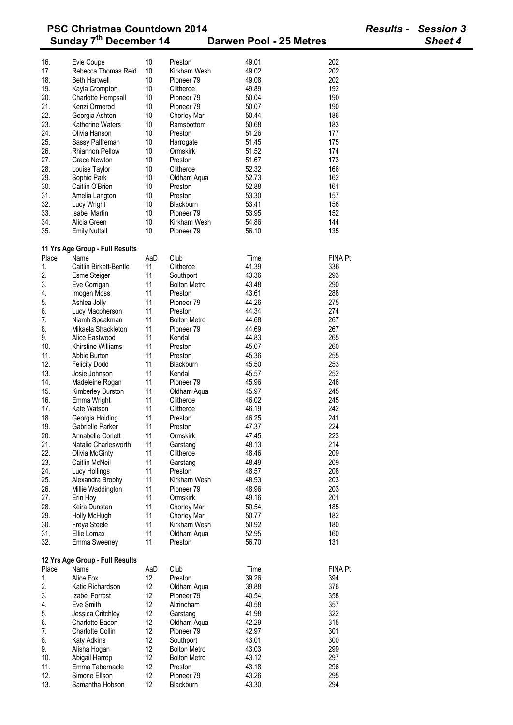| <b>PSC Christmas Countdown 2014</b> |                                    |          |                                       |                         |                | <b>Results - Session 3</b> |
|-------------------------------------|------------------------------------|----------|---------------------------------------|-------------------------|----------------|----------------------------|
|                                     | Sunday 7 <sup>th</sup> December 14 |          |                                       | Darwen Pool - 25 Metres |                | Sheet 4                    |
|                                     |                                    | 10       | Preston                               | 49.01                   | 202            |                            |
| 16.<br>17.                          | Evie Coupe<br>Rebecca Thomas Reid  | 10       | Kirkham Wesh                          | 49.02                   | 202            |                            |
| 18.                                 | <b>Beth Hartwell</b>               | 10       | Pioneer <sub>79</sub>                 | 49.08                   | 202            |                            |
| 19.                                 | Kayla Crompton                     | 10       | Clitheroe                             | 49.89                   | 192            |                            |
| 20.                                 | Charlotte Hempsall                 | 10       | Pioneer <sub>79</sub>                 | 50.04                   | 190            |                            |
| 21.                                 | Kenzi Ormerod                      | 10       | Pioneer 79                            | 50.07                   | 190            |                            |
| 22.                                 | Georgia Ashton                     | 10       | <b>Chorley Marl</b>                   | 50.44                   | 186            |                            |
| 23.                                 | Katherine Waters                   | 10       | Ramsbottom                            | 50.68                   | 183            |                            |
| 24.                                 | Olivia Hanson                      | 10       | Preston                               | 51.26                   | 177            |                            |
| 25.                                 | Sassy Palfreman                    | 10       | Harrogate                             | 51.45                   | 175            |                            |
| 26.                                 | <b>Rhiannon Pellow</b>             | 10       | Ormskirk                              | 51.52                   | 174            |                            |
| 27.                                 | Grace Newton                       | 10       | Preston                               | 51.67                   | 173            |                            |
| 28.                                 | Louise Taylor                      | 10       | Clitheroe                             | 52.32                   | 166            |                            |
| 29.                                 | Sophie Park                        | 10       | Oldham Aqua                           | 52.73                   | 162            |                            |
| 30.                                 | Caitlin O'Brien                    | 10       | Preston                               | 52.88                   | 161            |                            |
| 31.                                 | Amelia Langton                     | 10       | Preston                               | 53.30                   | 157            |                            |
| 32.                                 | Lucy Wright                        | 10       | <b>Blackburn</b>                      | 53.41                   | 156            |                            |
| 33.                                 | <b>Isabel Martin</b>               | 10       | Pioneer 79                            | 53.95                   | 152            |                            |
| 34.                                 | Alicia Green                       | 10       | Kirkham Wesh                          | 54.86                   | 144            |                            |
| 35.                                 | <b>Emily Nuttall</b>               | 10       | Pioneer <sub>79</sub>                 | 56.10                   | 135            |                            |
|                                     | 11 Yrs Age Group - Full Results    |          |                                       |                         |                |                            |
| Place                               | Name                               | AaD      | Club                                  | Time                    | <b>FINA Pt</b> |                            |
| 1.                                  | Caitlin Birkett-Bentle             | 11       | Clitheroe                             | 41.39                   | 336            |                            |
| 2.                                  | <b>Esme Steiger</b>                | 11       | Southport                             | 43.36                   | 293            |                            |
| 3.                                  | Eve Corrigan                       | 11       | <b>Bolton Metro</b>                   | 43.48                   | 290            |                            |
| 4.                                  | Imogen Moss                        | 11       | Preston                               | 43.61                   | 288            |                            |
| 5.                                  | Ashlea Jolly                       | 11       | Pioneer <sub>79</sub>                 | 44.26                   | 275            |                            |
| 6.                                  | Lucy Macpherson                    | 11       | Preston                               | 44.34                   | 274            |                            |
| 7.                                  | Niamh Speakman                     | 11       | <b>Bolton Metro</b>                   | 44.68                   | 267            |                            |
| 8.                                  | Mikaela Shackleton                 | 11       | Pioneer <sub>79</sub>                 | 44.69                   | 267            |                            |
| 9.                                  | Alice Eastwood                     | 11       | Kendal                                | 44.83                   | 265            |                            |
| 10.                                 | <b>Khirstine Williams</b>          | 11       | Preston                               | 45.07                   | 260            |                            |
| 11.                                 | Abbie Burton                       | 11       | Preston                               | 45.36                   | 255            |                            |
| 12.                                 | <b>Felicity Dodd</b>               | 11       | <b>Blackburn</b>                      | 45.50                   | 253            |                            |
| 13.                                 | Josie Johnson                      | 11       | Kendal                                | 45.57                   | 252            |                            |
| 14.                                 | Madeleine Rogan                    | 11       | Pioneer <sub>79</sub>                 | 45.96                   | 246            |                            |
| 15.                                 | Kimberley Burston                  | 11       | Oldham Aqua                           | 45.97                   | 245            |                            |
| 16.                                 | Emma Wright                        | 11       | Clitheroe                             | 46.02                   | 245            |                            |
| 17.                                 | Kate Watson                        | 11       | Clitheroe                             | 46.19                   | 242            |                            |
| 18.                                 | Georgia Holding                    | 11       | Preston                               | 46.25                   | 241            |                            |
| 19.                                 | Gabrielle Parker                   | 11       | Preston                               | 47.37                   | 224            |                            |
| 20.                                 | Annabelle Corlett                  | 11       | Ormskirk                              | 47.45                   | 223            |                            |
| 21.                                 | Natalie Charlesworth               | 11       | Garstang                              | 48.13                   | 214            |                            |
| 22.                                 | <b>Olivia McGinty</b>              | 11       | Clitheroe                             | 48.46                   | 209            |                            |
| 23.                                 | Caitlin McNeil                     | 11       | Garstang                              | 48.49                   | 209            |                            |
| 24.                                 | Lucy Hollings                      | 11       | Preston                               | 48.57                   | 208            |                            |
| 25.                                 | Alexandra Brophy                   | 11<br>11 | Kirkham Wesh<br>Pioneer <sub>79</sub> | 48.93                   | 203<br>203     |                            |
| 26.<br>27.                          | Millie Waddington                  | 11       | Ormskirk                              | 48.96<br>49.16          | 201            |                            |
| 28.                                 | Erin Hoy<br>Keira Dunstan          | 11       | <b>Chorley Marl</b>                   | 50.54                   | 185            |                            |
| 29.                                 | Holly McHugh                       | 11       | <b>Chorley Marl</b>                   | 50.77                   | 182            |                            |
| 30.                                 | Freya Steele                       | 11       | Kirkham Wesh                          | 50.92                   | 180            |                            |
| 31.                                 | Ellie Lomax                        | 11       | Oldham Aqua                           | 52.95                   | 160            |                            |
| 32.                                 | Emma Sweeney                       | 11       | Preston                               | 56.70                   | 131            |                            |
|                                     | 12 Yrs Age Group - Full Results    |          |                                       |                         |                |                            |
| Place                               | Name                               | AaD      | Club                                  | Time                    | FINA Pt        |                            |
| 1.                                  | Alice Fox                          | 12       | Preston                               | 39.26                   | 394            |                            |
| 2.                                  | Katie Richardson                   | 12       | Oldham Aqua                           | 39.88                   | 376            |                            |
| 3.                                  | Izabel Forrest                     | 12       | Pioneer <sub>79</sub>                 | 40.54                   | 358            |                            |
| 4.                                  | Eve Smith                          | 12       | Altrincham                            | 40.58                   | 357            |                            |
| 5.                                  | Jessica Critchley                  | 12       | Garstang                              | 41.98                   | 322            |                            |
| 6.                                  | Charlotte Bacon                    | 12       | Oldham Aqua                           | 42.29                   | 315            |                            |
| 7.                                  | Charlotte Collin                   | 12       | Pioneer <sub>79</sub>                 | 42.97                   | 301            |                            |
| 8.                                  | <b>Katy Adkins</b>                 | 12       | Southport                             | 43.01                   | 300            |                            |
| 9.                                  | Alisha Hogan                       | 12       | <b>Bolton Metro</b>                   | 43.03                   | 299            |                            |
| 10.                                 | Abigail Harrop                     | 12       | <b>Bolton Metro</b>                   | 43.12                   | 297            |                            |
| 11.                                 | Emma Tabernacle                    | 12       | Preston                               | 43.18                   | 296            |                            |
| 12.                                 | Simone Ellson                      | 12       | Pioneer <sub>79</sub>                 | 43.26                   | 295            |                            |
| 13.                                 | Samantha Hobson                    | 12       | Blackburn                             | 43.30                   | 294            |                            |
|                                     |                                    |          |                                       |                         |                |                            |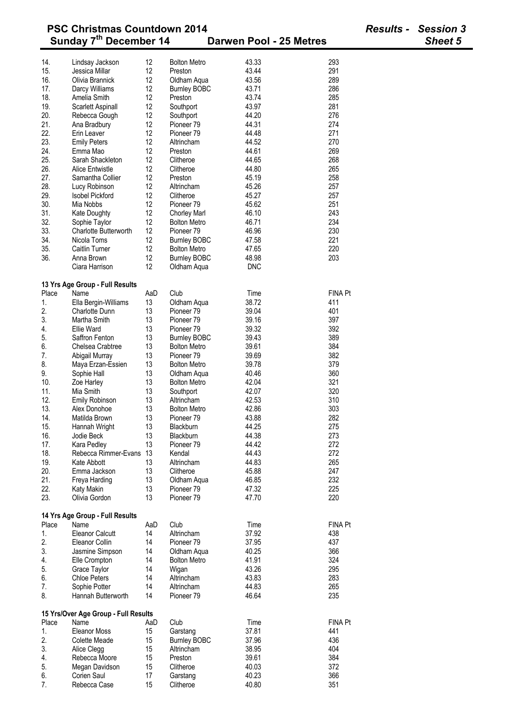|            | <b>PSC Christmas Countdown 2014</b><br>Sunday 7 <sup>th</sup> December 14 | <b>Results - Session 3</b><br><b>Sheet 5</b> |                                |                              |  |
|------------|---------------------------------------------------------------------------|----------------------------------------------|--------------------------------|------------------------------|--|
|            |                                                                           |                                              |                                | Darwen Pool - 25 Metres      |  |
| 14.        | Lindsay Jackson                                                           | 12                                           | <b>Bolton Metro</b>            | 43.33<br>293                 |  |
| 15.<br>16. | Jessica Millar<br>Olivia Brannick                                         | 12<br>12                                     | Preston                        | 43.44<br>291<br>289<br>43.56 |  |
| 17.        |                                                                           | 12                                           | Oldham Aqua                    | 43.71<br>286                 |  |
| 18.        | Darcy Williams<br>Amelia Smith                                            | 12                                           | <b>Burnley BOBC</b><br>Preston | 285<br>43.74                 |  |
| 19.        | Scarlett Aspinall                                                         | 12                                           | Southport                      | 281<br>43.97                 |  |
| 20.        | Rebecca Gough                                                             | 12                                           | Southport                      | 276<br>44.20                 |  |
| 21.        | Ana Bradbury                                                              | 12                                           | Pioneer <sub>79</sub>          | 274<br>44.31                 |  |
| 22.        | Erin Leaver                                                               | 12                                           | Pioneer 79                     | 44.48<br>271                 |  |
| 23.        | <b>Emily Peters</b>                                                       | 12                                           | Altrincham                     | 44.52<br>270                 |  |
| 24.        | Emma Mao                                                                  | 12                                           | Preston                        | 44.61<br>269                 |  |
| 25.        | Sarah Shackleton                                                          | 12                                           | Clitheroe                      | 268<br>44.65                 |  |
| 26.        | <b>Alice Entwistle</b>                                                    | 12                                           | Clitheroe                      | 265<br>44.80                 |  |
| 27.        | Samantha Collier                                                          | 12                                           | Preston                        | 45.19<br>258                 |  |
| 28.        | Lucy Robinson                                                             | 12                                           | Altrincham                     | 45.26<br>257                 |  |
| 29.        | <b>Isobel Pickford</b>                                                    | 12                                           | Clitheroe                      | 45.27<br>257                 |  |
| 30.        | Mia Nobbs                                                                 | 12                                           | Pioneer <sub>79</sub>          | 251<br>45.62                 |  |
| 31.        | Kate Doughty                                                              | 12                                           | <b>Chorley Marl</b>            | 243<br>46.10                 |  |
| 32.        | Sophie Taylor                                                             | 12                                           | <b>Bolton Metro</b>            | 234<br>46.71                 |  |
| 33.        | <b>Charlotte Butterworth</b>                                              | 12                                           | Pioneer <sub>79</sub>          | 230<br>46.96                 |  |
| 34.        | Nicola Toms                                                               | 12                                           | <b>Burnley BOBC</b>            | 221<br>47.58                 |  |
| 35.        | Caitlin Turner                                                            | 12                                           | <b>Bolton Metro</b>            | 220<br>47.65                 |  |
| 36.        | Anna Brown                                                                | 12                                           | <b>Burnley BOBC</b>            | 48.98<br>203                 |  |
|            | Ciara Harrison                                                            | 12                                           | Oldham Aqua                    | <b>DNC</b>                   |  |
|            |                                                                           |                                              |                                |                              |  |
| Place      | 13 Yrs Age Group - Full Results<br>Name                                   | AaD                                          | Club                           | <b>FINA Pt</b><br>Time       |  |
| 1.         | Ella Bergin-Williams                                                      | 13                                           | Oldham Aqua                    | 38.72<br>411                 |  |
| 2.         | <b>Charlotte Dunn</b>                                                     | 13                                           | Pioneer 79                     | 39.04<br>401                 |  |
| 3.         | Martha Smith                                                              | 13                                           | Pioneer 79                     | 397<br>39.16                 |  |
| 4.         | <b>Ellie Ward</b>                                                         | 13                                           | Pioneer <sub>79</sub>          | 392<br>39.32                 |  |
| 5.         | Saffron Fenton                                                            | 13                                           | <b>Burnley BOBC</b>            | 389<br>39.43                 |  |
| 6.         | Chelsea Crabtree                                                          | 13                                           | <b>Bolton Metro</b>            | 39.61<br>384                 |  |
| 7.         | Abigail Murray                                                            | 13                                           | Pioneer <sub>79</sub>          | 39.69<br>382                 |  |
| 8.         | Maya Erzan-Essien                                                         | 13                                           | <b>Bolton Metro</b>            | 39.78<br>379                 |  |
| 9.         | Sophie Hall                                                               | 13                                           | Oldham Aqua                    | 40.46<br>360                 |  |
| 10.        | Zoe Harley                                                                | 13                                           | <b>Bolton Metro</b>            | 42.04<br>321                 |  |
| 11.        | Mia Smith                                                                 | 13                                           | Southport                      | 320<br>42.07                 |  |
| 12.        | <b>Emily Robinson</b>                                                     | 13                                           | Altrincham                     | 42.53<br>310                 |  |
| 13.        | Alex Donohoe                                                              | 13                                           | <b>Bolton Metro</b>            | 42.86<br>303                 |  |
| 14.        | Matilda Brown                                                             | 13                                           | Pioneer <sub>79</sub>          | 43.88<br>282                 |  |
| 15.        | Hannah Wright                                                             | 13                                           | Blackburn                      | 44.25<br>275                 |  |
| 16.        | Jodie Beck                                                                | 13                                           | Blackburn                      | 44.38<br>273                 |  |
| 17.        | Kara Pedley                                                               | 13                                           | Pioneer <sub>79</sub>          | 44.42<br>272                 |  |
| 18.        | Rebecca Rimmer-Evans                                                      | 13                                           | Kendal                         | 272<br>44.43                 |  |
| 19.        | Kate Abbott                                                               | 13                                           | Altrincham                     | 44.83<br>265                 |  |
| 20.        | Emma Jackson                                                              | 13                                           | Clitheroe                      | 45.88<br>247                 |  |
| 21.        | Freya Harding                                                             | 13                                           | Oldham Aqua                    | 232<br>46.85                 |  |
| 22.        | Katy Makin                                                                | 13                                           | Pioneer <sub>79</sub>          | 225<br>47.32                 |  |
| 23.        | Olivia Gordon                                                             | 13                                           | Pioneer 79                     | 47.70<br>220                 |  |
|            | 14 Yrs Age Group - Full Results                                           |                                              |                                |                              |  |
| Place      | Name                                                                      | AaD                                          | Club                           | <b>FINA Pt</b><br>Time       |  |
| 1.         | <b>Eleanor Calcutt</b>                                                    | 14                                           | Altrincham                     | 37.92<br>438                 |  |
| 2.         | Eleanor Collin                                                            | 14                                           | Pioneer <sub>79</sub>          | 37.95<br>437                 |  |
| 3.         | Jasmine Simpson                                                           | 14                                           | Oldham Aqua                    | 40.25<br>366                 |  |
| 4.         | Elle Crompton                                                             | 14                                           | <b>Bolton Metro</b>            | 41.91<br>324                 |  |
| 5.         | Grace Taylor                                                              | 14                                           | Wigan                          | 43.26<br>295                 |  |
| 6.         | <b>Chloe Peters</b>                                                       | 14                                           | Altrincham                     | 43.83<br>283                 |  |
| 7.         | Sophie Potter                                                             | 14                                           | Altrincham                     | 44.83<br>265                 |  |
| 8.         | Hannah Butterworth                                                        | 14                                           | Pioneer <sub>79</sub>          | 46.64<br>235                 |  |
|            | 15 Yrs/Over Age Group - Full Results                                      |                                              |                                |                              |  |
| Place      | Name                                                                      | AaD                                          | Club                           | Time<br><b>FINA Pt</b>       |  |
| 1.         | <b>Eleanor Moss</b>                                                       | 15                                           | Garstang                       | 37.81<br>441                 |  |
| 2.         | <b>Colette Meade</b>                                                      | 15                                           | <b>Burnley BOBC</b>            | 37.96<br>436                 |  |
| 3.         | Alice Clegg                                                               | 15                                           | Altrincham                     | 38.95<br>404                 |  |
| 4.         | Rebecca Moore                                                             | 15                                           | Preston                        | 384<br>39.61                 |  |
| 5.         | Megan Davidson                                                            | 15                                           | Clitheroe                      | 372<br>40.03                 |  |
| 6.         | Corien Saul                                                               | 17                                           | Garstang                       | 40.23<br>366                 |  |
| 7.         | Rebecca Case                                                              | 15                                           | Clitheroe                      | 351<br>40.80                 |  |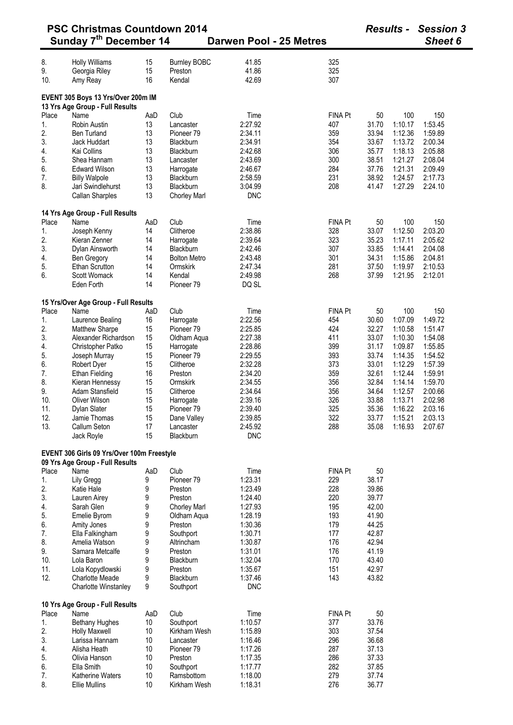| <b>PSC Christmas Countdown 2014</b> |                                            |     |                       | Darwen Pool - 25 Metres |                |       | <b>Results -</b> | <b>Session 3</b><br>Sheet 6 |  |
|-------------------------------------|--------------------------------------------|-----|-----------------------|-------------------------|----------------|-------|------------------|-----------------------------|--|
|                                     | Sunday 7 <sup>th</sup> December 14         |     |                       |                         |                |       |                  |                             |  |
| 8.                                  | <b>Holly Williams</b>                      | 15  | <b>Burnley BOBC</b>   | 41.85                   | 325            |       |                  |                             |  |
| 9.                                  | Georgia Riley                              | 15  | Preston               | 41.86                   | 325            |       |                  |                             |  |
| 10.                                 | Amy Reay                                   | 16  | Kendal                | 42.69                   | 307            |       |                  |                             |  |
|                                     | EVENT 305 Boys 13 Yrs/Over 200m IM         |     |                       |                         |                |       |                  |                             |  |
|                                     | 13 Yrs Age Group - Full Results            |     |                       |                         |                |       |                  |                             |  |
| Place                               | Name                                       | AaD | Club                  | Time                    | FINA Pt        | 50    | 100              | 150                         |  |
| 1.                                  | <b>Robin Austin</b>                        | 13  | Lancaster             | 2:27.92                 | 407            | 31.70 | 1:10.17          | 1:53.45                     |  |
| 2.                                  | <b>Ben Turland</b>                         | 13  | Pioneer 79            | 2:34.11                 | 359            | 33.94 | 1:12.36          | 1:59.89                     |  |
| 3.                                  | Jack Huddart                               | 13  | Blackburn             | 2:34.91                 | 354            | 33.67 | 1:13.72          | 2:00.34                     |  |
| 4.                                  | Kai Collins                                | 13  | Blackburn             | 2:42.68                 | 306            | 35.77 | 1:18.13          | 2:05.88                     |  |
| 5.                                  | Shea Hannam                                | 13  | Lancaster             | 2:43.69                 | 300            | 38.51 | 1:21.27          | 2:08.04                     |  |
| 6.                                  | <b>Edward Wilson</b>                       | 13  | Harrogate             | 2:46.67                 | 284            | 37.76 | 1:21.31          | 2:09.49                     |  |
| 7.                                  | <b>Billy Walpole</b>                       | 13  | Blackburn             | 2:58.59                 | 231            | 38.92 | 1:24.57          | 2:17.73                     |  |
| 8.                                  | Jari Swindlehurst                          | 13  | Blackburn             | 3:04.99                 | 208            | 41.47 | 1:27.29          | 2:24.10                     |  |
|                                     | Callan Sharples                            | 13  | <b>Chorley Marl</b>   | <b>DNC</b>              |                |       |                  |                             |  |
|                                     | 14 Yrs Age Group - Full Results            |     |                       |                         |                |       |                  |                             |  |
| Place                               | Name                                       | AaD | Club                  | Time                    | FINA Pt        | 50    | 100              | 150                         |  |
| 1.                                  | Joseph Kenny                               | 14  | Clitheroe             | 2:38.86                 | 328            | 33.07 | 1:12.50          | 2:03.20                     |  |
| 2.                                  | Kieran Zenner                              | 14  | Harrogate             | 2:39.64                 | 323            | 35.23 | 1:17.11          | 2:05.62                     |  |
| 3.                                  | Dylan Ainsworth                            | 14  | Blackburn             | 2:42.46                 | 307            | 33.85 | 1:14.41          | 2:04.08                     |  |
| 4.                                  | <b>Ben Gregory</b>                         | 14  | <b>Bolton Metro</b>   | 2:43.48                 | 301            | 34.31 | 1:15.86          | 2:04.81                     |  |
| 5.                                  | <b>Ethan Scrutton</b>                      | 14  | Ormskirk              | 2:47.34                 | 281            | 37.50 | 1:19.97          | 2:10.53                     |  |
| 6.                                  | Scott Womack                               | 14  | Kendal                | 2:49.98                 | 268            | 37.99 | 1:21.95          | 2:12.01                     |  |
|                                     | Eden Forth                                 | 14  | Pioneer 79            | DQ SL                   |                |       |                  |                             |  |
|                                     | 15 Yrs/Over Age Group - Full Results       |     |                       |                         |                |       |                  |                             |  |
| Place                               | Name                                       | AaD | Club                  | Time                    | <b>FINA Pt</b> | 50    | 100              | 150                         |  |
| 1.                                  | Laurence Bealing                           | 16  | Harrogate             | 2:22.56                 | 454            | 30.60 | 1:07.09          | 1:49.72                     |  |
| 2.                                  | <b>Matthew Sharpe</b>                      | 15  | Pioneer 79            | 2:25.85                 | 424            | 32.27 | 1:10.58          | 1:51.47                     |  |
| 3.                                  | Alexander Richardson                       | 15  | Oldham Aqua           | 2:27.38                 | 411            | 33.07 | 1:10.30          | 1:54.08                     |  |
| 4.                                  | Christopher Patko                          | 15  | Harrogate             | 2:28.86                 | 399            | 31.17 | 1:09.87          | 1:55.85                     |  |
| 5.                                  | Joseph Murray                              | 15  | Pioneer <sub>79</sub> | 2:29.55                 | 393            | 33.74 | 1:14.35          | 1:54.52                     |  |
| 6.                                  | Robert Dyer                                | 15  | Clitheroe             | 2:32.28                 | 373            | 33.01 | 1:12.29          | 1:57.39                     |  |
| 7.                                  | <b>Ethan Fielding</b>                      | 16  | Preston               | 2:34.20                 | 359            | 32.61 | 1:12.44          | 1:59.91                     |  |
| 8.                                  | Kieran Hennessy                            | 15  | Ormskirk              | 2:34.55                 | 356            | 32.84 | 1:14.14          | 1:59.70                     |  |
| 9.                                  | Adam Stansfield                            | 15  | Clitheroe             | 2:34.64                 | 356            | 34.64 | 1:12.57          | 2:00.66                     |  |
| 10.                                 | Oliver Wilson                              | 15  | Harrogate             | 2:39.16                 | 326            | 33.88 | 1:13.71          | 2:02.98                     |  |
| 11.                                 | Dylan Slater                               | 15  | Pioneer 79            | 2:39.40                 | 325            | 35.36 | 1:16.22          | 2:03.16                     |  |
| 12.                                 | Jamie Thomas                               | 15  | Dane Valley           | 2:39.85                 | 322            | 33.77 | 1:15.21          | 2:03.13                     |  |
| 13.                                 | Callum Seton                               | 17  | Lancaster             | 2:45.92                 | 288            | 35.08 | 1:16.93          | 2:07.67                     |  |
|                                     | Jack Royle                                 | 15  | Blackburn             | <b>DNC</b>              |                |       |                  |                             |  |
|                                     | EVENT 306 Girls 09 Yrs/Over 100m Freestyle |     |                       |                         |                |       |                  |                             |  |
| Place                               | 09 Yrs Age Group - Full Results<br>Name    | AaD | Club                  | Time                    | FINA Pt        | 50    |                  |                             |  |
| 1.                                  | Lily Gregg                                 | 9   | Pioneer <sub>79</sub> | 1:23.31                 | 229            | 38.17 |                  |                             |  |
| 2.                                  | Katie Hale                                 | 9   | Preston               | 1:23.49                 | 228            | 39.86 |                  |                             |  |
| 3.                                  | Lauren Airey                               | 9   | Preston               | 1:24.40                 | 220            | 39.77 |                  |                             |  |
| 4.                                  | Sarah Glen                                 | 9   | <b>Chorley Marl</b>   | 1:27.93                 | 195            | 42.00 |                  |                             |  |
| 5.                                  | Emelie Byrom                               | 9   | Oldham Aqua           | 1:28.19                 | 193            | 41.90 |                  |                             |  |
| 6.                                  | Amity Jones                                | 9   | Preston               | 1:30.36                 | 179            | 44.25 |                  |                             |  |
| 7.                                  | Ella Falkingham                            | 9   | Southport             | 1:30.71                 | 177            | 42.87 |                  |                             |  |
| 8.                                  | Amelia Watson                              | 9   | Altrincham            | 1:30.87                 | 176            | 42.94 |                  |                             |  |
| 9.                                  | Samara Metcalfe                            | 9   | Preston               | 1:31.01                 | 176            | 41.19 |                  |                             |  |
| 10.                                 | Lola Baron                                 | 9   | Blackburn             | 1:32.04                 | 170            | 43.40 |                  |                             |  |
| 11.                                 | Lola Kopydlowski                           | 9   | Preston               | 1:35.67                 | 151            | 42.97 |                  |                             |  |
| 12.                                 | <b>Charlotte Meade</b>                     | 9   | Blackburn             | 1:37.46                 | 143            | 43.82 |                  |                             |  |
|                                     | Charlotte Winstanley                       | 9   | Southport             | <b>DNC</b>              |                |       |                  |                             |  |
|                                     | 10 Yrs Age Group - Full Results            |     |                       |                         |                |       |                  |                             |  |
| Place                               | Name                                       | AaD | Club                  | Time                    | <b>FINA Pt</b> | 50    |                  |                             |  |
| 1.                                  | <b>Bethany Hughes</b>                      | 10  | Southport             | 1:10.57                 | 377            | 33.76 |                  |                             |  |
| 2.                                  | Holly Maxwell                              | 10  | Kirkham Wesh          | 1:15.89                 | 303            | 37.54 |                  |                             |  |
| 3.                                  | Larissa Hannam                             | 10  | Lancaster             | 1:16.46                 | 296            | 36.68 |                  |                             |  |
| 4.                                  | Alisha Heath                               | 10  | Pioneer <sub>79</sub> | 1:17.26                 | 287            | 37.13 |                  |                             |  |
| 5.                                  | Olivia Hanson                              | 10  | Preston               | 1:17.35                 | 286            | 37.33 |                  |                             |  |
| 6.                                  | Ella Smith                                 | 10  | Southport             | 1:17.77                 | 282            | 37.85 |                  |                             |  |
| 7.                                  | Katherine Waters                           | 10  | Ramsbottom            | 1:18.00                 | 279            | 37.74 |                  |                             |  |
| 8.                                  | <b>Ellie Mullins</b>                       | 10  | Kirkham Wesh          | 1:18.31                 | 276            | 36.77 |                  |                             |  |
|                                     |                                            |     |                       |                         |                |       |                  |                             |  |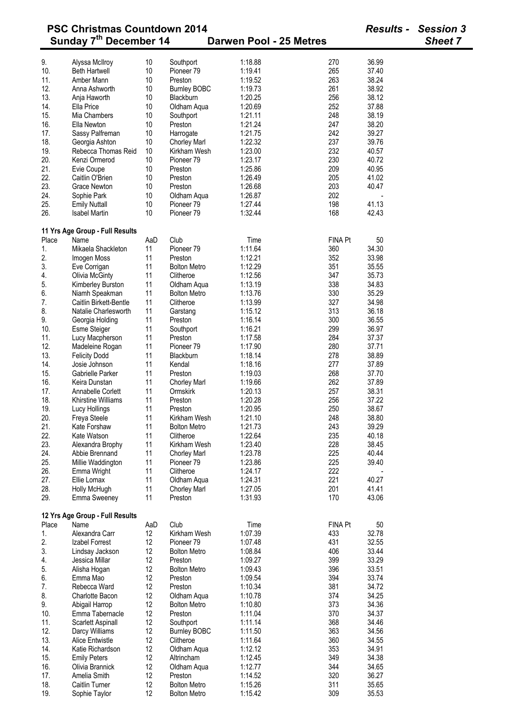|       | <b>PSC Christmas Countdown 2014</b> |     |                       |                         |                | <b>Results -</b> | <b>Session 3</b> |
|-------|-------------------------------------|-----|-----------------------|-------------------------|----------------|------------------|------------------|
|       | Sunday 7 <sup>th</sup> December 14  |     |                       | Darwen Pool - 25 Metres |                |                  | <b>Sheet 7</b>   |
| 9.    | Alyssa McIlroy                      | 10  | Southport             | 1:18.88                 | 270            | 36.99            |                  |
| 10.   | <b>Beth Hartwell</b>                | 10  | Pioneer 79            | 1:19.41                 | 265            | 37.40            |                  |
|       | Amber Mann                          | 10  | Preston               | 1:19.52                 | 263            | 38.24            |                  |
| 11.   |                                     |     |                       |                         |                |                  |                  |
| 12.   | Anna Ashworth                       | 10  | <b>Burnley BOBC</b>   | 1:19.73                 | 261            | 38.92            |                  |
| 13.   | Anja Haworth                        | 10  | Blackburn             | 1:20.25                 | 256            | 38.12            |                  |
| 14.   | Ella Price                          | 10  | Oldham Aqua           | 1:20.69                 | 252            | 37.88            |                  |
| 15.   | Mia Chambers                        | 10  | Southport             | 1:21.11                 | 248            | 38.19            |                  |
| 16.   | Ella Newton                         | 10  | Preston               | 1:21.24                 | 247            | 38.20            |                  |
| 17.   | Sassy Palfreman                     | 10  | Harrogate             | 1:21.75                 | 242            | 39.27            |                  |
| 18.   | Georgia Ashton                      | 10  | <b>Chorley Marl</b>   | 1:22.32                 | 237            | 39.76            |                  |
| 19.   | Rebecca Thomas Reid                 | 10  | Kirkham Wesh          | 1:23.00                 | 232            | 40.57            |                  |
| 20.   | Kenzi Ormerod                       | 10  | Pioneer <sub>79</sub> | 1:23.17                 | 230            | 40.72            |                  |
| 21.   | Evie Coupe                          | 10  | Preston               | 1:25.86                 | 209            | 40.95            |                  |
| 22.   |                                     |     | Preston               | 1:26.49                 | 205            | 41.02            |                  |
|       | Caitlin O'Brien                     | 10  |                       |                         |                |                  |                  |
| 23.   | <b>Grace Newton</b>                 | 10  | Preston               | 1:26.68                 | 203            | 40.47            |                  |
| 24.   | Sophie Park                         | 10  | Oldham Aqua           | 1:26.87                 | 202            |                  |                  |
| 25.   | <b>Emily Nuttall</b>                | 10  | Pioneer 79            | 1:27.44                 | 198            | 41.13            |                  |
| 26.   | <b>Isabel Martin</b>                | 10  | Pioneer <sub>79</sub> | 1:32.44                 | 168            | 42.43            |                  |
|       | 11 Yrs Age Group - Full Results     |     |                       |                         |                |                  |                  |
| Place | Name                                | AaD | Club                  | Time                    | <b>FINA Pt</b> | 50               |                  |
| 1.    | Mikaela Shackleton                  | 11  | Pioneer 79            | 1:11.64                 | 360            | 34.30            |                  |
| 2.    | Imogen Moss                         | 11  | Preston               | 1:12.21                 | 352            | 33.98            |                  |
| 3.    | Eve Corrigan                        | 11  | <b>Bolton Metro</b>   | 1:12.29                 | 351            | 35.55            |                  |
|       |                                     |     |                       |                         | 347            | 35.73            |                  |
| 4.    | <b>Olivia McGinty</b>               | 11  | Clitheroe             | 1:12.56                 |                |                  |                  |
| 5.    | Kimberley Burston                   | 11  | Oldham Aqua           | 1:13.19                 | 338            | 34.83            |                  |
| 6.    | Niamh Speakman                      | 11  | <b>Bolton Metro</b>   | 1:13.76                 | 330            | 35.29            |                  |
| 7.    | Caitlin Birkett-Bentle              | 11  | Clitheroe             | 1:13.99                 | 327            | 34.98            |                  |
| 8.    | Natalie Charlesworth                | 11  | Garstang              | 1:15.12                 | 313            | 36.18            |                  |
| 9.    | Georgia Holding                     | 11  | Preston               | 1:16.14                 | 300            | 36.55            |                  |
| 10.   | <b>Esme Steiger</b>                 | 11  | Southport             | 1:16.21                 | 299            | 36.97            |                  |
| 11.   | Lucy Macpherson                     | 11  | Preston               | 1:17.58                 | 284            | 37.37            |                  |
| 12.   | Madeleine Rogan                     | 11  | Pioneer 79            | 1:17.90                 | 280            | 37.71            |                  |
| 13.   | <b>Felicity Dodd</b>                | 11  | Blackburn             | 1:18.14                 | 278            | 38.89            |                  |
| 14.   | Josie Johnson                       | 11  | Kendal                | 1:18.16                 | 277            |                  |                  |
|       |                                     |     |                       |                         |                | 37.89            |                  |
| 15.   | Gabrielle Parker                    | 11  | Preston               | 1:19.03                 | 268            | 37.70            |                  |
| 16.   | Keira Dunstan                       | 11  | <b>Chorley Marl</b>   | 1:19.66                 | 262            | 37.89            |                  |
| 17.   | Annabelle Corlett                   | 11  | Ormskirk              | 1:20.13                 | 257            | 38.31            |                  |
| 18.   | Khirstine Williams                  | 11  | Preston               | 1:20.28                 | 256            | 37.22            |                  |
| 19.   | Lucy Hollings                       | 11  | Preston               | 1:20.95                 | 250            | 38.67            |                  |
| 20.   | Freya Steele                        | 11  | Kirkham Wesh          | 1:21.10                 | 248            | 38.80            |                  |
| 21.   | Kate Forshaw                        | 11  | <b>Bolton Metro</b>   | 1:21.73                 | 243            | 39.29            |                  |
| 22.   | Kate Watson                         | 11  | Clitheroe             | 1:22.64                 | 235            | 40.18            |                  |
|       |                                     |     |                       |                         |                |                  |                  |
| 23.   | Alexandra Brophy                    | 11  | Kirkham Wesh          | 1:23.40                 | 228            | 38.45            |                  |
| 24.   | Abbie Brennand                      | 11  | <b>Chorley Marl</b>   | 1:23.78                 | 225            | 40.44            |                  |
| 25.   | Millie Waddington                   | 11  | Pioneer 79            | 1:23.86                 | 225            | 39.40            |                  |
| 26.   | Emma Wright                         | 11  | Clitheroe             | 1:24.17                 | 222            |                  |                  |
| 27.   | Ellie Lomax                         | 11  | Oldham Aqua           | 1:24.31                 | 221            | 40.27            |                  |
| 28.   | Holly McHugh                        | 11  | <b>Chorley Marl</b>   | 1:27.05                 | 201            | 41.41            |                  |
| 29.   | Emma Sweeney                        | 11  | Preston               | 1:31.93                 | 170            | 43.06            |                  |
|       | 12 Yrs Age Group - Full Results     |     |                       |                         |                |                  |                  |
| Place | Name                                | AaD | Club                  | Time                    | <b>FINA Pt</b> | 50               |                  |
| 1.    | Alexandra Carr                      | 12  | Kirkham Wesh          | 1:07.39                 | 433            | 32.78            |                  |
| 2.    | Izabel Forrest                      | 12  | Pioneer 79            | 1:07.48                 | 431            | 32.55            |                  |
|       |                                     |     |                       |                         |                |                  |                  |
| 3.    | Lindsay Jackson                     | 12  | <b>Bolton Metro</b>   | 1:08.84                 | 406            | 33.44            |                  |
| 4.    | Jessica Millar                      | 12  | Preston               | 1:09.27                 | 399            | 33.29            |                  |
| 5.    | Alisha Hogan                        | 12  | <b>Bolton Metro</b>   | 1:09.43                 | 396            | 33.51            |                  |
| 6.    | Emma Mao                            | 12  | Preston               | 1:09.54                 | 394            | 33.74            |                  |
| 7.    | Rebecca Ward                        | 12  | Preston               | 1:10.34                 | 381            | 34.72            |                  |
| 8.    | Charlotte Bacon                     | 12  | Oldham Aqua           | 1:10.78                 | 374            | 34.25            |                  |
| 9.    | Abigail Harrop                      | 12  | <b>Bolton Metro</b>   | 1:10.80                 | 373            | 34.36            |                  |
| 10.   | Emma Tabernacle                     | 12  | Preston               | 1:11.04                 | 370            | 34.37            |                  |
|       |                                     |     |                       |                         | 368            |                  |                  |
| 11.   | Scarlett Aspinall                   | 12  | Southport             | 1:11.14                 |                | 34.46            |                  |
| 12.   | Darcy Williams                      | 12  | <b>Burnley BOBC</b>   | 1:11.50                 | 363            | 34.56            |                  |
| 13.   | Alice Entwistle                     | 12  | Clitheroe             | 1:11.64                 | 360            | 34.55            |                  |
| 14.   | Katie Richardson                    | 12  | Oldham Aqua           | 1:12.12                 | 353            | 34.91            |                  |
| 15.   | <b>Emily Peters</b>                 | 12  | Altrincham            | 1:12.45                 | 349            | 34.38            |                  |
| 16.   | Olivia Brannick                     | 12  | Oldham Aqua           | 1:12.77                 | 344            | 34.65            |                  |
| 17.   | Amelia Smith                        | 12  | Preston               | 1:14.52                 | 320            | 36.27            |                  |
| 18.   | Caitlin Turner                      | 12  | <b>Bolton Metro</b>   | 1:15.26                 | 311            | 35.65            |                  |
| 19.   | Sophie Taylor                       | 12  | <b>Bolton Metro</b>   | 1:15.42                 | 309            | 35.53            |                  |
|       |                                     |     |                       |                         |                |                  |                  |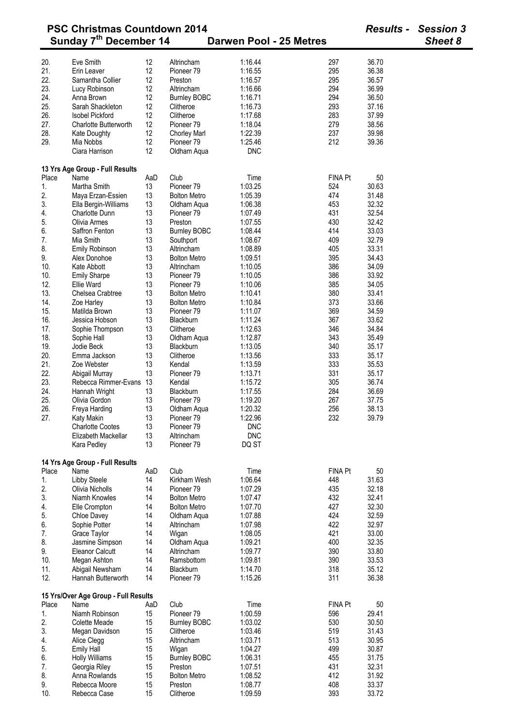|            | <b>PSC Christmas Countdown 2014</b>  | <b>Results -</b> | <b>Session 3</b>          |                         |                |       |         |
|------------|--------------------------------------|------------------|---------------------------|-------------------------|----------------|-------|---------|
|            | Sunday 7 <sup>th</sup> December 14   |                  |                           | Darwen Pool - 25 Metres |                |       | Sheet 8 |
|            | Eve Smith                            | 12               | Altrincham                | 1:16.44                 | 297            | 36.70 |         |
| 20.<br>21. | Erin Leaver                          | 12               | Pioneer <sub>79</sub>     | 1:16.55                 | 295            | 36.38 |         |
| 22.        | Samantha Collier                     | 12               | Preston                   | 1:16.57                 | 295            | 36.57 |         |
| 23.        |                                      | 12               |                           |                         | 294            | 36.99 |         |
|            | Lucy Robinson                        |                  | Altrincham                | 1:16.66                 |                |       |         |
| 24.        | Anna Brown                           | 12               | <b>Burnley BOBC</b>       | 1:16.71                 | 294            | 36.50 |         |
| 25.        | Sarah Shackleton                     | 12               | Clitheroe                 | 1:16.73                 | 293            | 37.16 |         |
| 26.        | <b>Isobel Pickford</b>               | 12               | Clitheroe                 | 1:17.68                 | 283            | 37.99 |         |
| 27.        | <b>Charlotte Butterworth</b>         | 12               | Pioneer <sub>79</sub>     | 1:18.04                 | 279            | 38.56 |         |
| 28.        | Kate Doughty                         | 12               | <b>Chorley Marl</b>       | 1:22.39                 | 237            | 39.98 |         |
| 29.        | Mia Nobbs<br>Ciara Harrison          | 12<br>12         | Pioneer 79<br>Oldham Aqua | 1:25.46<br><b>DNC</b>   | 212            | 39.36 |         |
|            | 13 Yrs Age Group - Full Results      |                  |                           |                         |                |       |         |
| Place      | Name                                 | AaD              | Club                      | Time                    | <b>FINA Pt</b> | 50    |         |
| 1.         | Martha Smith                         | 13               | Pioneer <sub>79</sub>     | 1:03.25                 | 524            | 30.63 |         |
| 2.         | Maya Erzan-Essien                    | 13               | <b>Bolton Metro</b>       | 1:05.39                 | 474            | 31.48 |         |
| 3.         | Ella Bergin-Williams                 | 13               | Oldham Aqua               | 1:06.38                 | 453            | 32.32 |         |
| 4.         | <b>Charlotte Dunn</b>                | 13               | Pioneer <sub>79</sub>     | 1:07.49                 | 431            | 32.54 |         |
| 5.         | Olivia Armes                         | 13               | Preston                   | 1:07.55                 | 430            | 32.42 |         |
| 6.         | Saffron Fenton                       | 13               | <b>Burnley BOBC</b>       | 1:08.44                 | 414            | 33.03 |         |
| 7.         | Mia Smith                            | 13               |                           | 1:08.67                 | 409            | 32.79 |         |
|            |                                      |                  | Southport                 |                         |                |       |         |
| 8.         | Emily Robinson                       | 13               | Altrincham                | 1:08.89                 | 405            | 33.31 |         |
| 9.         | Alex Donohoe                         | 13               | <b>Bolton Metro</b>       | 1:09.51                 | 395            | 34.43 |         |
| 10.        | Kate Abbott                          | 13               | Altrincham                | 1:10.05                 | 386            | 34.09 |         |
| 10.        | <b>Emily Sharpe</b>                  | 13               | Pioneer <sub>79</sub>     | 1:10.05                 | 386            | 33.92 |         |
| 12.        | Ellie Ward                           | 13               | Pioneer <sub>79</sub>     | 1:10.06                 | 385            | 34.05 |         |
| 13.        | Chelsea Crabtree                     | 13               | <b>Bolton Metro</b>       | 1:10.41                 | 380            | 33.41 |         |
| 14.        | Zoe Harley                           | 13               | <b>Bolton Metro</b>       | 1:10.84                 | 373            | 33.66 |         |
| 15.        | Matilda Brown                        | 13               | Pioneer <sub>79</sub>     | 1:11.07                 | 369            | 34.59 |         |
| 16.        | Jessica Hobson                       | 13               | <b>Blackburn</b>          | 1:11.24                 | 367            | 33.62 |         |
| 17.        | Sophie Thompson                      | 13               | Clitheroe                 | 1:12.63                 | 346            | 34.84 |         |
| 18.        | Sophie Hall                          | 13               | Oldham Aqua               | 1:12.87                 | 343            | 35.49 |         |
| 19.        | Jodie Beck                           | 13               | Blackburn                 | 1:13.05                 | 340            | 35.17 |         |
| 20.        | Emma Jackson                         | 13               | Clitheroe                 | 1:13.56                 | 333            | 35.17 |         |
|            |                                      |                  |                           |                         |                |       |         |
| 21.        | Zoe Webster                          | 13               | Kendal                    | 1:13.59                 | 333            | 35.53 |         |
| 22.        | Abigail Murray                       | 13               | Pioneer <sub>79</sub>     | 1:13.71                 | 331            | 35.17 |         |
| 23.        | Rebecca Rimmer-Evans 13              |                  | Kendal                    | 1:15.72                 | 305            | 36.74 |         |
| 24.        | Hannah Wright                        | 13               | Blackburn                 | 1:17.55                 | 284            | 36.69 |         |
| 25.        | Olivia Gordon                        | 13               | Pioneer 79                | 1:19.20                 | 267            | 37.75 |         |
| 26.        | Freya Harding                        | 13               | Oldham Aqua               | 1:20.32                 | 256            | 38.13 |         |
| 27.        | Katy Makin                           | 13               | Pioneer <sub>79</sub>     | 1:22.96                 | 232            | 39.79 |         |
|            | <b>Charlotte Cootes</b>              | 13               | Pioneer <sub>79</sub>     | <b>DNC</b>              |                |       |         |
|            | Elizabeth Mackellar                  | 13               | Altrincham                | <b>DNC</b>              |                |       |         |
|            | Kara Pedley                          | 13               | Pioneer <sub>79</sub>     | DQ ST                   |                |       |         |
|            | 14 Yrs Age Group - Full Results      |                  |                           |                         |                |       |         |
| Place      | Name                                 | AaD              | Club                      | Time                    | <b>FINA Pt</b> | 50    |         |
| 1.         | Libby Steele                         | 14               | Kirkham Wesh              | 1:06.64                 | 448            | 31.63 |         |
| 2.         | Olivia Nicholls                      | 14               | Pioneer <sub>79</sub>     | 1:07.29                 | 435            | 32.18 |         |
| 3.         | Niamh Knowles                        | 14               | <b>Bolton Metro</b>       | 1:07.47                 | 432            | 32.41 |         |
| 4.         | Elle Crompton                        | 14               | <b>Bolton Metro</b>       | 1:07.70                 | 427            | 32.30 |         |
| 5.         | Chloe Davey                          | 14               | Oldham Aqua               | 1:07.88                 | 424            | 32.59 |         |
| 6.         | Sophie Potter                        | 14               | Altrincham                | 1:07.98                 | 422            | 32.97 |         |
| 7.         | Grace Taylor                         | 14               | Wigan                     | 1:08.05                 | 421            | 33.00 |         |
| 8.         |                                      | 14               |                           | 1:09.21                 | 400            | 32.35 |         |
|            | Jasmine Simpson                      |                  | Oldham Aqua               |                         |                |       |         |
| 9.         | <b>Eleanor Calcutt</b>               | 14               | Altrincham                | 1:09.77                 | 390            | 33.80 |         |
| 10.        | Megan Ashton                         | 14               | Ramsbottom                | 1:09.81                 | 390            | 33.53 |         |
| 11.        | Abigail Newsham                      | 14               | Blackburn                 | 1:14.70                 | 318            | 35.12 |         |
| 12.        | Hannah Butterworth                   | 14               | Pioneer <sub>79</sub>     | 1:15.26                 | 311            | 36.38 |         |
|            | 15 Yrs/Over Age Group - Full Results |                  |                           |                         |                |       |         |
| Place      | Name                                 | AaD              | Club                      | Time                    | <b>FINA Pt</b> | 50    |         |
| 1.         | Niamh Robinson                       | 15               | Pioneer 79                | 1:00.59                 | 596            | 29.41 |         |
| 2.         | Colette Meade                        | 15               | <b>Burnley BOBC</b>       | 1:03.02                 | 530            | 30.50 |         |
| 3.         | Megan Davidson                       | 15               | Clitheroe                 | 1:03.46                 | 519            | 31.43 |         |
| 4.         | Alice Clegg                          | 15               | Altrincham                | 1:03.71                 | 513            | 30.95 |         |
| 5.         | <b>Emily Hall</b>                    | 15               | Wigan                     | 1:04.27                 | 499            | 30.87 |         |
| 6.         |                                      | 15               |                           | 1:06.31                 | 455            | 31.75 |         |
|            | <b>Holly Williams</b>                |                  | <b>Burnley BOBC</b>       |                         |                |       |         |
| 7.         | Georgia Riley                        | 15               | Preston                   | 1:07.51                 | 431            | 32.31 |         |
| 8.         | Anna Rowlands                        | 15               | <b>Bolton Metro</b>       | 1:08.52                 | 412            | 31.92 |         |
| 9.         | Rebecca Moore                        | 15               | Preston                   | 1:08.77                 | 408            | 33.37 |         |
| 10.        | Rebecca Case                         | 15               | Clitheroe                 | 1:09.59                 | 393            | 33.72 |         |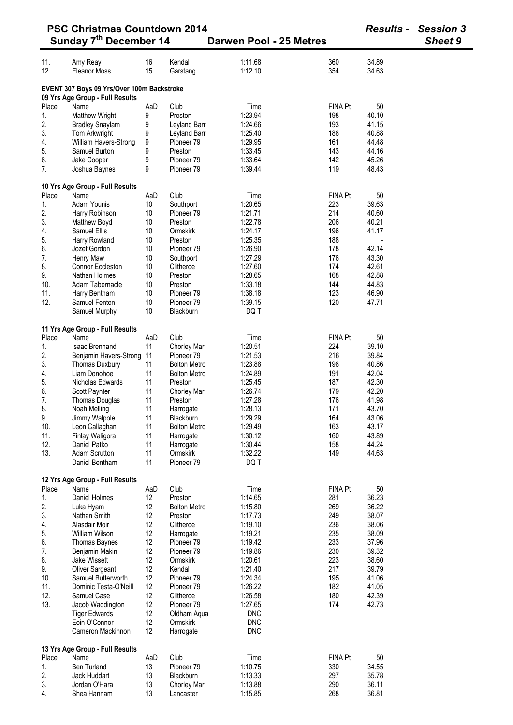|            | <b>PSC Christmas Countdown 2014</b><br>Sunday 7 <sup>th</sup> December 14     |          |                                     | Darwen Pool - 25 Metres |                | <b>Results -</b> | <b>Session 3</b><br><b>Sheet 9</b> |
|------------|-------------------------------------------------------------------------------|----------|-------------------------------------|-------------------------|----------------|------------------|------------------------------------|
|            |                                                                               |          |                                     |                         |                |                  |                                    |
| 11.        | Amy Reay                                                                      | 16       | Kendal                              | 1:11.68                 | 360            | 34.89            |                                    |
| 12.        | Eleanor Moss                                                                  | 15       | Garstang                            | 1:12.10                 | 354            | 34.63            |                                    |
|            | EVENT 307 Boys 09 Yrs/Over 100m Backstroke<br>09 Yrs Age Group - Full Results |          |                                     |                         |                |                  |                                    |
| Place      | Name                                                                          | AaD      | Club                                | Time                    | <b>FINA Pt</b> | 50               |                                    |
| 1.         | Matthew Wright                                                                | 9        | Preston                             | 1:23.94                 | 198            | 40.10            |                                    |
| 2.         | <b>Bradley Snaylam</b>                                                        | 9        | Leyland Barr                        | 1:24.66                 | 193            | 41.15            |                                    |
| 3.         | Tom Arkwright                                                                 | 9        | Leyland Barr                        | 1:25.40                 | 188            | 40.88            |                                    |
| 4.         | William Havers-Strong                                                         | 9        | Pioneer 79                          | 1:29.95                 | 161            | 44.48            |                                    |
| 5.         | Samuel Burton                                                                 | 9        | Preston                             | 1:33.45                 | 143            | 44.16            |                                    |
| 6.<br>7.   | Jake Cooper<br>Joshua Baynes                                                  | 9<br>9   | Pioneer <sub>79</sub><br>Pioneer 79 | 1:33.64<br>1:39.44      | 142<br>119     | 45.26<br>48.43   |                                    |
|            |                                                                               |          |                                     |                         |                |                  |                                    |
|            | 10 Yrs Age Group - Full Results                                               |          |                                     |                         |                |                  |                                    |
| Place      | Name                                                                          | AaD      | Club                                | Time                    | <b>FINA Pt</b> | 50               |                                    |
| 1.         | Adam Younis                                                                   | 10       | Southport                           | 1:20.65                 | 223            | 39.63            |                                    |
| 2.         | Harry Robinson                                                                | 10       | Pioneer 79                          | 1:21.71                 | 214            | 40.60            |                                    |
| 3.         | Matthew Boyd                                                                  | 10       | Preston<br>Ormskirk                 | 1:22.78<br>1:24.17      | 206            | 40.21            |                                    |
| 4.<br>5.   | Samuel Ellis<br>Harry Rowland                                                 | 10<br>10 | Preston                             | 1:25.35                 | 196<br>188     | 41.17            |                                    |
| 6.         | Jozef Gordon                                                                  | 10       | Pioneer 79                          | 1:26.90                 | 178            | 42.14            |                                    |
| 7.         | Henry Maw                                                                     | 10       | Southport                           | 1:27.29                 | 176            | 43.30            |                                    |
| 8.         | Connor Eccleston                                                              | 10       | Clitheroe                           | 1:27.60                 | 174            | 42.61            |                                    |
| 9.         | Nathan Holmes                                                                 | 10       | Preston                             | 1:28.65                 | 168            | 42.88            |                                    |
| 10.        | Adam Tabernacle                                                               | 10       | Preston                             | 1:33.18                 | 144            | 44.83            |                                    |
| 11.        | Harry Bentham                                                                 | 10       | Pioneer <sub>79</sub>               | 1:38.18                 | 123            | 46.90            |                                    |
| 12.        | Samuel Fenton                                                                 | 10       | Pioneer 79                          | 1:39.15                 | 120            | 47.71            |                                    |
|            | Samuel Murphy                                                                 | 10       | Blackburn                           | DQ T                    |                |                  |                                    |
|            | 11 Yrs Age Group - Full Results                                               |          |                                     |                         |                |                  |                                    |
| Place      | Name                                                                          | AaD      | Club                                | Time                    | <b>FINA Pt</b> | 50               |                                    |
| 1.         | Isaac Brennand                                                                | 11       | <b>Chorley Marl</b>                 | 1:20.51                 | 224            | 39.10            |                                    |
| 2.         | Benjamin Havers-Strong                                                        | 11       | Pioneer <sub>79</sub>               | 1:21.53                 | 216            | 39.84            |                                    |
| 3.         | Thomas Duxbury                                                                | 11       | <b>Bolton Metro</b>                 | 1:23.88                 | 198            | 40.86            |                                    |
| 4.         | Liam Donohoe                                                                  | 11       | <b>Bolton Metro</b>                 | 1:24.89                 | 191            | 42.04            |                                    |
| 5.         | Nicholas Edwards                                                              | 11       | Preston                             | 1:25.45                 | 187            | 42.30            |                                    |
| 6.         | Scott Paynter                                                                 | 11       | <b>Chorley Marl</b>                 | 1:26.74                 | 179            | 42.20            |                                    |
| 7.         | Thomas Douglas                                                                | 11       | Preston                             | 1:27.28                 | 176            | 41.98            |                                    |
| 8.         | Noah Melling                                                                  | 11       | Harrogate                           | 1:28.13                 | 171            | 43.70            |                                    |
| 9.         | Jimmy Walpole                                                                 | 11       | Blackburn                           | 1:29.29                 | 164            | 43.06            |                                    |
| 10.        | Leon Callaghan                                                                | 11       | <b>Bolton Metro</b>                 | 1:29.49                 | 163            | 43.17            |                                    |
| 11.        | Finlay Waligora                                                               | 11       | Harrogate                           | 1:30.12                 | 160            | 43.89            |                                    |
| 12.        | Daniel Patko                                                                  | 11       | Harrogate                           | 1:30.44                 | 158            | 44.24            |                                    |
| 13.        | <b>Adam Scrutton</b>                                                          | 11       | Ormskirk                            | 1:32.22                 | 149            | 44.63            |                                    |
|            | Daniel Bentham                                                                | 11       | Pioneer 79                          | DQ T                    |                |                  |                                    |
|            | 12 Yrs Age Group - Full Results                                               |          |                                     |                         |                |                  |                                    |
| Place      | Name                                                                          | AaD      | Club                                | Time                    | <b>FINA Pt</b> | 50               |                                    |
| 1.         | Daniel Holmes                                                                 | 12       | Preston                             | 1:14.65                 | 281            | 36.23            |                                    |
| 2.         | Luka Hyam                                                                     | 12       | <b>Bolton Metro</b>                 | 1:15.80                 | 269            | 36.22            |                                    |
| 3.         | Nathan Smith                                                                  | 12       | Preston                             | 1:17.73                 | 249            | 38.07            |                                    |
| 4.         | Alasdair Moir                                                                 | 12       | Clitheroe                           | 1:19.10                 | 236            | 38.06            |                                    |
| 5.         | <b>William Wilson</b>                                                         | 12       | Harrogate                           | 1:19.21                 | 235            | 38.09            |                                    |
| 6.         | Thomas Baynes                                                                 | 12       | Pioneer <sub>79</sub>               | 1:19.42                 | 233            | 37.96            |                                    |
| 7.         | Benjamin Makin                                                                | 12       | Pioneer 79                          | 1:19.86                 | 230            | 39.32            |                                    |
| 8.         | Jake Wissett                                                                  | 12<br>12 | Ormskirk                            | 1:20.61                 | 223<br>217     | 38.60            |                                    |
| 9.         | Oliver Sargeant                                                               |          | Kendal                              | 1:21.40                 |                | 39.79            |                                    |
| 10.        | Samuel Butterworth                                                            | 12       | Pioneer 79                          | 1:24.34                 | 195<br>182     | 41.06            |                                    |
| 11.<br>12. | Dominic Testa-O'Neill                                                         | 12<br>12 | Pioneer 79                          | 1:26.22<br>1:26.58      | 180            | 41.05<br>42.39   |                                    |
| 13.        | Samuel Case<br>Jacob Waddington                                               | 12       | Clitheroe<br>Pioneer 79             | 1:27.65                 | 174            | 42.73            |                                    |
|            | <b>Tiger Edwards</b>                                                          | 12       | Oldham Aqua                         | <b>DNC</b>              |                |                  |                                    |
|            | Eoin O'Connor                                                                 | 12       | Ormskirk                            | <b>DNC</b>              |                |                  |                                    |
|            | Cameron Mackinnon                                                             | 12       | Harrogate                           | <b>DNC</b>              |                |                  |                                    |
|            |                                                                               |          |                                     |                         |                |                  |                                    |
| Place      | 13 Yrs Age Group - Full Results<br>Name                                       | AaD      | Club                                | Time                    | <b>FINA Pt</b> | 50               |                                    |
| 1.         | <b>Ben Turland</b>                                                            | 13       | Pioneer 79                          | 1:10.75                 | 330            | 34.55            |                                    |
| 2.         | Jack Huddart                                                                  | 13       | Blackburn                           | 1:13.33                 | 297            | 35.78            |                                    |
| 3.         | Jordan O'Hara                                                                 | 13       | <b>Chorley Marl</b>                 | 1:13.88                 | 290            | 36.11            |                                    |
| 4.         | Shea Hannam                                                                   | 13       | Lancaster                           | 1:15.85                 | 268            | 36.81            |                                    |

-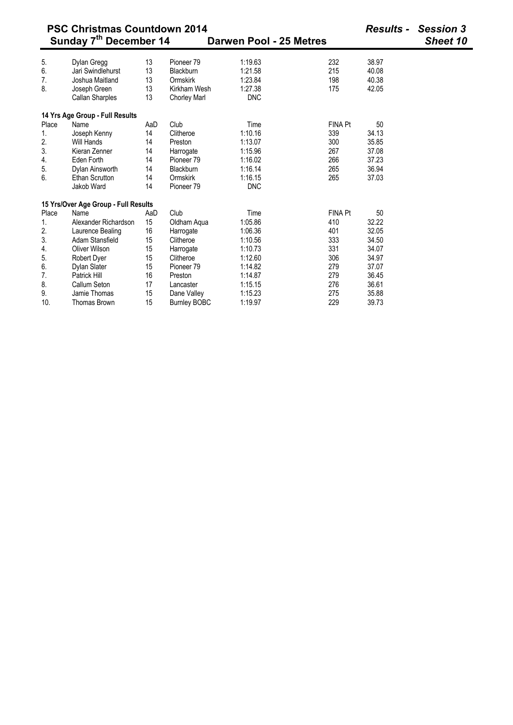|       | <b>PSC Christmas Countdown 2014</b><br>Sunday 7 <sup>th</sup> December 14 | Darwen Pool - 25 Metres |                       | <b>Results - Session 3</b><br>Sheet 10 |                |       |  |
|-------|---------------------------------------------------------------------------|-------------------------|-----------------------|----------------------------------------|----------------|-------|--|
| 5.    | Dylan Gregg                                                               | 13                      | Pioneer <sub>79</sub> | 1:19.63                                | 232            | 38.97 |  |
| 6.    | Jari Swindlehurst                                                         | 13                      | Blackburn             | 1:21.58                                | 215            | 40.08 |  |
| 7.    | Joshua Maitland                                                           | 13                      | Ormskirk              | 1:23.84                                | 198            | 40.38 |  |
| 8.    | Joseph Green                                                              | 13                      | Kirkham Wesh          | 1:27.38                                | 175            | 42.05 |  |
|       | <b>Callan Sharples</b>                                                    | 13                      | <b>Chorley Marl</b>   | <b>DNC</b>                             |                |       |  |
|       | 14 Yrs Age Group - Full Results                                           |                         |                       |                                        |                |       |  |
| Place | Name                                                                      | AaD                     | Club                  | Time                                   | <b>FINA Pt</b> | 50    |  |
| 1.    | Joseph Kenny                                                              | 14                      | Clitheroe             | 1:10.16                                | 339            | 34.13 |  |
| 2.    | Will Hands                                                                | 14                      | Preston               | 1:13.07                                | 300            | 35.85 |  |
| 3.    | Kieran Zenner                                                             | 14                      | Harrogate             | 1:15.96                                | 267            | 37.08 |  |
| 4.    | Eden Forth                                                                | 14                      | Pioneer <sub>79</sub> | 1:16.02                                | 266            | 37.23 |  |
| 5.    | Dylan Ainsworth                                                           | 14                      | Blackburn             | 1:16.14                                | 265            | 36.94 |  |
| 6.    | <b>Ethan Scrutton</b>                                                     | 14                      | Ormskirk              | 1:16.15                                | 265            | 37.03 |  |
|       | Jakob Ward                                                                | 14                      | Pioneer <sub>79</sub> | <b>DNC</b>                             |                |       |  |
|       | 15 Yrs/Over Age Group - Full Results                                      |                         |                       |                                        |                |       |  |
| Place | Name                                                                      | AaD                     | Club                  | Time                                   | <b>FINA Pt</b> | 50    |  |
| 1.    | Alexander Richardson                                                      | 15                      | Oldham Aqua           | 1:05.86                                | 410            | 32.22 |  |
| 2.    | Laurence Bealing                                                          | 16                      | Harrogate             | 1:06.36                                | 401            | 32.05 |  |
| 3.    | Adam Stansfield                                                           | 15                      | Clitheroe             | 1:10.56                                | 333            | 34.50 |  |
| 4.    | Oliver Wilson                                                             | 15                      | Harrogate             | 1:10.73                                | 331            | 34.07 |  |
| 5.    | Robert Dyer                                                               | 15                      | Clitheroe             | 1:12.60                                | 306            | 34.97 |  |
| 6.    | Dylan Slater                                                              | 15                      | Pioneer <sub>79</sub> | 1:14.82                                | 279            | 37.07 |  |
| 7.    | Patrick Hill                                                              | 16                      | Preston               | 1:14.87                                | 279            | 36.45 |  |
| 8.    | Callum Seton                                                              | 17                      | Lancaster             | 1:15.15                                | 276            | 36.61 |  |
| 9.    | Jamie Thomas                                                              | 15                      | Dane Valley           | 1:15.23                                | 275            | 35.88 |  |
| 10.   | <b>Thomas Brown</b>                                                       | 15                      | <b>Burnley BOBC</b>   | 1:19.97                                | 229            | 39.73 |  |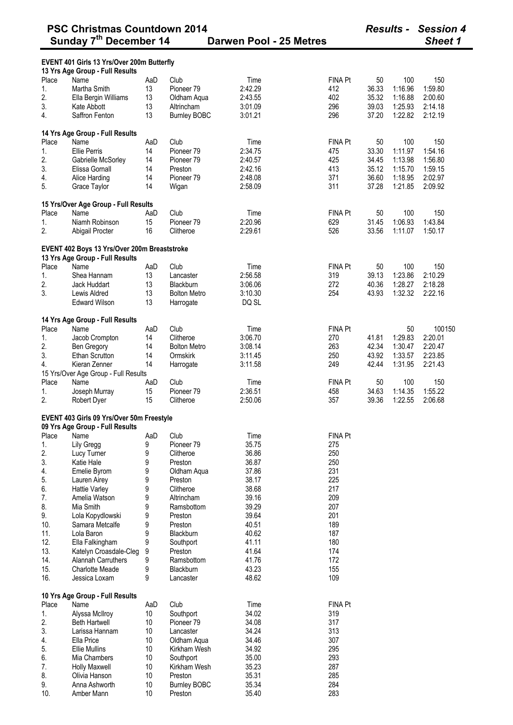|       | EVENT 401 Girls 13 Yrs/Over 200m Butterfly<br>13 Yrs Age Group - Full Results   |     |                       |                |                |       |         |         |
|-------|---------------------------------------------------------------------------------|-----|-----------------------|----------------|----------------|-------|---------|---------|
| Place | Name                                                                            | AaD | Club                  | Time           | <b>FINA Pt</b> | 50    | 100     | 150     |
| 1.    | Martha Smith                                                                    | 13  | Pioneer 79            | 2:42.29        | 412            | 36.33 | 1:16.96 | 1:59.80 |
| 2.    | Ella Bergin Williams                                                            | 13  | Oldham Aqua           | 2:43.55        | 402            | 35.32 | 1:16.88 | 2:00.60 |
| 3.    | Kate Abbott                                                                     | 13  | Altrincham            | 3:01.09        | 296            | 39.03 | 1:25.93 | 2:14.18 |
| 4.    | Saffron Fenton                                                                  | 13  | <b>Burnley BOBC</b>   | 3:01.21        | 296            | 37.20 | 1:22.82 | 2:12.19 |
|       |                                                                                 |     |                       |                |                |       |         |         |
|       | 14 Yrs Age Group - Full Results                                                 |     |                       |                |                |       |         |         |
| Place | Name                                                                            | AaD | Club                  | Time           | <b>FINA Pt</b> | 50    | 100     | 150     |
| 1.    | <b>Ellie Perris</b>                                                             | 14  | Pioneer <sub>79</sub> | 2:34.75        | 475            | 33.30 | 1:11.97 | 1:54.16 |
| 2.    | Gabrielle McSorley                                                              | 14  | Pioneer <sub>79</sub> | 2:40.57        | 425            | 34.45 | 1:13.98 | 1:56.80 |
|       |                                                                                 | 14  |                       |                |                |       |         |         |
| 3.    | Elissa Gornall                                                                  |     | Preston               | 2:42.16        | 413            | 35.12 | 1:15.70 | 1:59.15 |
| 4.    | Alice Harding                                                                   | 14  | Pioneer 79            | 2:48.08        | 371            | 36.60 | 1:18.95 | 2:02.97 |
| 5.    | Grace Taylor                                                                    | 14  | Wigan                 | 2:58.09        | 311            | 37.28 | 1:21.85 | 2:09.92 |
|       | 15 Yrs/Over Age Group - Full Results                                            |     |                       |                |                |       |         |         |
| Place | Name                                                                            | AaD | Club                  | Time           | <b>FINA Pt</b> | 50    | 100     | 150     |
| 1.    | Niamh Robinson                                                                  | 15  | Pioneer <sub>79</sub> | 2:20.96        | 629            | 31.45 | 1:06.93 | 1:43.84 |
| 2.    |                                                                                 |     |                       |                |                |       | 1:11.07 |         |
|       | Abigail Procter                                                                 | 16  | Clitheroe             | 2:29.61        | 526            | 33.56 |         | 1:50.17 |
|       | EVENT 402 Boys 13 Yrs/Over 200m Breaststroke<br>13 Yrs Age Group - Full Results |     |                       |                |                |       |         |         |
| Place | Name                                                                            | AaD | Club                  | Time           | <b>FINA Pt</b> | 50    | 100     | 150     |
| 1.    | Shea Hannam                                                                     | 13  | Lancaster             | 2:56.58        | 319            | 39.13 | 1:23.86 | 2:10.29 |
| 2.    | Jack Huddart                                                                    | 13  | <b>Blackburn</b>      | 3:06.06        | 272            | 40.36 | 1:28.27 | 2:18.28 |
| 3.    | Lewis Aldred                                                                    | 13  | <b>Bolton Metro</b>   | 3:10.30        | 254            | 43.93 | 1:32.32 | 2:22.16 |
|       | <b>Edward Wilson</b>                                                            | 13  | Harrogate             | DQ SL          |                |       |         |         |
|       |                                                                                 |     |                       |                |                |       |         |         |
|       | 14 Yrs Age Group - Full Results                                                 |     |                       |                |                |       |         |         |
| Place | Name                                                                            | AaD | Club                  | Time           | <b>FINA Pt</b> |       | 50      | 100150  |
| 1.    | Jacob Crompton                                                                  | 14  | Clitheroe             | 3:06.70        | 270            | 41.81 | 1:29.83 | 2:20.01 |
| 2.    | Ben Gregory                                                                     | 14  | <b>Bolton Metro</b>   | 3:08.14        | 263            | 42.34 | 1:30.47 | 2:20.47 |
| 3.    | <b>Ethan Scrutton</b>                                                           | 14  | Ormskirk              | 3:11.45        | 250            | 43.92 | 1:33.57 | 2:23.85 |
| 4.    | Kieran Zenner                                                                   | 14  | Harrogate             | 3:11.58        | 249            | 42.44 | 1:31.95 | 2:21.43 |
|       | 15 Yrs/Over Age Group - Full Results                                            |     |                       |                |                |       |         |         |
| Place | Name                                                                            | AaD | Club                  | Time           | <b>FINA Pt</b> | 50    | 100     | 150     |
| 1.    | Joseph Murray                                                                   | 15  | Pioneer 79            | 2:36.51        | 458            | 34.63 | 1:14.35 | 1:55.22 |
| 2.    | Robert Dyer                                                                     | 15  | Clitheroe             | 2:50.06        | 357            | 39.36 | 1:22.55 | 2:06.68 |
|       |                                                                                 |     |                       |                |                |       |         |         |
|       | EVENT 403 Girls 09 Yrs/Over 50m Freestyle<br>09 Yrs Age Group - Full Results    |     |                       |                |                |       |         |         |
| Place | Name                                                                            | AaD | Club                  | Time           | <b>FINA Pt</b> |       |         |         |
| 1.    | Lily Gregg                                                                      | 9   | Pioneer 79            | 35.75          | 275            |       |         |         |
| 2.    | Lucy Turner                                                                     | 9   | Clitheroe             | 36.86          | 250            |       |         |         |
| 3.    | Katie Hale                                                                      | 9   | Preston               | 36.87          | 250            |       |         |         |
| 4.    | Emelie Byrom                                                                    | 9   | Oldham Aqua           | 37.86          | 231            |       |         |         |
| 5.    | Lauren Airey                                                                    | 9   | Preston               | 38.17          | 225            |       |         |         |
| 6.    | <b>Hattie Varley</b>                                                            | 9   | Clitheroe             | 38.68          | 217            |       |         |         |
| 7.    | Amelia Watson                                                                   | 9   | Altrincham            | 39.16          | 209            |       |         |         |
| 8.    | Mia Smith                                                                       | 9   | Ramsbottom            | 39.29          | 207            |       |         |         |
| 9.    | Lola Kopydlowski                                                                | 9   | Preston               | 39.64          | 201            |       |         |         |
| 10.   | Samara Metcalfe                                                                 | 9   | Preston               | 40.51          | 189            |       |         |         |
| 11.   | Lola Baron                                                                      | 9   | Blackburn             | 40.62          | 187            |       |         |         |
|       |                                                                                 |     |                       |                |                |       |         |         |
| 12.   | Ella Falkingham                                                                 | 9   | Southport             | 41.11          | 180            |       |         |         |
| 13.   | Katelyn Croasdale-Cleg                                                          | 9   | Preston               | 41.64          | 174            |       |         |         |
| 14.   | Alannah Carruthers                                                              | 9   | Ramsbottom            | 41.76<br>43.23 | 172            |       |         |         |
| 15.   | <b>Charlotte Meade</b>                                                          | 9   | Blackburn             |                | 155            |       |         |         |
| 16.   | Jessica Loxam                                                                   | 9   | Lancaster             | 48.62          | 109            |       |         |         |
|       | 10 Yrs Age Group - Full Results                                                 |     |                       |                |                |       |         |         |
| Place | Name                                                                            | AaD | Club                  | Time           | <b>FINA Pt</b> |       |         |         |
| 1.    | Alyssa McIlroy                                                                  | 10  | Southport             | 34.02          | 319            |       |         |         |
| 2.    | <b>Beth Hartwell</b>                                                            | 10  | Pioneer 79            | 34.08          | 317            |       |         |         |
| 3.    | Larissa Hannam                                                                  | 10  | Lancaster             | 34.24          | 313            |       |         |         |
| 4.    | Ella Price                                                                      | 10  | Oldham Aqua           | 34.46          | 307            |       |         |         |
| 5.    | <b>Ellie Mullins</b>                                                            | 10  | Kirkham Wesh          | 34.92          | 295            |       |         |         |
| 6.    | Mia Chambers                                                                    | 10  | Southport             | 35.00          | 293            |       |         |         |
| 7.    | <b>Holly Maxwell</b>                                                            | 10  | Kirkham Wesh          | 35.23          | 287            |       |         |         |
| 8.    | Olivia Hanson                                                                   | 10  | Preston               | 35.31          | 285            |       |         |         |
| 9.    | Anna Ashworth                                                                   | 10  | <b>Burnley BOBC</b>   | 35.34          | 284            |       |         |         |
| 10.   | Amber Mann                                                                      | 10  | Preston               | 35.40          | 283            |       |         |         |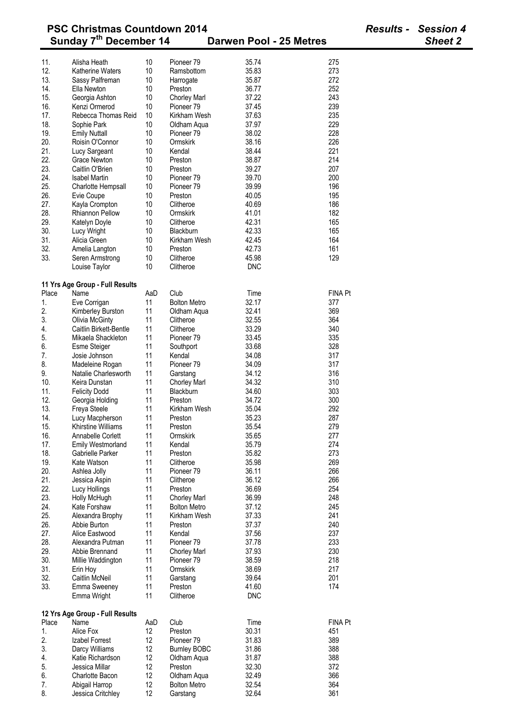|            | וועט טעוונע                             |          |                                    |                              | י ווטוטט       |
|------------|-----------------------------------------|----------|------------------------------------|------------------------------|----------------|
|            | Sunday 7 <sup>th</sup> December 14      |          |                                    | Darwen Pool - 25 Metres      | <b>Sheet 2</b> |
| 11.        | Alisha Heath                            | 10       | Pioneer 79                         | 35.74<br>275                 |                |
| 12.        | Katherine Waters                        | 10       | Ramsbottom                         | 273<br>35.83                 |                |
| 13.        | Sassy Palfreman                         | 10       | Harrogate                          | 272<br>35.87                 |                |
| 14.        | Ella Newton                             | 10       | Preston                            | 252<br>36.77                 |                |
| 15.        | Georgia Ashton                          | 10       | <b>Chorley Marl</b>                | 243<br>37.22                 |                |
| 16.        | Kenzi Ormerod                           | 10       | Pioneer 79                         | 239<br>37.45                 |                |
| 17.        | Rebecca Thomas Reid                     | 10       | Kirkham Wesh                       | 37.63<br>235                 |                |
| 18.        | Sophie Park                             | 10       | Oldham Aqua                        | 229<br>37.97                 |                |
| 19.        | <b>Emily Nuttall</b>                    | 10       | Pioneer <sub>79</sub>              | 228<br>38.02                 |                |
| 20.        | Roisin O'Connor                         | 10       | Ormskirk                           | 226<br>38.16                 |                |
| 21.        | Lucy Sargeant                           | 10       | Kendal                             | 221<br>38.44                 |                |
| 22.        | Grace Newton                            | 10       | Preston                            | 214<br>38.87                 |                |
| 23.        | Caitlin O'Brien                         | 10       | Preston                            | 207<br>39.27                 |                |
| 24.        | <b>Isabel Martin</b>                    | 10       | Pioneer 79                         | 200<br>39.70                 |                |
| 25.        | Charlotte Hempsall                      | 10       | Pioneer <sub>79</sub>              | 39.99<br>196                 |                |
| 26.        | Evie Coupe                              | 10       | Preston                            | 40.05<br>195                 |                |
| 27.        | Kayla Crompton                          | 10       | Clitheroe                          | 40.69<br>186                 |                |
| 28.        | <b>Rhiannon Pellow</b>                  | 10       | Ormskirk                           | 182<br>41.01                 |                |
| 29.        | Katelyn Doyle                           | 10       | Clitheroe                          | 165<br>42.31                 |                |
| 30.        | Lucy Wright                             | 10       | Blackburn                          | 42.33<br>165                 |                |
| 31.        | Alicia Green                            | 10       | Kirkham Wesh                       | 42.45<br>164                 |                |
| 32.        | Amelia Langton                          | 10       | Preston                            | 42.73<br>161                 |                |
| 33.        | Seren Armstrong                         | 10       | Clitheroe                          | 129<br>45.98                 |                |
|            | Louise Taylor                           | 10       | Clitheroe                          | <b>DNC</b>                   |                |
|            | 11 Yrs Age Group - Full Results         |          |                                    |                              |                |
| Place      | Name                                    | AaD      | Club                               | <b>FINA Pt</b><br>Time       |                |
| 1.         | Eve Corrigan                            | 11       | <b>Bolton Metro</b>                | 32.17<br>377                 |                |
| 2.         | Kimberley Burston                       | 11       | Oldham Aqua                        | 32.41<br>369                 |                |
| 3.         | <b>Olivia McGinty</b>                   | 11       | Clitheroe                          | 32.55<br>364                 |                |
| 4.         | Caitlin Birkett-Bentle                  | 11       | Clitheroe                          | 33.29<br>340                 |                |
| 5.         | Mikaela Shackleton                      | 11       | Pioneer 79                         | 33.45<br>335                 |                |
| 6.         | Esme Steiger                            | 11       | Southport                          | 33.68<br>328                 |                |
| 7.         | Josie Johnson                           | 11       | Kendal                             | 34.08<br>317                 |                |
| 8.         | Madeleine Rogan                         | 11       | Pioneer 79                         | 34.09<br>317                 |                |
| 9.         | Natalie Charlesworth                    | 11       | Garstang                           | 316<br>34.12                 |                |
| 10.<br>11. | Keira Dunstan                           | 11<br>11 | <b>Chorley Marl</b><br>Blackburn   | 34.32<br>310<br>303          |                |
| 12.        | <b>Felicity Dodd</b><br>Georgia Holding | 11       | Preston                            | 34.60<br>300<br>34.72        |                |
| 13.        | Freya Steele                            | 11       | Kirkham Wesh                       | 292<br>35.04                 |                |
| 14.        | Lucy Macpherson                         | 11       | Preston                            | 35.23<br>287                 |                |
| 15.        | Khirstine Williams                      | 11       | Preston                            | 35.54<br>279                 |                |
| 16.        | Annabelle Corlett                       | 11       | Ormskirk                           | 35.65<br>277                 |                |
| 17.        | <b>Emily Westmorland</b>                | 11       | Kendal                             | 274<br>35.79                 |                |
| 18.        | Gabrielle Parker                        | 11       | Preston                            | 273<br>35.82                 |                |
| 19.        | Kate Watson                             | 11       | Clitheroe                          | 35.98<br>269                 |                |
| 20.        | Ashlea Jolly                            | 11       | Pioneer 79                         | 266<br>36.11                 |                |
| 21.        | Jessica Aspin                           | 11       | Clitheroe                          | 36.12<br>266                 |                |
| 22.        | Lucy Hollings                           | 11       | Preston                            | 254<br>36.69                 |                |
| 23.        | Holly McHugh                            | 11       | <b>Chorley Marl</b>                | 36.99<br>248                 |                |
| 24.        | Kate Forshaw                            | 11       | <b>Bolton Metro</b>                | 37.12<br>245                 |                |
| 25.        | Alexandra Brophy                        | 11       | Kirkham Wesh                       | 241<br>37.33                 |                |
| 26.        | Abbie Burton                            | 11       | Preston                            | 37.37<br>240                 |                |
| 27.        | Alice Eastwood                          | 11       | Kendal                             | 37.56<br>237                 |                |
| 28.        | Alexandra Putman                        | 11       | Pioneer <sub>79</sub>              | 233<br>37.78                 |                |
| 29.        | Abbie Brennand                          | 11       | <b>Chorley Marl</b>                | 230<br>37.93                 |                |
| 30.        | Millie Waddington                       | 11       | Pioneer <sub>79</sub>              | 38.59<br>218                 |                |
| 31.        | Erin Hoy                                | 11       | Ormskirk                           | 38.69<br>217                 |                |
| 32.        | Caitlin McNeil                          | 11       | Garstang                           | 201<br>39.64                 |                |
| 33.        | Emma Sweeney<br>Emma Wright             | 11<br>11 | Preston<br>Clitheroe               | 41.60<br>174<br><b>DNC</b>   |                |
|            |                                         |          |                                    |                              |                |
|            | 12 Yrs Age Group - Full Results         |          |                                    |                              |                |
| Place      | Name                                    | AaD      | Club                               | <b>FINA Pt</b><br>Time       |                |
| 1.         | Alice Fox                               | 12       | Preston                            | 30.31<br>451                 |                |
| 2.         | Izabel Forrest                          | 12       | Pioneer <sub>79</sub>              | 31.83<br>389                 |                |
| 3.         | Darcy Williams                          | 12       | <b>Burnley BOBC</b>                | 31.86<br>388                 |                |
| 4.         | Katie Richardson                        | 12       | Oldham Aqua                        | 31.87<br>388                 |                |
| 5.         | Jessica Millar<br>Charlotte Bacon       | 12<br>12 | Preston                            | 32.30<br>372<br>32.49<br>366 |                |
| 6.<br>7.   | Abigail Harrop                          | 12       | Oldham Aqua<br><b>Bolton Metro</b> | 32.54<br>364                 |                |
|            |                                         |          |                                    |                              |                |

8. Jessica Critchley 12 Garstang 32.64 361

# **PSC Christmas Countdown 2014** *Results - Session 4*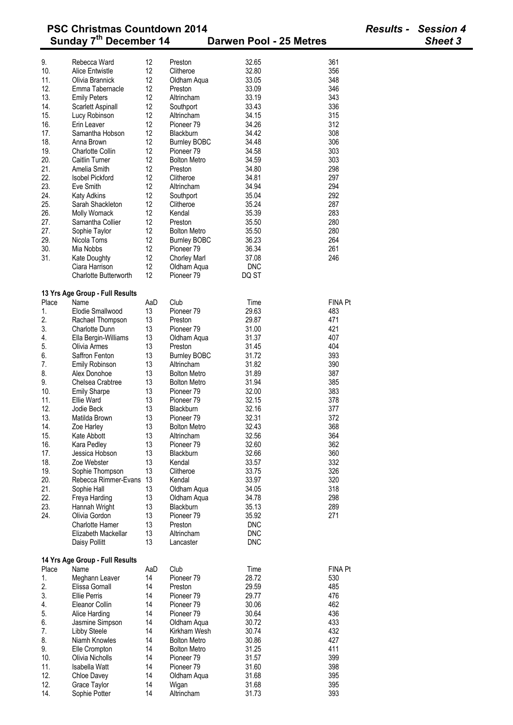|          | <b>PSC Christmas Countdown 2014</b><br>Sunday 7 <sup>th</sup> December 14 |          |                       | Darwen Pool - 25 Metres | <b>Results - Session 4</b><br>Sheet 3 |
|----------|---------------------------------------------------------------------------|----------|-----------------------|-------------------------|---------------------------------------|
|          |                                                                           |          |                       |                         |                                       |
| 9.       | Rebecca Ward                                                              | 12       | Preston               | 32.65<br>361            |                                       |
| 10.      | Alice Entwistle                                                           | 12       | Clitheroe             | 32.80<br>356            |                                       |
| 11.      | Olivia Brannick                                                           | 12       | Oldham Aqua           | 348<br>33.05            |                                       |
| 12.      | Emma Tabernacle                                                           | 12       | Preston               | 33.09<br>346            |                                       |
| 13.      | <b>Emily Peters</b>                                                       | 12       | Altrincham            | 33.19<br>343            |                                       |
| 14.      | Scarlett Aspinall                                                         | 12       | Southport             | 336<br>33.43            |                                       |
| 15.      | Lucy Robinson                                                             | 12       | Altrincham            | 315<br>34.15            |                                       |
| 16.      | Erin Leaver                                                               | 12       | Pioneer <sub>79</sub> | 34.26<br>312            |                                       |
| 17.      | Samantha Hobson                                                           | 12       | Blackburn             | 34.42<br>308            |                                       |
| 18.      | Anna Brown                                                                | 12       | <b>Burnley BOBC</b>   | 306<br>34.48            |                                       |
| 19.      | <b>Charlotte Collin</b>                                                   | 12       | Pioneer 79            | 34.58<br>303            |                                       |
| 20.      | <b>Caitlin Turner</b>                                                     | 12       | <b>Bolton Metro</b>   | 303<br>34.59            |                                       |
| 21.      | Amelia Smith                                                              | 12       | Preston               | 34.80<br>298            |                                       |
| 22.      | <b>Isobel Pickford</b>                                                    | 12       | Clitheroe             | 34.81<br>297            |                                       |
| 23.      | Eve Smith                                                                 | 12       | Altrincham            | 294<br>34.94            |                                       |
| 24.      | <b>Katy Adkins</b>                                                        | 12       | Southport             | 35.04<br>292            |                                       |
|          |                                                                           |          |                       |                         |                                       |
| 25.      | Sarah Shackleton                                                          | 12       | Clitheroe             | 287<br>35.24            |                                       |
| 26.      | Molly Womack                                                              | 12       | Kendal                | 283<br>35.39            |                                       |
| 27.      | Samantha Collier                                                          | 12       | Preston               | 280<br>35.50            |                                       |
| 27.      | Sophie Taylor                                                             | 12       | <b>Bolton Metro</b>   | 280<br>35.50            |                                       |
| 29.      | Nicola Toms                                                               | 12       | <b>Burnley BOBC</b>   | 264<br>36.23            |                                       |
| 30.      | Mia Nobbs                                                                 | 12       | Pioneer <sub>79</sub> | 36.34<br>261            |                                       |
| 31.      | <b>Kate Doughty</b>                                                       | 12       | <b>Chorley Marl</b>   | 246<br>37.08            |                                       |
|          | Ciara Harrison                                                            | 12       | Oldham Aqua           | <b>DNC</b>              |                                       |
|          | <b>Charlotte Butterworth</b>                                              | 12       | Pioneer 79            | DQ ST                   |                                       |
|          | 13 Yrs Age Group - Full Results                                           |          |                       |                         |                                       |
| Place    | Name                                                                      | AaD      | Club                  | <b>FINA Pt</b><br>Time  |                                       |
| 1.       | Elodie Smallwood                                                          | 13       | Pioneer <sub>79</sub> | 29.63<br>483            |                                       |
| 2.       | Rachael Thompson                                                          | 13       | Preston               | 471<br>29.87            |                                       |
| 3.       | Charlotte Dunn                                                            | 13       | Pioneer 79            | 421<br>31.00            |                                       |
| 4.       | Ella Bergin-Williams                                                      | 13       | Oldham Aqua           | 407<br>31.37            |                                       |
| 5.       | Olivia Armes                                                              | 13       | Preston               | 404<br>31.45            |                                       |
| 6.       | Saffron Fenton                                                            | 13       | <b>Burnley BOBC</b>   | 31.72<br>393            |                                       |
|          |                                                                           |          | Altrincham            | 390                     |                                       |
| 7.<br>8. | <b>Emily Robinson</b><br>Alex Donohoe                                     | 13<br>13 | <b>Bolton Metro</b>   | 31.82<br>387            |                                       |
|          |                                                                           |          |                       | 31.89                   |                                       |
| 9.       | Chelsea Crabtree                                                          | 13       | <b>Bolton Metro</b>   | 385<br>31.94            |                                       |
| 10.      | <b>Emily Sharpe</b>                                                       | 13       | Pioneer <sub>79</sub> | 32.00<br>383            |                                       |
| 11.      | Ellie Ward                                                                | 13       | Pioneer <sub>79</sub> | 378<br>32.15            |                                       |
| 12.      | Jodie Beck                                                                | 13       | Blackburn             | 377<br>32.16            |                                       |
| 13.      | Matilda Brown                                                             | 13       | Pioneer 79            | 32.31<br>372            |                                       |
| 14.      | Zoe Harley                                                                | 13       | <b>Bolton Metro</b>   | 368<br>32.43            |                                       |
| 15.      | Kate Abbott                                                               | 13       | Altrincham            | 32.56<br>364            |                                       |
| 16.      | Kara Pedley                                                               | 13       | Pioneer <sub>79</sub> | 32.60<br>362            |                                       |
| 17.      | Jessica Hobson                                                            | 13       | Blackburn             | 32.66<br>360            |                                       |
| 18.      | Zoe Webster                                                               | 13       | Kendal                | 332<br>33.57            |                                       |
| 19.      | Sophie Thompson                                                           | 13       | Clitheroe             | 326<br>33.75            |                                       |
| 20.      | Rebecca Rimmer-Evans                                                      | 13       | Kendal                | 320<br>33.97            |                                       |
| 21.      | Sophie Hall                                                               | 13       | Oldham Aqua           | 318<br>34.05            |                                       |
| 22.      | Freya Harding                                                             | 13       | Oldham Aqua           | 298<br>34.78            |                                       |
| 23.      | Hannah Wright                                                             | 13       | Blackburn             | 35.13<br>289            |                                       |
| 24.      | Olivia Gordon                                                             | 13       | Pioneer 79            | 35.92<br>271            |                                       |
|          |                                                                           |          |                       |                         |                                       |
|          | Charlotte Hamer                                                           | 13       | Preston               | <b>DNC</b>              |                                       |
|          | Elizabeth Mackellar                                                       | 13       | Altrincham            | <b>DNC</b>              |                                       |
|          | Daisy Pollitt                                                             | 13       | Lancaster             | <b>DNC</b>              |                                       |
|          | 14 Yrs Age Group - Full Results                                           |          |                       |                         |                                       |
| Place    | Name                                                                      | AaD      | Club                  | <b>FINA Pt</b><br>Time  |                                       |
| 1.       | Meghann Leaver                                                            | 14       | Pioneer <sub>79</sub> | 28.72<br>530            |                                       |
| 2.       | Elissa Gornall                                                            | 14       | Preston               | 29.59<br>485            |                                       |
| 3.       | <b>Ellie Perris</b>                                                       | 14       | Pioneer <sub>79</sub> | 29.77<br>476            |                                       |
| 4.       | Eleanor Collin                                                            | 14       | Pioneer <sub>79</sub> | 30.06<br>462            |                                       |
| 5.       | Alice Harding                                                             | 14       | Pioneer 79            | 30.64<br>436            |                                       |
| 6.       | Jasmine Simpson                                                           | 14       | Oldham Aqua           | 433<br>30.72            |                                       |
| 7.       | Libby Steele                                                              | 14       | Kirkham Wesh          | 432<br>30.74            |                                       |
| 8.       | Niamh Knowles                                                             | 14       | <b>Bolton Metro</b>   | 30.86<br>427            |                                       |
| 9.       | Elle Crompton                                                             | 14       | <b>Bolton Metro</b>   | 31.25<br>411            |                                       |
|          |                                                                           |          |                       |                         |                                       |
| 10.      | Olivia Nicholls                                                           | 14       | Pioneer <sub>79</sub> | 31.57<br>399            |                                       |
| 11.      | Isabella Watt                                                             | 14       | Pioneer <sub>79</sub> | 31.60<br>398            |                                       |
| 12.      | Chloe Davey                                                               | 14       | Oldham Aqua           | 395<br>31.68            |                                       |
| 12.      | Grace Taylor                                                              | 14       | Wigan                 | 395<br>31.68            |                                       |

14. Sophie Potter 14 Altrincham 31.73 393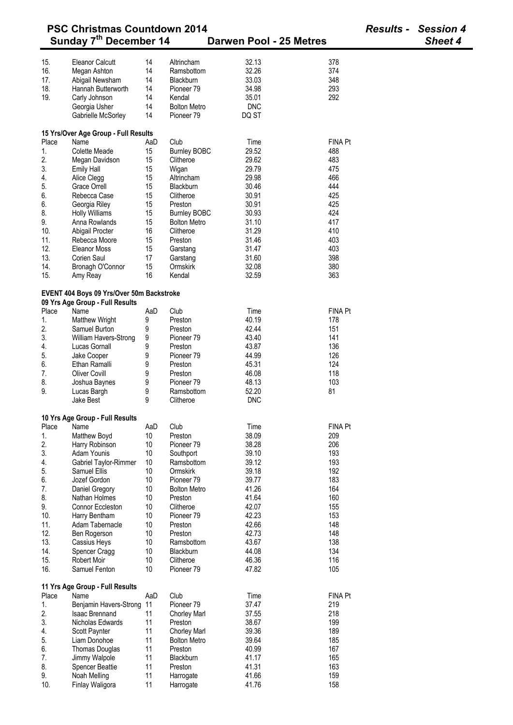| <b>PSC Christmas Countdown 2014</b> |                                                                              |     |                       |                         |                |  | <b>Session 4</b> |
|-------------------------------------|------------------------------------------------------------------------------|-----|-----------------------|-------------------------|----------------|--|------------------|
|                                     | Sunday 7 <sup>th</sup> December 14                                           |     |                       | Darwen Pool - 25 Metres |                |  | <b>Sheet 4</b>   |
|                                     |                                                                              |     |                       |                         |                |  |                  |
| 15.                                 | <b>Eleanor Calcutt</b>                                                       | 14  | Altrincham            | 32.13                   | 378            |  |                  |
| 16.                                 | Megan Ashton                                                                 | 14  | Ramsbottom            | 32.26                   | 374            |  |                  |
| 17.                                 | Abigail Newsham                                                              | 14  | Blackburn             | 33.03                   | 348            |  |                  |
| 18.                                 | Hannah Butterworth                                                           | 14  | Pioneer 79            | 34.98                   | 293            |  |                  |
| 19.                                 | Carly Johnson                                                                | 14  | Kendal                | 35.01                   | 292            |  |                  |
|                                     | Georgia Usher                                                                | 14  | <b>Bolton Metro</b>   | <b>DNC</b>              |                |  |                  |
|                                     | Gabrielle McSorley                                                           | 14  | Pioneer <sub>79</sub> | DQ ST                   |                |  |                  |
|                                     |                                                                              |     |                       |                         |                |  |                  |
|                                     | 15 Yrs/Over Age Group - Full Results                                         |     |                       |                         |                |  |                  |
| Place                               | Name                                                                         | AaD | Club                  | Time                    | <b>FINA Pt</b> |  |                  |
| 1.                                  | <b>Colette Meade</b>                                                         | 15  | <b>Burnley BOBC</b>   | 29.52                   | 488            |  |                  |
| 2.                                  | Megan Davidson                                                               | 15  | Clitheroe             | 29.62                   | 483            |  |                  |
| 3.                                  | Emily Hall                                                                   | 15  | Wigan                 | 29.79                   | 475            |  |                  |
| 4.                                  | Alice Clegg                                                                  | 15  | Altrincham            | 29.98                   | 466            |  |                  |
| 5.                                  | Grace Orrell                                                                 | 15  | Blackburn             | 30.46                   | 444            |  |                  |
| 6.                                  | Rebecca Case                                                                 | 15  | Clitheroe             | 30.91                   | 425            |  |                  |
| 6.                                  | Georgia Riley                                                                | 15  | Preston               | 30.91                   | 425            |  |                  |
| 8.                                  | <b>Holly Williams</b>                                                        | 15  | <b>Burnley BOBC</b>   | 30.93                   | 424            |  |                  |
| 9.                                  | Anna Rowlands                                                                | 15  | <b>Bolton Metro</b>   | 31.10                   | 417            |  |                  |
| 10.                                 | Abigail Procter                                                              | 16  | Clitheroe             | 31.29                   | 410            |  |                  |
| 11.                                 | Rebecca Moore                                                                | 15  | Preston               | 31.46                   | 403            |  |                  |
| 12.                                 | <b>Eleanor Moss</b>                                                          | 15  | Garstang              | 31.47                   | 403            |  |                  |
| 13.                                 | Corien Saul                                                                  | 17  | Garstang              | 31.60                   | 398            |  |                  |
| 14.                                 | Bronagh O'Connor                                                             | 15  | Ormskirk              | 32.08                   | 380            |  |                  |
| 15.                                 | Amy Reay                                                                     | 16  | Kendal                | 32.59                   | 363            |  |                  |
|                                     |                                                                              |     |                       |                         |                |  |                  |
|                                     | EVENT 404 Boys 09 Yrs/Over 50m Backstroke<br>09 Yrs Age Group - Full Results |     |                       |                         |                |  |                  |
| Place                               | Name                                                                         | AaD | Club                  | Time                    | FINA Pt        |  |                  |
| 1.                                  | <b>Matthew Wright</b>                                                        | 9   | Preston               | 40.19                   | 178            |  |                  |
| 2.                                  | Samuel Burton                                                                | 9   | Preston               | 42.44                   | 151            |  |                  |
| 3.                                  | William Havers-Strong                                                        | 9   | Pioneer 79            | 43.40                   | 141            |  |                  |
| 4.                                  | Lucas Gornall                                                                | 9   | Preston               | 43.87                   | 136            |  |                  |
| 5.                                  | Jake Cooper                                                                  | 9   | Pioneer 79            | 44.99                   | 126            |  |                  |
| 6.                                  | Ethan Ramalli                                                                | 9   | Preston               | 45.31                   | 124            |  |                  |
| 7.                                  | <b>Oliver Covill</b>                                                         | 9   | Preston               | 46.08                   | 118            |  |                  |
| 8.                                  | Joshua Baynes                                                                | 9   | Pioneer <sub>79</sub> | 48.13                   | 103            |  |                  |
| 9.                                  | Lucas Bargh                                                                  | 9   | Ramsbottom            | 52.20                   | 81             |  |                  |
|                                     | Jake Best                                                                    | 9   | Clitheroe             | <b>DNC</b>              |                |  |                  |
|                                     |                                                                              |     |                       |                         |                |  |                  |
|                                     | 10 Yrs Age Group - Full Results                                              |     |                       |                         |                |  |                  |
| Place                               | Name                                                                         | AaD | Club                  | Time                    | <b>FINA Pt</b> |  |                  |
| 1.                                  | Matthew Boyd                                                                 | 10  | Preston               | 38.09                   | 209            |  |                  |
| 2.                                  | Harry Robinson                                                               | 10  | Pioneer 79            | 38.28                   | 206            |  |                  |
| 3.                                  | Adam Younis                                                                  | 10  | Southport             | 39.10                   | 193            |  |                  |
| 4.                                  | Gabriel Taylor-Rimmer                                                        | 10  | Ramsbottom            | 39.12                   | 193            |  |                  |
| 5.                                  | Samuel Ellis                                                                 | 10  | Ormskirk              | 39.18                   | 192            |  |                  |
| 6.                                  | Jozef Gordon                                                                 | 10  | Pioneer <sub>79</sub> | 39.77                   | 183            |  |                  |
| 7.                                  | Daniel Gregory                                                               | 10  | <b>Bolton Metro</b>   | 41.26                   | 164            |  |                  |
| 8.                                  | Nathan Holmes                                                                | 10  | Preston               | 41.64                   | 160            |  |                  |
| 9.                                  | Connor Eccleston                                                             | 10  | Clitheroe             | 42.07                   | 155            |  |                  |
| 10.                                 | Harry Bentham                                                                | 10  | Pioneer 79            | 42.23                   | 153            |  |                  |
| 11.                                 | Adam Tabernacle                                                              | 10  | Preston               | 42.66                   | 148            |  |                  |
| 12.                                 | Ben Rogerson                                                                 | 10  | Preston               | 42.73                   | 148            |  |                  |
| 13.                                 | Cassius Heys                                                                 | 10  | Ramsbottom            | 43.67                   | 138            |  |                  |
| 14.                                 | Spencer Cragg                                                                | 10  | Blackburn             | 44.08                   | 134            |  |                  |
| 15.                                 | Robert Moir                                                                  | 10  | Clitheroe             | 46.36                   | 116            |  |                  |
| 16.                                 | Samuel Fenton                                                                | 10  | Pioneer <sub>79</sub> | 47.82                   | 105            |  |                  |
|                                     | 11 Yrs Age Group - Full Results                                              |     |                       |                         |                |  |                  |
| Place                               | Name                                                                         | AaD | Club                  | Time                    | <b>FINA Pt</b> |  |                  |
| 1.                                  | Benjamin Havers-Strong 11                                                    |     | Pioneer <sub>79</sub> | 37.47                   | 219            |  |                  |
| 2.                                  | <b>Isaac Brennand</b>                                                        | 11  | <b>Chorley Marl</b>   | 37.55                   | 218            |  |                  |
| 3.                                  | Nicholas Edwards                                                             | 11  | Preston               | 38.67                   | 199            |  |                  |
| 4.                                  | Scott Paynter                                                                | 11  | <b>Chorley Marl</b>   | 39.36                   | 189            |  |                  |
| 5.                                  | Liam Donohoe                                                                 | 11  | <b>Bolton Metro</b>   | 39.64                   | 185            |  |                  |
| 6.                                  | Thomas Douglas                                                               | 11  | Preston               | 40.99                   | 167            |  |                  |
| 7.                                  | Jimmy Walpole                                                                | 11  | Blackburn             | 41.17                   | 165            |  |                  |
| 8.                                  | <b>Spencer Beattie</b>                                                       | 11  | Preston               | 41.31                   | 163            |  |                  |
| 9.                                  | Noah Melling                                                                 | 11  | Harrogate             | 41.66                   | 159            |  |                  |
| 10.                                 | Finlay Waligora                                                              | 11  | Harrogate             | 41.76                   | 158            |  |                  |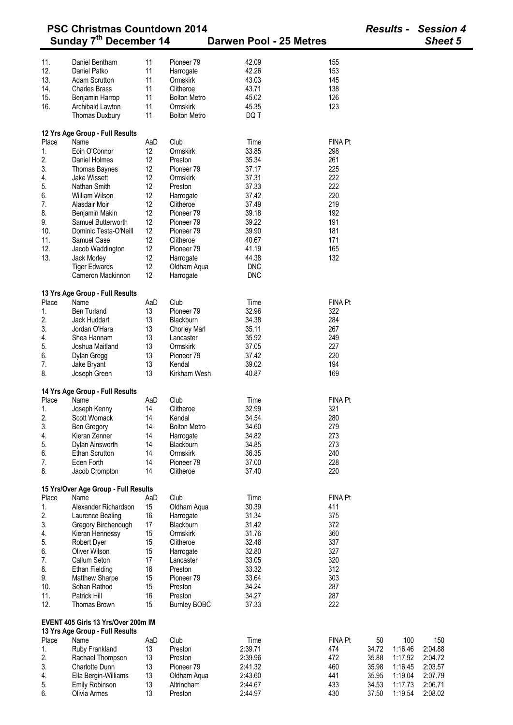| <b>PSC Christmas Countdown 2014</b> |                                      |     |                       |                         | <b>Results -</b> |       | <b>Session 4</b> |                |
|-------------------------------------|--------------------------------------|-----|-----------------------|-------------------------|------------------|-------|------------------|----------------|
|                                     | Sunday 7th December 14               |     |                       | Darwen Pool - 25 Metres |                  |       |                  | <b>Sheet 5</b> |
|                                     |                                      |     |                       |                         |                  |       |                  |                |
| 11.                                 | Daniel Bentham                       | 11  | Pioneer 79            | 42.09                   | 155              |       |                  |                |
| 12.                                 | Daniel Patko                         | 11  | Harrogate             | 42.26                   | 153              |       |                  |                |
| 13.                                 | <b>Adam Scrutton</b>                 | 11  | Ormskirk              | 43.03                   | 145              |       |                  |                |
| 14.                                 | <b>Charles Brass</b>                 | 11  | Clitheroe             | 43.71                   | 138              |       |                  |                |
| 15.                                 | Benjamin Harrop                      | 11  | <b>Bolton Metro</b>   | 45.02                   | 126              |       |                  |                |
| 16.                                 | Archibald Lawton                     | 11  | Ormskirk              | 45.35                   | 123              |       |                  |                |
|                                     | Thomas Duxbury                       | 11  | <b>Bolton Metro</b>   | DQ T                    |                  |       |                  |                |
|                                     |                                      |     |                       |                         |                  |       |                  |                |
|                                     | 12 Yrs Age Group - Full Results      |     |                       |                         |                  |       |                  |                |
| Place                               | Name                                 | AaD | Club                  | Time                    | <b>FINA Pt</b>   |       |                  |                |
| 1.                                  | Eoin O'Connor                        | 12  | Ormskirk              | 33.85                   | 298              |       |                  |                |
| 2.                                  | Daniel Holmes                        | 12  | Preston               | 35.34                   | 261              |       |                  |                |
| 3.                                  | Thomas Baynes                        | 12  | Pioneer 79            | 37.17                   | 225              |       |                  |                |
| 4.                                  | Jake Wissett                         | 12  | Ormskirk              | 37.31                   | 222              |       |                  |                |
| 5.                                  | Nathan Smith                         | 12  | Preston               | 37.33                   | 222              |       |                  |                |
| 6.                                  | <b>William Wilson</b>                | 12  | Harrogate             | 37.42                   | 220              |       |                  |                |
| 7.                                  | Alasdair Moir                        | 12  | Clitheroe             | 37.49                   | 219              |       |                  |                |
| 8.                                  | Benjamin Makin                       | 12  | Pioneer 79            | 39.18                   | 192              |       |                  |                |
| 9.                                  | Samuel Butterworth                   | 12  | Pioneer <sub>79</sub> | 39.22                   | 191              |       |                  |                |
| 10.                                 | Dominic Testa-O'Neill                | 12  | Pioneer <sub>79</sub> | 39.90                   | 181              |       |                  |                |
| 11.                                 | Samuel Case                          | 12  | Clitheroe             | 40.67                   | 171              |       |                  |                |
| 12.                                 | Jacob Waddington                     | 12  | Pioneer 79            | 41.19                   | 165              |       |                  |                |
| 13.                                 | Jack Morley                          | 12  | Harrogate             | 44.38                   | 132              |       |                  |                |
|                                     | <b>Tiger Edwards</b>                 | 12  | Oldham Aqua           | <b>DNC</b>              |                  |       |                  |                |
|                                     | Cameron Mackinnon                    | 12  | Harrogate             | <b>DNC</b>              |                  |       |                  |                |
|                                     |                                      |     |                       |                         |                  |       |                  |                |
|                                     | 13 Yrs Age Group - Full Results      |     |                       |                         |                  |       |                  |                |
| Place                               | Name                                 | AaD | Club                  | Time                    | <b>FINA Pt</b>   |       |                  |                |
| 1.                                  | <b>Ben Turland</b>                   | 13  | Pioneer <sub>79</sub> | 32.96                   | 322              |       |                  |                |
| 2.                                  | Jack Huddart                         | 13  | Blackburn             | 34.38                   | 284              |       |                  |                |
| 3.                                  | Jordan O'Hara                        | 13  | <b>Chorley Marl</b>   | 35.11                   | 267              |       |                  |                |
| 4.                                  | Shea Hannam                          | 13  | Lancaster             | 35.92                   | 249              |       |                  |                |
| 5.                                  | Joshua Maitland                      | 13  | Ormskirk              | 37.05                   | 227              |       |                  |                |
| 6.                                  | Dylan Gregg                          | 13  | Pioneer <sub>79</sub> | 37.42                   | 220              |       |                  |                |
| 7.                                  | Jake Bryant                          | 13  | Kendal                | 39.02                   | 194              |       |                  |                |
| 8.                                  | Joseph Green                         | 13  | Kirkham Wesh          | 40.87                   | 169              |       |                  |                |
|                                     |                                      |     |                       |                         |                  |       |                  |                |
|                                     | 14 Yrs Age Group - Full Results      |     |                       |                         |                  |       |                  |                |
| Place                               | Name                                 | AaD | Club                  | Time                    | <b>FINA Pt</b>   |       |                  |                |
| 1.                                  | Joseph Kenny                         | 14  | Clitheroe             | 32.99                   | 321              |       |                  |                |
| 2.                                  | Scott Womack                         | 14  | Kendal                | 34.54                   | 280              |       |                  |                |
| 3.                                  | Ben Gregory                          | 14  | <b>Bolton Metro</b>   | 34.60                   | 279              |       |                  |                |
| 4.                                  | Kieran Zenner                        | 14  | Harrogate             | 34.82                   | 273              |       |                  |                |
| 5.                                  | Dylan Ainsworth                      | 14  | Blackburn             | 34.85                   | 273              |       |                  |                |
| 6.                                  | <b>Ethan Scrutton</b>                | 14  | Ormskirk              | 36.35                   | 240              |       |                  |                |
| 7.                                  | Eden Forth                           | 14  | Pioneer <sub>79</sub> | 37.00                   | 228              |       |                  |                |
| 8.                                  | Jacob Crompton                       | 14  | Clitheroe             | 37.40                   | 220              |       |                  |                |
|                                     |                                      |     |                       |                         |                  |       |                  |                |
|                                     | 15 Yrs/Over Age Group - Full Results |     |                       |                         |                  |       |                  |                |
| Place                               | Name                                 | AaD | Club                  | Time                    | <b>FINA Pt</b>   |       |                  |                |
| 1.                                  | Alexander Richardson                 | 15  | Oldham Aqua           | 30.39                   | 411              |       |                  |                |
| 2.                                  | Laurence Bealing                     | 16  | Harrogate             | 31.34                   | 375              |       |                  |                |
| 3.                                  | Gregory Birchenough                  | 17  | Blackburn             | 31.42                   | 372              |       |                  |                |
| 4.                                  | Kieran Hennessy                      | 15  | Ormskirk              | 31.76                   | 360              |       |                  |                |
| 5.                                  | Robert Dyer                          | 15  | Clitheroe             | 32.48                   | 337              |       |                  |                |
| 6.                                  | Oliver Wilson                        | 15  | Harrogate             | 32.80                   | 327              |       |                  |                |
| 7.                                  | Callum Seton                         | 17  | Lancaster             | 33.05                   | 320              |       |                  |                |
| 8.                                  | <b>Ethan Fielding</b>                | 16  | Preston               | 33.32                   | 312              |       |                  |                |
| 9.                                  | <b>Matthew Sharpe</b>                | 15  | Pioneer <sub>79</sub> | 33.64                   | 303              |       |                  |                |
| 10.                                 | Sohan Rathod                         | 15  | Preston               | 34.24                   | 287              |       |                  |                |
| 11.                                 | Patrick Hill                         | 16  | Preston               | 34.27                   | 287              |       |                  |                |
| 12.                                 | Thomas Brown                         | 15  | <b>Burnley BOBC</b>   | 37.33                   | 222              |       |                  |                |
|                                     | EVENT 405 Girls 13 Yrs/Over 200m IM  |     |                       |                         |                  |       |                  |                |
|                                     | 13 Yrs Age Group - Full Results      |     |                       |                         |                  |       |                  |                |
| Place                               | Name                                 | AaD | Club                  | Time                    | <b>FINA Pt</b>   | 50    | 100              | 150            |
| 1.                                  | Ruby Frankland                       | 13  | Preston               | 2:39.71                 | 474              | 34.72 | 1:16.46          | 2:04.88        |
| 2.                                  | Rachael Thompson                     | 13  | Preston               | 2:39.96                 | 472              | 35.88 | 1:17.92          | 2:04.72        |
| 3.                                  | Charlotte Dunn                       | 13  | Pioneer <sub>79</sub> | 2:41.32                 | 460              | 35.98 | 1:16.45          | 2:03.57        |
| 4.                                  | Ella Bergin-Williams                 | 13  | Oldham Aqua           | 2:43.60                 | 441              | 35.95 | 1:19.04          | 2:07.79        |
| 5.                                  | Emily Robinson                       | 13  | Altrincham            | 2:44.67                 | 433              | 34.53 | 1:17.73          | 2:06.71        |
| 6.                                  | Olivia Armes                         | 13  | Preston               | 2:44.97                 | 430              | 37.50 | 1:19.54          | 2:08.02        |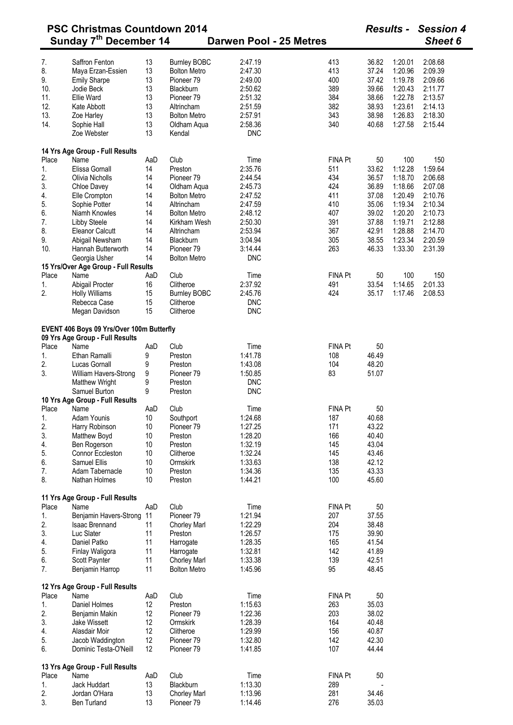| <b>PSC Christmas Countdown 2014</b> |                                           |     |                       |                         |                |       |         | <b>Session 4</b> |  |
|-------------------------------------|-------------------------------------------|-----|-----------------------|-------------------------|----------------|-------|---------|------------------|--|
|                                     | Sunday 7 <sup>th</sup> December 14        |     |                       | Darwen Pool - 25 Metres |                |       |         | Sheet 6          |  |
| 7.                                  | Saffron Fenton                            | 13  | <b>Burnley BOBC</b>   | 2:47.19                 | 413            | 36.82 | 1:20.01 | 2:08.68          |  |
| 8.                                  | Maya Erzan-Essien                         | 13  | <b>Bolton Metro</b>   | 2:47.30                 | 413            | 37.24 | 1:20.96 | 2:09.39          |  |
| 9.                                  | <b>Emily Sharpe</b>                       | 13  | Pioneer 79            | 2:49.00                 | 400            | 37.42 | 1:19.78 | 2:09.66          |  |
| 10.                                 | Jodie Beck                                | 13  | Blackburn             | 2:50.62                 | 389            | 39.66 | 1:20.43 | 2:11.77          |  |
|                                     |                                           |     |                       |                         |                |       |         |                  |  |
| 11.                                 | Ellie Ward                                | 13  | Pioneer <sub>79</sub> | 2:51.32                 | 384            | 38.66 | 1:22.78 | 2:13.57          |  |
| 12.                                 | Kate Abbott                               | 13  | Altrincham            | 2:51.59                 | 382            | 38.93 | 1:23.61 | 2:14.13          |  |
| 13.                                 | Zoe Harley                                | 13  | <b>Bolton Metro</b>   | 2:57.91                 | 343            | 38.98 | 1:26.83 | 2:18.30          |  |
| 14.                                 | Sophie Hall                               | 13  | Oldham Aqua           | 2:58.36                 | 340            | 40.68 | 1:27.58 | 2:15.44          |  |
|                                     | Zoe Webster                               | 13  | Kendal                | <b>DNC</b>              |                |       |         |                  |  |
|                                     | 14 Yrs Age Group - Full Results           |     |                       |                         |                |       |         |                  |  |
| Place                               | Name                                      | AaD | Club                  | Time                    | <b>FINA Pt</b> | 50    | 100     | 150              |  |
| 1.                                  | Elissa Gornall                            | 14  | Preston               | 2:35.76                 | 511            | 33.62 | 1:12.28 | 1:59.64          |  |
| 2.                                  | Olivia Nicholls                           | 14  | Pioneer 79            | 2:44.54                 | 434            | 36.57 | 1:18.70 | 2:06.68          |  |
| 3.                                  | Chloe Davey                               | 14  | Oldham Aqua           | 2:45.73                 | 424            | 36.89 | 1:18.66 | 2:07.08          |  |
| 4.                                  | Elle Crompton                             | 14  | <b>Bolton Metro</b>   | 2:47.52                 | 411            | 37.08 | 1:20.49 | 2:10.76          |  |
| 5.                                  | Sophie Potter                             | 14  | Altrincham            | 2:47.59                 | 410            | 35.06 | 1:19.34 | 2:10.34          |  |
| 6.                                  | Niamh Knowles                             | 14  | <b>Bolton Metro</b>   | 2:48.12                 | 407            | 39.02 | 1:20.20 | 2:10.73          |  |
|                                     |                                           |     |                       |                         |                |       |         |                  |  |
| 7.                                  | Libby Steele                              | 14  | Kirkham Wesh          | 2:50.30                 | 391            | 37.88 | 1:19.71 | 2:12.88          |  |
| 8.                                  | <b>Eleanor Calcutt</b>                    | 14  | Altrincham            | 2:53.94                 | 367            | 42.91 | 1:28.88 | 2:14.70          |  |
| 9.                                  | Abigail Newsham                           | 14  | Blackburn             | 3:04.94                 | 305            | 38.55 | 1:23.34 | 2:20.59          |  |
| 10.                                 | Hannah Butterworth                        | 14  | Pioneer 79            | 3:14.44                 | 263            | 46.33 | 1:33.30 | 2:31.39          |  |
|                                     | Georgia Usher                             | 14  | <b>Bolton Metro</b>   | <b>DNC</b>              |                |       |         |                  |  |
|                                     | 15 Yrs/Over Age Group - Full Results      |     |                       |                         |                |       |         |                  |  |
| Place                               | Name                                      | AaD | Club                  | Time                    | FINA Pt        | 50    | 100     | 150              |  |
| 1.                                  | Abigail Procter                           | 16  | Clitheroe             | 2:37.92                 | 491            | 33.54 | 1:14.65 | 2:01.33          |  |
| 2.                                  | <b>Holly Williams</b>                     | 15  | <b>Burnley BOBC</b>   | 2:45.76                 | 424            | 35.17 | 1:17.46 | 2:08.53          |  |
|                                     | Rebecca Case                              | 15  | Clitheroe             | <b>DNC</b>              |                |       |         |                  |  |
|                                     |                                           |     |                       |                         |                |       |         |                  |  |
|                                     | Megan Davidson                            | 15  | Clitheroe             | <b>DNC</b>              |                |       |         |                  |  |
|                                     | EVENT 406 Boys 09 Yrs/Over 100m Butterfly |     |                       |                         |                |       |         |                  |  |
|                                     | 09 Yrs Age Group - Full Results           |     |                       |                         |                |       |         |                  |  |
| Place                               | Name                                      | AaD | Club                  | Time                    | FINA Pt        | 50    |         |                  |  |
| 1.                                  | Ethan Ramalli                             | 9   | Preston               | 1:41.78                 | 108            | 46.49 |         |                  |  |
| 2.                                  | Lucas Gornall                             | 9   | Preston               | 1:43.08                 | 104            | 48.20 |         |                  |  |
| 3.                                  | William Havers-Strong                     | 9   | Pioneer <sub>79</sub> | 1:50.85                 | 83             | 51.07 |         |                  |  |
|                                     | <b>Matthew Wright</b>                     | 9   | Preston               | <b>DNC</b>              |                |       |         |                  |  |
|                                     | Samuel Burton                             | 9   | Preston               | <b>DNC</b>              |                |       |         |                  |  |
|                                     | 10 Yrs Age Group - Full Results           |     |                       |                         |                |       |         |                  |  |
|                                     | Place Name                                | AaD | Club                  | Time                    | FINA Pt        | 50    |         |                  |  |
| 1.                                  |                                           |     |                       |                         | 187            | 40.68 |         |                  |  |
|                                     | Adam Younis                               | 10  | Southport             | 1:24.68                 |                |       |         |                  |  |
| 2.                                  | Harry Robinson                            | 10  | Pioneer <sub>79</sub> | 1:27.25                 | 171            | 43.22 |         |                  |  |
| 3.                                  | Matthew Boyd                              | 10  | Preston               | 1:28.20                 | 166            | 40.40 |         |                  |  |
| 4.                                  | Ben Rogerson                              | 10  | Preston               | 1:32.19                 | 145            | 43.04 |         |                  |  |
| 5.                                  | Connor Eccleston                          | 10  | Clitheroe             | 1:32.24                 | 145            | 43.46 |         |                  |  |
| 6.                                  | Samuel Ellis                              | 10  | Ormskirk              | 1:33.63                 | 138            | 42.12 |         |                  |  |
| 7.                                  | Adam Tabernacle                           | 10  | Preston               | 1:34.36                 | 135            | 43.33 |         |                  |  |
| 8.                                  | Nathan Holmes                             | 10  | Preston               | 1:44.21                 | 100            | 45.60 |         |                  |  |
|                                     |                                           |     |                       |                         |                |       |         |                  |  |
| Place                               | 11 Yrs Age Group - Full Results<br>Name   | AaD | Club                  | Time                    | FINA Pt        | 50    |         |                  |  |
| 1.                                  | Benjamin Havers-Strong 11                 |     | Pioneer 79            | 1:21.94                 | 207            | 37.55 |         |                  |  |
|                                     |                                           |     |                       |                         |                |       |         |                  |  |
| 2.                                  | <b>Isaac Brennand</b>                     | 11  | <b>Chorley Marl</b>   | 1:22.29                 | 204            | 38.48 |         |                  |  |
| 3.                                  | Luc Slater                                | 11  | Preston               | 1:26.57                 | 175            | 39.90 |         |                  |  |
| 4.                                  | Daniel Patko                              | 11  | Harrogate             | 1:28.35                 | 165            | 41.54 |         |                  |  |
| 5.                                  | Finlay Waligora                           | 11  | Harrogate             | 1:32.81                 | 142            | 41.89 |         |                  |  |
| 6.                                  | Scott Paynter                             | 11  | <b>Chorley Marl</b>   | 1:33.38                 | 139            | 42.51 |         |                  |  |
| 7.                                  | Benjamin Harrop                           | 11  | <b>Bolton Metro</b>   | 1:45.96                 | 95             | 48.45 |         |                  |  |
|                                     | 12 Yrs Age Group - Full Results           |     |                       |                         |                |       |         |                  |  |
| Place                               | Name                                      | AaD | Club                  | Time                    | FINA Pt        | 50    |         |                  |  |
| 1.                                  | Daniel Holmes                             | 12  | Preston               | 1:15.63                 | 263            | 35.03 |         |                  |  |
| 2.                                  | Benjamin Makin                            | 12  | Pioneer 79            | 1:22.36                 | 203            | 38.02 |         |                  |  |
| 3.                                  | Jake Wissett                              | 12  | Ormskirk              | 1:28.39                 | 164            | 40.48 |         |                  |  |
| 4.                                  | Alasdair Moir                             | 12  | Clitheroe             | 1:29.99                 | 156            | 40.87 |         |                  |  |
|                                     |                                           | 12  | Pioneer <sub>79</sub> | 1:32.80                 | 142            | 42.30 |         |                  |  |
| 5.<br>6.                            | Jacob Waddington<br>Dominic Testa-O'Neill | 12  | Pioneer <sub>79</sub> | 1:41.85                 | 107            | 44.44 |         |                  |  |
|                                     |                                           |     |                       |                         |                |       |         |                  |  |
|                                     | 13 Yrs Age Group - Full Results<br>Name   |     | Club                  |                         |                |       |         |                  |  |
| Place                               |                                           | AaD |                       | Time                    | FINA Pt        | 50    |         |                  |  |
| 1.                                  | Jack Huddart                              | 13  | Blackburn             | 1:13.30                 | 289            |       |         |                  |  |
| 2.                                  | Jordan O'Hara                             | 13  | <b>Chorley Marl</b>   | 1:13.96                 | 281            | 34.46 |         |                  |  |
| 3.                                  | Ben Turland                               | 13  | Pioneer 79            | 1:14.46                 | 276            | 35.03 |         |                  |  |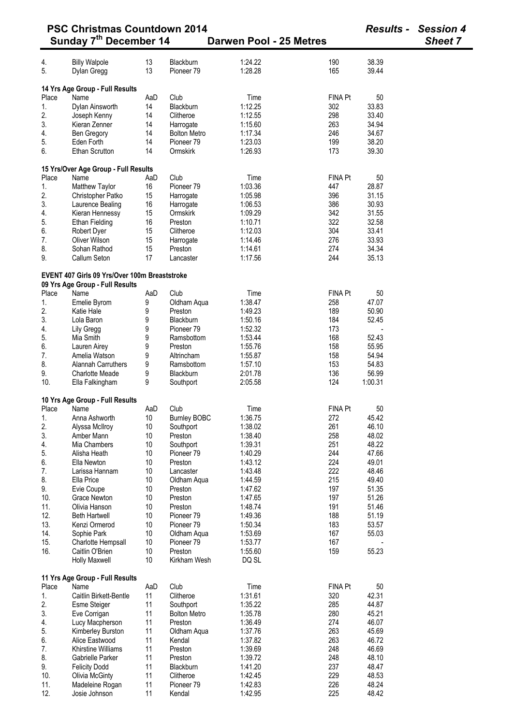| <b>PSC Christmas Countdown 2014</b><br>Sunday 7 <sup>th</sup> December 14<br>Darwen Pool - 25 Metres |                                                                                  |          |                       |                    |                | <b>Results -</b> | <b>Session 4</b><br><b>Sheet 7</b> |
|------------------------------------------------------------------------------------------------------|----------------------------------------------------------------------------------|----------|-----------------------|--------------------|----------------|------------------|------------------------------------|
|                                                                                                      |                                                                                  |          |                       |                    |                |                  |                                    |
| 4.                                                                                                   | <b>Billy Walpole</b>                                                             | 13       | Blackburn             | 1:24.22            | 190            | 38.39            |                                    |
| 5.                                                                                                   | Dylan Gregg                                                                      | 13       | Pioneer 79            | 1:28.28            | 165            | 39.44            |                                    |
|                                                                                                      | 14 Yrs Age Group - Full Results                                                  |          |                       |                    |                |                  |                                    |
| Place                                                                                                | Name                                                                             | AaD      | Club                  | Time               | <b>FINA Pt</b> | 50               |                                    |
| 1.                                                                                                   | Dylan Ainsworth                                                                  | 14       | Blackburn             | 1:12.25            | 302            | 33.83            |                                    |
| 2.                                                                                                   | Joseph Kenny                                                                     | 14       | Clitheroe             | 1:12.55            | 298            | 33.40            |                                    |
| 3.                                                                                                   | Kieran Zenner                                                                    | 14       | Harrogate             | 1:15.60            | 263            | 34.94            |                                    |
| 4.                                                                                                   | Ben Gregory                                                                      | 14       | <b>Bolton Metro</b>   | 1:17.34            | 246            | 34.67            |                                    |
| 5.                                                                                                   | Eden Forth                                                                       | 14       | Pioneer <sub>79</sub> | 1:23.03            | 199            | 38.20            |                                    |
| 6.                                                                                                   | <b>Ethan Scrutton</b>                                                            | 14       | Ormskirk              | 1:26.93            | 173            | 39.30            |                                    |
|                                                                                                      | 15 Yrs/Over Age Group - Full Results                                             |          |                       |                    |                |                  |                                    |
| Place                                                                                                | Name                                                                             | AaD      | Club                  | Time               | <b>FINA Pt</b> | 50               |                                    |
| 1.                                                                                                   | Matthew Taylor                                                                   | 16       | Pioneer <sub>79</sub> | 1:03.36            | 447            | 28.87            |                                    |
| 2.                                                                                                   | Christopher Patko                                                                | 15       | Harrogate             | 1:05.98            | 396            | 31.15            |                                    |
| 3.                                                                                                   | Laurence Bealing                                                                 | 16       | Harrogate             | 1:06.53            | 386            | 30.93            |                                    |
| 4.                                                                                                   | Kieran Hennessy                                                                  | 15       | Ormskirk              | 1:09.29            | 342            | 31.55            |                                    |
| 5.                                                                                                   | <b>Ethan Fielding</b>                                                            | 16       | Preston               | 1:10.71            | 322            | 32.58            |                                    |
| 6.                                                                                                   | Robert Dyer                                                                      | 15       | Clitheroe             | 1:12.03            | 304            | 33.41            |                                    |
| 7.                                                                                                   | Oliver Wilson                                                                    | 15       | Harrogate             | 1:14.46            | 276            | 33.93            |                                    |
| 8.                                                                                                   | Sohan Rathod                                                                     | 15       | Preston               | 1:14.61            | 274            | 34.34            |                                    |
| 9.                                                                                                   | Callum Seton                                                                     | 17       | Lancaster             | 1:17.56            | 244            | 35.13            |                                    |
|                                                                                                      | EVENT 407 Girls 09 Yrs/Over 100m Breaststroke<br>09 Yrs Age Group - Full Results |          |                       |                    |                |                  |                                    |
| Place                                                                                                | Name                                                                             | AaD      | Club                  | Time               | FINA Pt        | 50               |                                    |
| 1.                                                                                                   | Emelie Byrom                                                                     | 9        | Oldham Aqua           | 1:38.47            | 258            | 47.07            |                                    |
| 2.                                                                                                   | Katie Hale                                                                       | 9        | Preston               | 1:49.23            | 189            | 50.90            |                                    |
| 3.                                                                                                   | Lola Baron                                                                       | 9        | <b>Blackburn</b>      | 1:50.16            | 184            | 52.45            |                                    |
| 4.                                                                                                   | Lily Gregg                                                                       | 9        | Pioneer <sub>79</sub> | 1:52.32            | 173            |                  |                                    |
| 5.                                                                                                   | Mia Smith                                                                        | 9        | Ramsbottom            | 1:53.44            | 168            | 52.43            |                                    |
| 6.                                                                                                   | Lauren Airey                                                                     | 9        | Preston               | 1:55.76            | 158            | 55.95            |                                    |
| 7.                                                                                                   | Amelia Watson                                                                    | 9        | Altrincham            | 1:55.87            | 158            | 54.94            |                                    |
| 8.                                                                                                   | <b>Alannah Carruthers</b>                                                        | 9        | Ramsbottom            | 1:57.10            | 153            | 54.83            |                                    |
| 9.                                                                                                   | <b>Charlotte Meade</b>                                                           | 9        | Blackburn             | 2:01.78            | 136            | 56.99            |                                    |
| 10.                                                                                                  | Ella Falkingham                                                                  | 9        | Southport             | 2:05.58            | 124            | 1:00.31          |                                    |
|                                                                                                      | 10 Yrs Age Group - Full Results                                                  |          |                       |                    |                |                  |                                    |
|                                                                                                      | Place Name                                                                       | AaD      | Club                  | Time               | <b>FINA Pt</b> | 50               |                                    |
| 1.                                                                                                   | Anna Ashworth                                                                    | 10       | <b>Burnley BOBC</b>   | 1:36.75            | 272            | 45.42            |                                    |
| 2.                                                                                                   | Alyssa McIlroy                                                                   | 10       | Southport             | 1:38.02            | 261            | 46.10            |                                    |
| 3.                                                                                                   | Amber Mann                                                                       | 10       | Preston               | 1:38.40            | 258            | 48.02            |                                    |
| 4.                                                                                                   | Mia Chambers                                                                     | 10       | Southport             | 1:39.31            | 251            | 48.22            |                                    |
| 5.                                                                                                   | Alisha Heath                                                                     | 10       | Pioneer <sub>79</sub> | 1:40.29            | 244            | 47.66            |                                    |
| 6.                                                                                                   | Ella Newton                                                                      | 10       | Preston               | 1:43.12            | 224            | 49.01            |                                    |
| 7.                                                                                                   | Larissa Hannam                                                                   | 10       | Lancaster             | 1:43.48            | 222            | 48.46            |                                    |
| 8.                                                                                                   | Ella Price                                                                       | 10       | Oldham Aqua           | 1:44.59            | 215            | 49.40            |                                    |
| 9.                                                                                                   | Evie Coupe<br><b>Grace Newton</b>                                                | 10<br>10 | Preston<br>Preston    | 1:47.62<br>1:47.65 | 197<br>197     | 51.35<br>51.26   |                                    |
| 10.<br>11.                                                                                           | Olivia Hanson                                                                    | 10       | Preston               | 1:48.74            | 191            | 51.46            |                                    |
| 12.                                                                                                  | <b>Beth Hartwell</b>                                                             | 10       | Pioneer 79            | 1:49.36            | 188            | 51.19            |                                    |
| 13.                                                                                                  | Kenzi Ormerod                                                                    | 10       | Pioneer 79            | 1:50.34            | 183            | 53.57            |                                    |
| 14.                                                                                                  | Sophie Park                                                                      | 10       | Oldham Aqua           | 1:53.69            | 167            | 55.03            |                                    |
| 15.                                                                                                  | Charlotte Hempsall                                                               | 10       | Pioneer 79            | 1:53.77            | 167            |                  |                                    |
| 16.                                                                                                  | Caitlin O'Brien                                                                  | 10       | Preston               | 1:55.60            | 159            | 55.23            |                                    |
|                                                                                                      | Holly Maxwell                                                                    | 10       | Kirkham Wesh          | DQ SL              |                |                  |                                    |
|                                                                                                      | 11 Yrs Age Group - Full Results                                                  |          |                       |                    |                |                  |                                    |
| Place                                                                                                | Name                                                                             | AaD      | Club                  | Time               | FINA Pt        | 50               |                                    |
| 1.                                                                                                   | Caitlin Birkett-Bentle                                                           | 11       | Clitheroe             | 1:31.61            | 320            | 42.31            |                                    |
| 2.                                                                                                   | <b>Esme Steiger</b>                                                              | 11       | Southport             | 1:35.22            | 285            | 44.87            |                                    |
| 3.                                                                                                   | Eve Corrigan                                                                     | 11       | <b>Bolton Metro</b>   | 1:35.78            | 280            | 45.21            |                                    |
| 4.                                                                                                   | Lucy Macpherson                                                                  | 11       | Preston               | 1:36.49            | 274            | 46.07            |                                    |
| 5.                                                                                                   | Kimberley Burston                                                                | 11       | Oldham Aqua           | 1:37.76            | 263            | 45.69            |                                    |
| 6.                                                                                                   | Alice Eastwood                                                                   | 11       | Kendal                | 1:37.82            | 263            | 46.72            |                                    |
| 7.                                                                                                   | Khirstine Williams                                                               | 11       | Preston               | 1:39.69            | 248            | 46.69            |                                    |
| 8.                                                                                                   | Gabrielle Parker                                                                 | 11       | Preston               | 1:39.72            | 248            | 48.10            |                                    |
| 9.                                                                                                   | <b>Felicity Dodd</b>                                                             | 11       | Blackburn             | 1:41.20            | 237            | 48.47            |                                    |
| 10.                                                                                                  | <b>Olivia McGinty</b>                                                            | 11       | Clitheroe             | 1:42.45            | 229            | 48.53            |                                    |
| 11.                                                                                                  | Madeleine Rogan                                                                  | 11       | Pioneer <sub>79</sub> | 1:42.83            | 226            | 48.24            |                                    |
| 12.                                                                                                  | Josie Johnson                                                                    | 11       | Kendal                | 1:42.95            | 225            | 48.42            |                                    |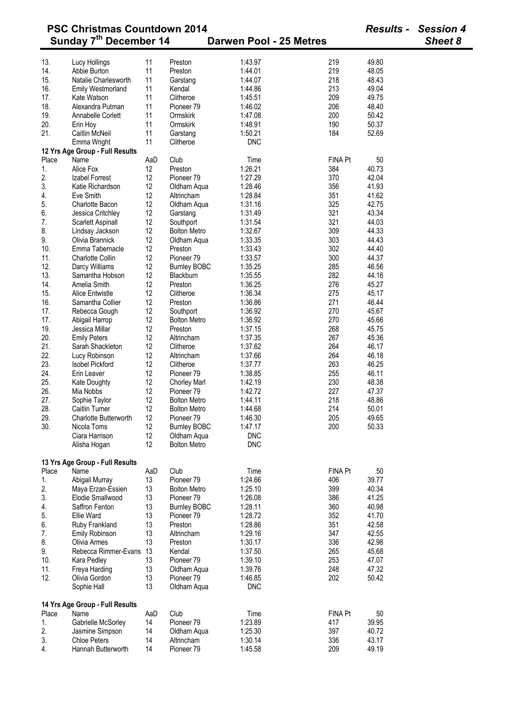| <b>PSC Christmas Countdown 2014</b>                          |                                 |     |                       |            |                | <b>Results -</b> | <b>Session 4</b> |
|--------------------------------------------------------------|---------------------------------|-----|-----------------------|------------|----------------|------------------|------------------|
| Sunday 7th December 14<br>Darwen Pool - 25 Metres<br>Sheet 8 |                                 |     |                       |            |                |                  |                  |
| 13.                                                          | Lucy Hollings                   | 11  | Preston               | 1:43.97    | 219            | 49.80            |                  |
| 14.                                                          | Abbie Burton                    | 11  | Preston               | 1:44.01    | 219            | 48.05            |                  |
| 15.                                                          | Natalie Charlesworth            | 11  | Garstang              | 1:44.07    | 218            | 48.43            |                  |
| 16.                                                          | <b>Emily Westmorland</b>        | 11  | Kendal                | 1:44.86    | 213            | 49.04            |                  |
| 17.                                                          | Kate Watson                     | 11  | Clitheroe             | 1:45.51    | 209            | 49.75            |                  |
| 18.                                                          | Alexandra Putman                | 11  | Pioneer <sub>79</sub> | 1:46.02    | 206            | 48.40            |                  |
| 19.                                                          | Annabelle Corlett               | 11  | Ormskirk              | 1:47.08    | 200            | 50.42            |                  |
| 20.                                                          | Erin Hoy                        | 11  | Ormskirk              | 1:48.91    | 190            | 50.37            |                  |
| 21.                                                          | <b>Caitlin McNeil</b>           | 11  | Garstang              | 1:50.21    | 184            | 52.69            |                  |
|                                                              | Emma Wright                     | 11  | Clitheroe             | <b>DNC</b> |                |                  |                  |
|                                                              | 12 Yrs Age Group - Full Results |     |                       |            |                |                  |                  |
| Place                                                        | Name                            | AaD | Club                  | Time       | <b>FINA Pt</b> | 50               |                  |
| 1.                                                           | Alice Fox                       | 12  | Preston               | 1:26.21    | 384            | 40.73            |                  |
| 2.                                                           | Izabel Forrest                  | 12  | Pioneer <sub>79</sub> | 1:27.29    | 370            | 42.04            |                  |
| 3.                                                           | Katie Richardson                | 12  | Oldham Aqua           | 1:28.46    | 356            | 41.93            |                  |
| 4.                                                           | Eve Smith                       | 12  | Altrincham            | 1:28.84    | 351            | 41.62            |                  |
| 5.                                                           | Charlotte Bacon                 | 12  | Oldham Aqua           | 1:31.16    | 325            | 42.75            |                  |
| 6.                                                           | Jessica Critchley               | 12  | Garstang              | 1:31.49    | 321            | 43.34            |                  |
| 7.                                                           |                                 |     |                       |            | 321            |                  |                  |
|                                                              | Scarlett Aspinall               | 12  | Southport             | 1:31.54    |                | 44.03            |                  |
| 8.                                                           | Lindsay Jackson                 | 12  | <b>Bolton Metro</b>   | 1:32.67    | 309            | 44.33            |                  |
| 9.                                                           | Olivia Brannick                 | 12  | Oldham Aqua           | 1:33.35    | 303            | 44.43            |                  |
| 10.                                                          | Emma Tabernacle                 | 12  | Preston               | 1:33.43    | 302            | 44.40            |                  |
| 11.                                                          | <b>Charlotte Collin</b>         | 12  | Pioneer <sub>79</sub> | 1:33.57    | 300            | 44.37            |                  |
| 12.                                                          | Darcy Williams                  | 12  | <b>Burnley BOBC</b>   | 1:35.25    | 285            | 46.56            |                  |
| 13.                                                          | Samantha Hobson                 | 12  | Blackburn             | 1:35.55    | 282            | 44.16            |                  |
| 14.                                                          | Amelia Smith                    | 12  | Preston               | 1:36.25    | 276            | 45.27            |                  |
| 15.                                                          | Alice Entwistle                 | 12  | Clitheroe             | 1:36.34    | 275            | 45.17            |                  |
| 16.                                                          | Samantha Collier                | 12  | Preston               | 1:36.86    | 271            | 46.44            |                  |
| 17.                                                          | Rebecca Gough                   | 12  | Southport             | 1:36.92    | 270            | 45.67            |                  |
| 17.                                                          | Abigail Harrop                  | 12  | <b>Bolton Metro</b>   | 1:36.92    | 270            | 45.66            |                  |
| 19.                                                          | Jessica Millar                  | 12  | Preston               | 1:37.15    | 268            | 45.75            |                  |
| 20.                                                          | <b>Emily Peters</b>             | 12  | Altrincham            | 1:37.35    | 267            | 45.36            |                  |
| 21.                                                          | Sarah Shackleton                | 12  | Clitheroe             | 1:37.62    | 264            | 46.17            |                  |
| 22.                                                          | Lucy Robinson                   | 12  | Altrincham            | 1:37.66    | 264            | 46.18            |                  |
| 23.                                                          | <b>Isobel Pickford</b>          | 12  | Clitheroe             | 1:37.77    | 263            | 46.25            |                  |
| 24.                                                          | Erin Leaver                     | 12  | Pioneer <sub>79</sub> | 1:38.85    | 255            | 46.11            |                  |
| 25.                                                          | Kate Doughty                    | 12  | <b>Chorley Marl</b>   | 1:42.19    | 230            | 48.38            |                  |
| 26.                                                          | Mia Nobbs                       | 12  | Pioneer 79            | 1:42.72    | 227            | 47.37            |                  |
| 27.                                                          | Sophie Taylor                   | 12  | <b>Bolton Metro</b>   | 1:44.11    | 218            | 48.86            |                  |
| 28.                                                          | Caitlin Turner                  | 12  | <b>Bolton Metro</b>   | 1:44.68    | 214            | 50.01            |                  |
| 29.                                                          | Charlotte Butterworth           | 12  | Pioneer <sub>79</sub> | 1:46.30    | 205            | 49.65            |                  |
| 30.                                                          | Nicola Toms                     | 12  | <b>Burnley BOBC</b>   | 1:47.17    | 200            | 50.33            |                  |
|                                                              | Ciara Harrison                  | 12  | Oldham Aqua           | <b>DNC</b> |                |                  |                  |
|                                                              |                                 | 12  | <b>Bolton Metro</b>   | <b>DNC</b> |                |                  |                  |
|                                                              | Alisha Hogan                    |     |                       |            |                |                  |                  |
|                                                              | 13 Yrs Age Group - Full Results |     |                       |            |                |                  |                  |
| Place                                                        | Name                            | AaD | Club                  | Time       | FINA Pt        | 50               |                  |
| 1.                                                           | Abigail Murray                  | 13  | Pioneer <sub>79</sub> | 1:24.66    | 406            | 39.77            |                  |
| 2.                                                           | Maya Erzan-Essien               | 13  | <b>Bolton Metro</b>   | 1:25.10    | 399            | 40.34            |                  |
| 3.                                                           | Elodie Smallwood                | 13  | Pioneer 79            | 1:26.08    | 386            | 41.25            |                  |
| 4.                                                           | Saffron Fenton                  | 13  | <b>Burnley BOBC</b>   | 1:28.11    | 360            | 40.98            |                  |
| 5.                                                           | <b>Ellie Ward</b>               | 13  | Pioneer <sub>79</sub> | 1:28.72    | 352            | 41.70            |                  |
| 6.                                                           | Ruby Frankland                  | 13  | Preston               | 1:28.86    | 351            | 42.58            |                  |
| 7.                                                           | <b>Emily Robinson</b>           | 13  | Altrincham            | 1:29.16    | 347            | 42.55            |                  |
| 8.                                                           | Olivia Armes                    | 13  | Preston               | 1:30.17    | 336            | 42.98            |                  |
| 9.                                                           | Rebecca Rimmer-Evans 13         |     | Kendal                | 1:37.50    | 265            | 45.68            |                  |
| 10.                                                          |                                 | 13  | Pioneer 79            | 1:39.10    | 253            | 47.07            |                  |
|                                                              | Kara Pedley                     |     |                       |            |                |                  |                  |
| 11.                                                          | Freya Harding                   | 13  | Oldham Aqua           | 1:39.76    | 248            | 47.32            |                  |
| 12.                                                          | Olivia Gordon                   | 13  | Pioneer 79            | 1:46.85    | 202            | 50.42            |                  |
|                                                              | Sophie Hall                     | 13  | Oldham Aqua           | <b>DNC</b> |                |                  |                  |
|                                                              | 14 Yrs Age Group - Full Results |     |                       |            |                |                  |                  |
| Place                                                        | Name                            | AaD | Club                  | Time       | FINA Pt        | 50               |                  |
| 1.                                                           | Gabrielle McSorley              | 14  | Pioneer 79            | 1:23.89    | 417            | 39.95            |                  |
| 2.                                                           | Jasmine Simpson                 | 14  | Oldham Aqua           | 1:25.30    | 397            | 40.72            |                  |
| 3.                                                           | <b>Chloe Peters</b>             | 14  | Altrincham            | 1:30.14    | 336            | 43.17            |                  |
| 4.                                                           | Hannah Butterworth              | 14  | Pioneer <sub>79</sub> | 1:45.58    | 209            | 49.19            |                  |